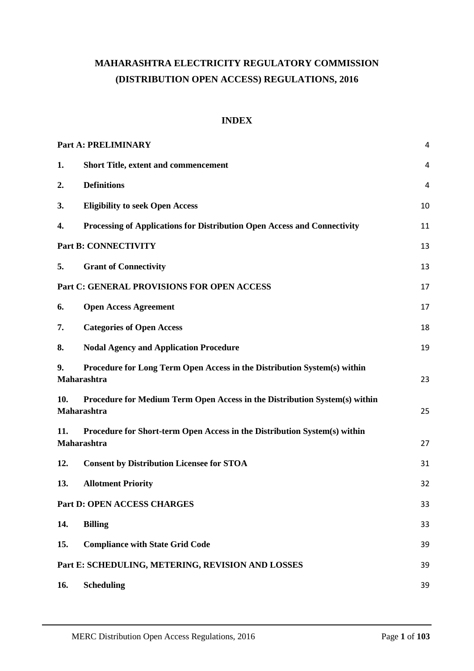# **MAHARASHTRA ELECTRICITY REGULATORY COMMISSION (DISTRIBUTION OPEN ACCESS) REGULATIONS, 2016**

# **INDEX**

|     | <b>Part A: PRELIMINARY</b>                                                                | $\overline{4}$ |
|-----|-------------------------------------------------------------------------------------------|----------------|
| 1.  | <b>Short Title, extent and commencement</b>                                               | $\overline{4}$ |
| 2.  | <b>Definitions</b>                                                                        | $\overline{4}$ |
| 3.  | <b>Eligibility to seek Open Access</b>                                                    | 10             |
| 4.  | Processing of Applications for Distribution Open Access and Connectivity                  | 11             |
|     | <b>Part B: CONNECTIVITY</b>                                                               | 13             |
| 5.  | <b>Grant of Connectivity</b>                                                              | 13             |
|     | Part C: GENERAL PROVISIONS FOR OPEN ACCESS                                                | 17             |
| 6.  | <b>Open Access Agreement</b>                                                              | 17             |
| 7.  | <b>Categories of Open Access</b>                                                          | 18             |
| 8.  | <b>Nodal Agency and Application Procedure</b>                                             | 19             |
| 9.  | Procedure for Long Term Open Access in the Distribution System(s) within<br>Maharashtra   | 23             |
| 10. | Procedure for Medium Term Open Access in the Distribution System(s) within<br>Maharashtra | 25             |
| 11. | Procedure for Short-term Open Access in the Distribution System(s) within<br>Maharashtra  | 27             |
| 12. | <b>Consent by Distribution Licensee for STOA</b>                                          | 31             |
| 13. | <b>Allotment Priority</b>                                                                 | 32             |
|     | Part D: OPEN ACCESS CHARGES                                                               | 33             |
| 14. | <b>Billing</b>                                                                            | 33             |
| 15. | <b>Compliance with State Grid Code</b>                                                    | 39             |
|     | Part E: SCHEDULING, METERING, REVISION AND LOSSES                                         | 39             |
| 16. | <b>Scheduling</b>                                                                         | 39             |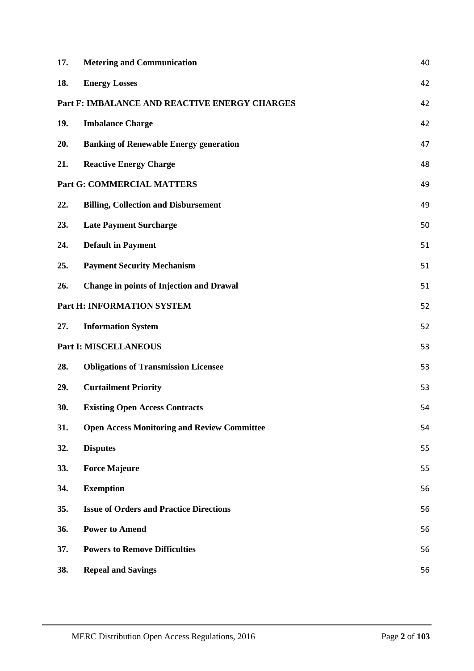| 17. | <b>Metering and Communication</b>                  |    |  |
|-----|----------------------------------------------------|----|--|
| 18. | <b>Energy Losses</b>                               | 42 |  |
|     | Part F: IMBALANCE AND REACTIVE ENERGY CHARGES      | 42 |  |
| 19. | <b>Imbalance Charge</b>                            | 42 |  |
| 20. | <b>Banking of Renewable Energy generation</b>      | 47 |  |
| 21. | <b>Reactive Energy Charge</b>                      | 48 |  |
|     | <b>Part G: COMMERCIAL MATTERS</b>                  | 49 |  |
| 22. | <b>Billing, Collection and Disbursement</b>        | 49 |  |
| 23. | <b>Late Payment Surcharge</b>                      | 50 |  |
| 24. | <b>Default in Payment</b>                          | 51 |  |
| 25. | <b>Payment Security Mechanism</b>                  | 51 |  |
| 26. | <b>Change in points of Injection and Drawal</b>    | 51 |  |
|     | Part H: INFORMATION SYSTEM                         | 52 |  |
| 27. | <b>Information System</b>                          | 52 |  |
|     | <b>Part I: MISCELLANEOUS</b>                       | 53 |  |
| 28. | <b>Obligations of Transmission Licensee</b>        | 53 |  |
| 29. | <b>Curtailment Priority</b>                        | 53 |  |
| 30. | <b>Existing Open Access Contracts</b>              | 54 |  |
| 31. | <b>Open Access Monitoring and Review Committee</b> | 54 |  |
| 32. | <b>Disputes</b>                                    | 55 |  |
| 33. | <b>Force Majeure</b>                               | 55 |  |
| 34. | <b>Exemption</b>                                   | 56 |  |
| 35. | <b>Issue of Orders and Practice Directions</b>     | 56 |  |
| 36. | <b>Power to Amend</b>                              | 56 |  |
| 37. | <b>Powers to Remove Difficulties</b>               | 56 |  |
| 38. | <b>Repeal and Savings</b>                          | 56 |  |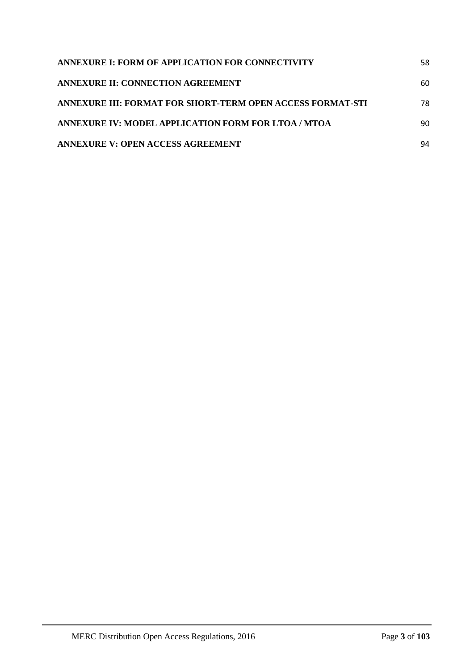| ANNEXURE I: FORM OF APPLICATION FOR CONNECTIVITY           | 58 |
|------------------------------------------------------------|----|
| ANNEXURE II: CONNECTION AGREEMENT                          | 60 |
| ANNEXURE III: FORMAT FOR SHORT-TERM OPEN ACCESS FORMAT-STI | 78 |
| ANNEXURE IV: MODEL APPLICATION FORM FOR LTOA / MTOA        | 90 |
| <b>ANNEXURE V: OPEN ACCESS AGREEMENT</b>                   | 94 |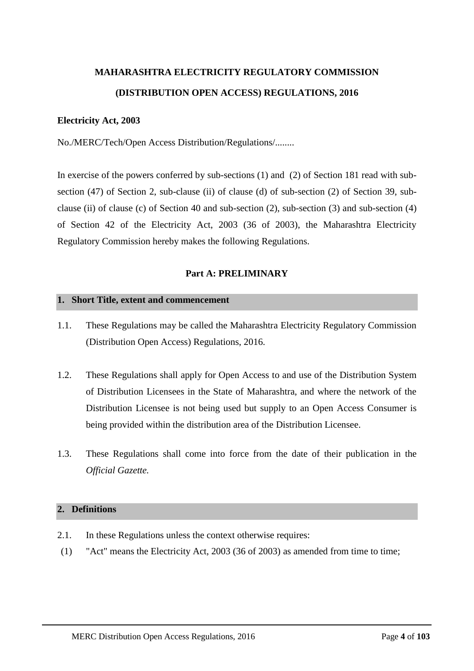# **MAHARASHTRA ELECTRICITY REGULATORY COMMISSION (DISTRIBUTION OPEN ACCESS) REGULATIONS, 2016**

## **Electricity Act, 2003**

No./MERC/Tech/Open Access Distribution/Regulations/........

In exercise of the powers conferred by sub-sections (1) and (2) of Section 181 read with subsection (47) of Section 2, sub-clause (ii) of clause (d) of sub-section (2) of Section 39, subclause (ii) of clause (c) of Section 40 and sub-section (2), sub-section (3) and sub-section (4) of Section 42 of the Electricity Act, 2003 (36 of 2003), the Maharashtra Electricity Regulatory Commission hereby makes the following Regulations.

# **Part A: PRELIMINARY**

#### <span id="page-3-1"></span><span id="page-3-0"></span>**1. Short Title, extent and commencement**

- 1.1. These Regulations may be called the Maharashtra Electricity Regulatory Commission (Distribution Open Access) Regulations, 2016.
- 1.2. These Regulations shall apply for Open Access to and use of the Distribution System of Distribution Licensees in the State of Maharashtra, and where the network of the Distribution Licensee is not being used but supply to an Open Access Consumer is being provided within the distribution area of the Distribution Licensee.
- 1.3. These Regulations shall come into force from the date of their publication in the *Official Gazette.*

## <span id="page-3-2"></span>**2. Definitions**

- 2.1. In these Regulations unless the context otherwise requires:
- (1) "Act" means the Electricity Act, 2003 (36 of 2003) as amended from time to time;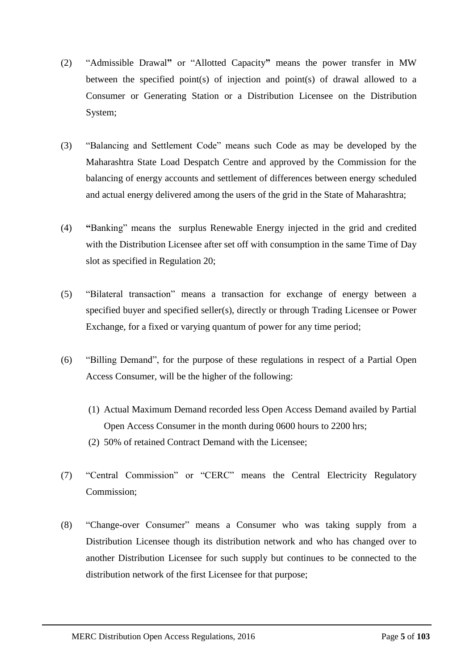- (2) "Admissible Drawal**"** or "Allotted Capacity**"** means the power transfer in MW between the specified point(s) of injection and point(s) of drawal allowed to a Consumer or Generating Station or a Distribution Licensee on the Distribution System;
- (3) "Balancing and Settlement Code" means such Code as may be developed by the Maharashtra State Load Despatch Centre and approved by the Commission for the balancing of energy accounts and settlement of differences between energy scheduled and actual energy delivered among the users of the grid in the State of Maharashtra;
- (4) **"**Banking" means the surplus Renewable Energy injected in the grid and credited with the Distribution Licensee after set off with consumption in the same Time of Day slot as specified in Regulation [20;](#page-46-0)
- (5) "Bilateral transaction" means a transaction for exchange of energy between a specified buyer and specified seller(s), directly or through Trading Licensee or Power Exchange, for a fixed or varying quantum of power for any time period;
- (6) "Billing Demand", for the purpose of these regulations in respect of a Partial Open Access Consumer, will be the higher of the following:
	- (1) Actual Maximum Demand recorded less Open Access Demand availed by Partial Open Access Consumer in the month during 0600 hours to 2200 hrs;
	- (2) 50% of retained Contract Demand with the Licensee;
- (7) "Central Commission" or "CERC" means the Central Electricity Regulatory Commission;
- (8) "Change-over Consumer" means a Consumer who was taking supply from a Distribution Licensee though its distribution network and who has changed over to another Distribution Licensee for such supply but continues to be connected to the distribution network of the first Licensee for that purpose;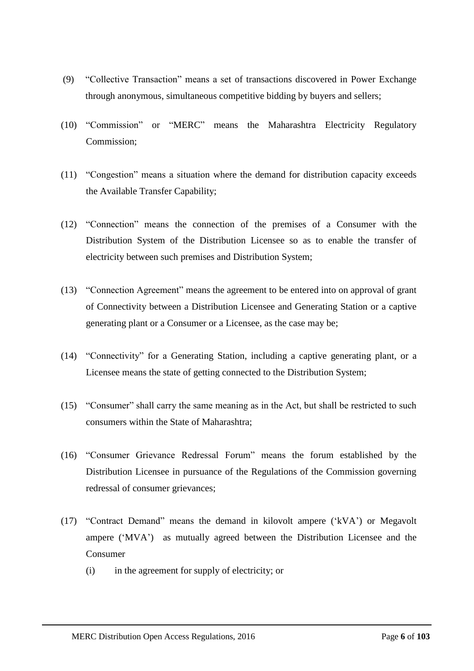- (9) "Collective Transaction" means a set of transactions discovered in Power Exchange through anonymous, simultaneous competitive bidding by buyers and sellers;
- (10) "Commission" or "MERC" means the Maharashtra Electricity Regulatory Commission;
- (11) "Congestion" means a situation where the demand for distribution capacity exceeds the Available Transfer Capability;
- (12) "Connection" means the connection of the premises of a Consumer with the Distribution System of the Distribution Licensee so as to enable the transfer of electricity between such premises and Distribution System;
- (13) "Connection Agreement" means the agreement to be entered into on approval of grant of Connectivity between a Distribution Licensee and Generating Station or a captive generating plant or a Consumer or a Licensee, as the case may be;
- (14) "Connectivity" for a Generating Station, including a captive generating plant, or a Licensee means the state of getting connected to the Distribution System;
- (15) "Consumer" shall carry the same meaning as in the Act, but shall be restricted to such consumers within the State of Maharashtra;
- (16) "Consumer Grievance Redressal Forum" means the forum established by the Distribution Licensee in pursuance of the Regulations of the Commission governing redressal of consumer grievances;
- (17) "Contract Demand" means the demand in kilovolt ampere ('kVA') or Megavolt ampere ('MVA') as mutually agreed between the Distribution Licensee and the Consumer
	- (i) in the agreement for supply of electricity; or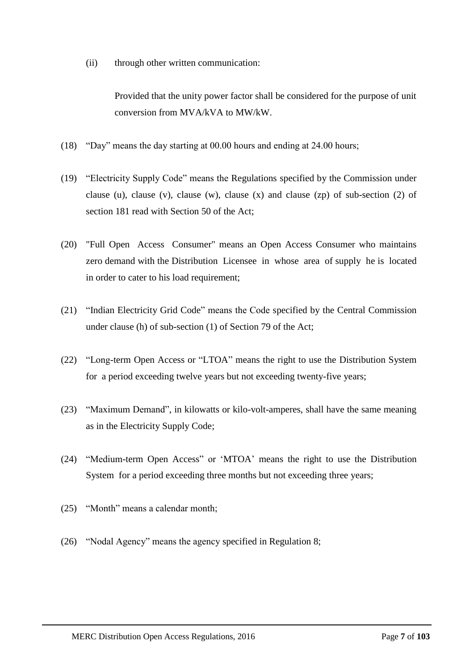(ii) through other written communication:

Provided that the unity power factor shall be considered for the purpose of unit conversion from MVA/kVA to MW/kW.

- (18) "Day" means the day starting at 00.00 hours and ending at 24.00 hours;
- (19) "Electricity Supply Code" means the Regulations specified by the Commission under clause (u), clause (v), clause (w), clause (x) and clause (zp) of sub-section (2) of section 181 read with Section 50 of the Act;
- (20) "Full Open Access Consumer" means an Open Access Consumer who maintains zero demand with the Distribution Licensee in whose area of supply he is located in order to cater to his load requirement;
- (21) "Indian Electricity Grid Code" means the Code specified by the Central Commission under clause (h) of sub-section (1) of Section 79 of the Act;
- (22) "Long-term Open Access or "LTOA" means the right to use the Distribution System for a period exceeding twelve years but not exceeding twenty-five years;
- (23) "Maximum Demand", in kilowatts or kilo-volt-amperes, shall have the same meaning as in the Electricity Supply Code;
- (24) "Medium-term Open Access" or 'MTOA' means the right to use the Distribution System for a period exceeding three months but not exceeding three years;
- (25) "Month" means a calendar month;
- (26) "Nodal Agency" means the agency specified in Regulation [8;](#page-18-0)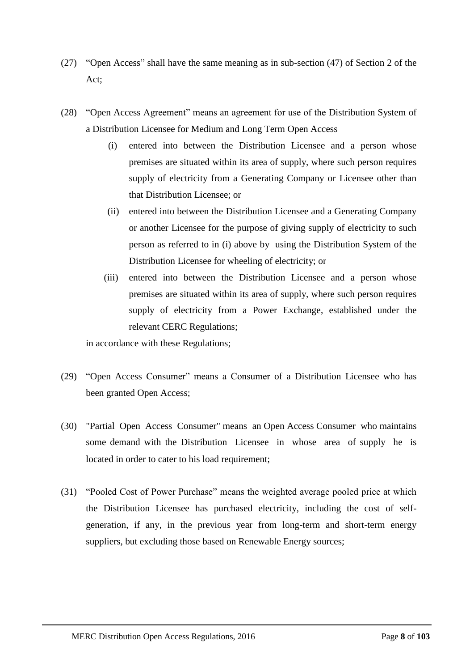- (27) "Open Access" shall have the same meaning as in sub-section (47) of Section 2 of the Act;
- (28) "Open Access Agreement" means an agreement for use of the Distribution System of a Distribution Licensee for Medium and Long Term Open Access
	- (i) entered into between the Distribution Licensee and a person whose premises are situated within its area of supply, where such person requires supply of electricity from a Generating Company or Licensee other than that Distribution Licensee; or
	- (ii) entered into between the Distribution Licensee and a Generating Company or another Licensee for the purpose of giving supply of electricity to such person as referred to in (i) above by using the Distribution System of the Distribution Licensee for wheeling of electricity; or
	- (iii) entered into between the Distribution Licensee and a person whose premises are situated within its area of supply, where such person requires supply of electricity from a Power Exchange, established under the relevant CERC Regulations;

in accordance with these Regulations;

- (29) "Open Access Consumer" means a Consumer of a Distribution Licensee who has been granted Open Access;
- (30) "Partial Open Access Consumer" means an Open Access Consumer who maintains some demand with the Distribution Licensee in whose area of supply he is located in order to cater to his load requirement:
- (31) "Pooled Cost of Power Purchase" means the weighted average pooled price at which the Distribution Licensee has purchased electricity, including the cost of selfgeneration, if any, in the previous year from long-term and short-term energy suppliers, but excluding those based on Renewable Energy sources;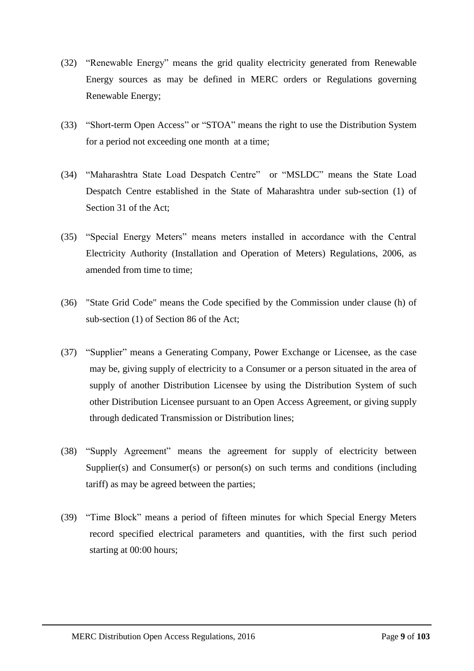- (32) "Renewable Energy" means the grid quality electricity generated from Renewable Energy sources as may be defined in MERC orders or Regulations governing Renewable Energy;
- (33) "Short-term Open Access" or "STOA" means the right to use the Distribution System for a period not exceeding one month at a time;
- (34) "Maharashtra State Load Despatch Centre" or "MSLDC" means the State Load Despatch Centre established in the State of Maharashtra under sub-section (1) of Section 31 of the Act;
- (35) "Special Energy Meters" means meters installed in accordance with the Central Electricity Authority (Installation and Operation of Meters) Regulations, 2006, as amended from time to time;
- (36) "State Grid Code" means the Code specified by the Commission under clause (h) of sub-section (1) of Section 86 of the Act;
- (37) "Supplier" means a Generating Company, Power Exchange or Licensee, as the case may be, giving supply of electricity to a Consumer or a person situated in the area of supply of another Distribution Licensee by using the Distribution System of such other Distribution Licensee pursuant to an Open Access Agreement, or giving supply through dedicated Transmission or Distribution lines;
- (38) "Supply Agreement" means the agreement for supply of electricity between Supplier(s) and Consumer(s) or person(s) on such terms and conditions (including tariff) as may be agreed between the parties;
- (39) "Time Block" means a period of fifteen minutes for which Special Energy Meters record specified electrical parameters and quantities, with the first such period starting at 00:00 hours;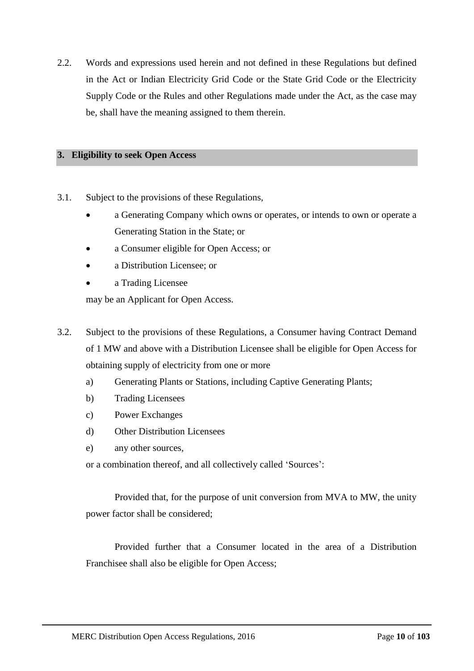2.2. Words and expressions used herein and not defined in these Regulations but defined in the Act or Indian Electricity Grid Code or the State Grid Code or the Electricity Supply Code or the Rules and other Regulations made under the Act, as the case may be, shall have the meaning assigned to them therein.

## <span id="page-9-0"></span>**3. Eligibility to seek Open Access**

- <span id="page-9-1"></span>3.1. Subject to the provisions of these Regulations,
	- a Generating Company which owns or operates, or intends to own or operate a Generating Station in the State; or
	- a Consumer eligible for Open Access; or
	- a Distribution Licensee; or
	- a Trading Licensee

may be an Applicant for Open Access.

- 3.2. Subject to the provisions of these Regulations, a Consumer having Contract Demand of 1 MW and above with a Distribution Licensee shall be eligible for Open Access for obtaining supply of electricity from one or more
	- a) Generating Plants or Stations, including Captive Generating Plants;
	- b) Trading Licensees
	- c) Power Exchanges
	- d) Other Distribution Licensees
	- e) any other sources,

or a combination thereof, and all collectively called 'Sources':

Provided that, for the purpose of unit conversion from MVA to MW, the unity power factor shall be considered;

Provided further that a Consumer located in the area of a Distribution Franchisee shall also be eligible for Open Access;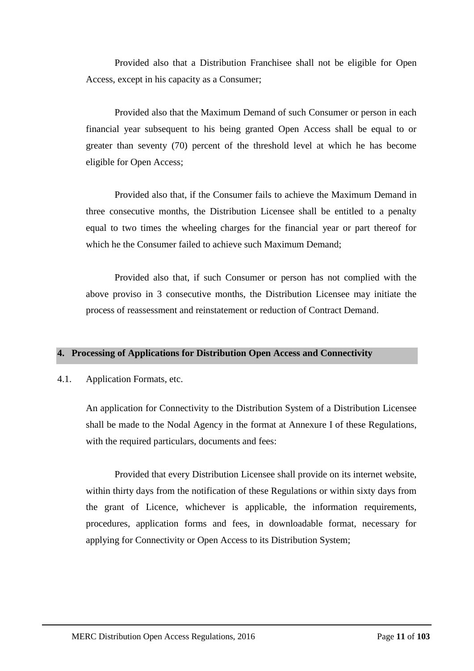Provided also that a Distribution Franchisee shall not be eligible for Open Access, except in his capacity as a Consumer;

Provided also that the Maximum Demand of such Consumer or person in each financial year subsequent to his being granted Open Access shall be equal to or greater than seventy (70) percent of the threshold level at which he has become eligible for Open Access;

Provided also that, if the Consumer fails to achieve the Maximum Demand in three consecutive months, the Distribution Licensee shall be entitled to a penalty equal to two times the wheeling charges for the financial year or part thereof for which he the Consumer failed to achieve such Maximum Demand;

Provided also that, if such Consumer or person has not complied with the above proviso in 3 consecutive months, the Distribution Licensee may initiate the process of reassessment and reinstatement or reduction of Contract Demand.

### <span id="page-10-0"></span>**4. Processing of Applications for Distribution Open Access and Connectivity**

4.1. Application Formats, etc.

An application for Connectivity to the Distribution System of a Distribution Licensee shall be made to the Nodal Agency in the format at Annexure I of these Regulations, with the required particulars, documents and fees:

Provided that every Distribution Licensee shall provide on its internet website, within thirty days from the notification of these Regulations or within sixty days from the grant of Licence, whichever is applicable, the information requirements, procedures, application forms and fees, in downloadable format, necessary for applying for Connectivity or Open Access to its Distribution System;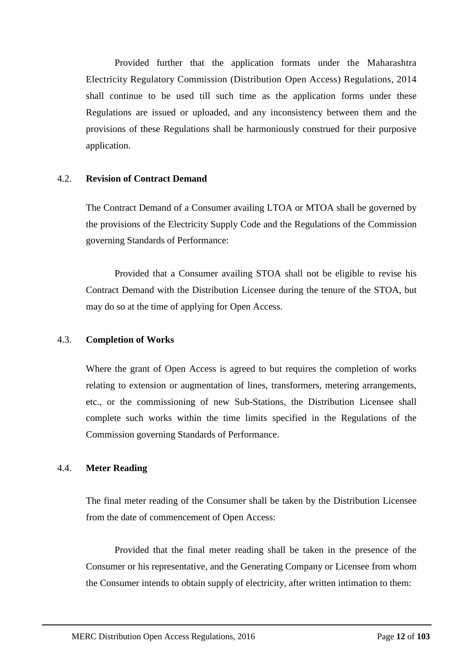Provided further that the application formats under the Maharashtra Electricity Regulatory Commission (Distribution Open Access) Regulations, 2014 shall continue to be used till such time as the application forms under these Regulations are issued or uploaded, and any inconsistency between them and the provisions of these Regulations shall be harmoniously construed for their purposive application.

### 4.2. **Revision of Contract Demand**

The Contract Demand of a Consumer availing LTOA or MTOA shall be governed by the provisions of the Electricity Supply Code and the Regulations of the Commission governing Standards of Performance:

Provided that a Consumer availing STOA shall not be eligible to revise his Contract Demand with the Distribution Licensee during the tenure of the STOA, but may do so at the time of applying for Open Access.

# 4.3. **Completion of Works**

Where the grant of Open Access is agreed to but requires the completion of works relating to extension or augmentation of lines, transformers, metering arrangements, etc., or the commissioning of new Sub-Stations, the Distribution Licensee shall complete such works within the time limits specified in the Regulations of the Commission governing Standards of Performance.

# 4.4. **Meter Reading**

The final meter reading of the Consumer shall be taken by the Distribution Licensee from the date of commencement of Open Access:

Provided that the final meter reading shall be taken in the presence of the Consumer or his representative, and the Generating Company or Licensee from whom the Consumer intends to obtain supply of electricity, after written intimation to them: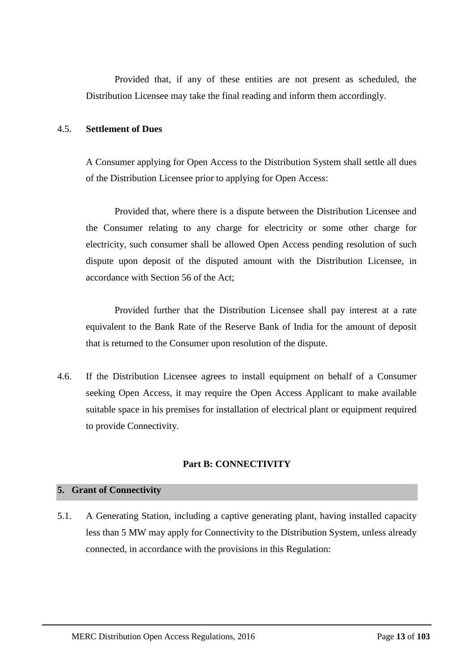Provided that, if any of these entities are not present as scheduled, the Distribution Licensee may take the final reading and inform them accordingly.

## 4.5. **Settlement of Dues**

A Consumer applying for Open Access to the Distribution System shall settle all dues of the Distribution Licensee prior to applying for Open Access:

Provided that, where there is a dispute between the Distribution Licensee and the Consumer relating to any charge for electricity or some other charge for electricity, such consumer shall be allowed Open Access pending resolution of such dispute upon deposit of the disputed amount with the Distribution Licensee, in accordance with Section 56 of the Act;

Provided further that the Distribution Licensee shall pay interest at a rate equivalent to the Bank Rate of the Reserve Bank of India for the amount of deposit that is returned to the Consumer upon resolution of the dispute.

4.6. If the Distribution Licensee agrees to install equipment on behalf of a Consumer seeking Open Access, it may require the Open Access Applicant to make available suitable space in his premises for installation of electrical plant or equipment required to provide Connectivity.

# **Part B: CONNECTIVITY**

### <span id="page-12-1"></span><span id="page-12-0"></span>**5. Grant of Connectivity**

5.1. A Generating Station, including a captive generating plant, having installed capacity less than 5 MW may apply for Connectivity to the Distribution System, unless already connected, in accordance with the provisions in this Regulation: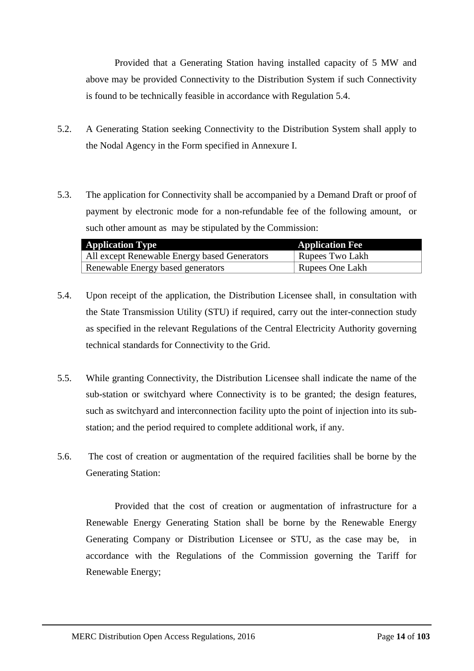Provided that a Generating Station having installed capacity of 5 MW and above may be provided Connectivity to the Distribution System if such Connectivity is found to be technically feasible in accordance with Regulation [5.4.](#page-13-0)

- 5.2. A Generating Station seeking Connectivity to the Distribution System shall apply to the Nodal Agency in the Form specified in Annexure I.
- 5.3. The application for Connectivity shall be accompanied by a Demand Draft or proof of payment by electronic mode for a non-refundable fee of the following amount, or such other amount as may be stipulated by the Commission:

| <b>Application Type</b>                      | <b>Application Fee</b> |
|----------------------------------------------|------------------------|
| All except Renewable Energy based Generators | Rupees Two Lakh        |
| Renewable Energy based generators            | Rupees One Lakh        |

- <span id="page-13-0"></span>5.4. Upon receipt of the application, the Distribution Licensee shall, in consultation with the State Transmission Utility (STU) if required, carry out the inter-connection study as specified in the relevant Regulations of the Central Electricity Authority governing technical standards for Connectivity to the Grid.
- 5.5. While granting Connectivity, the Distribution Licensee shall indicate the name of the sub-station or switchyard where Connectivity is to be granted; the design features, such as switchyard and interconnection facility upto the point of injection into its substation; and the period required to complete additional work, if any.
- <span id="page-13-1"></span>5.6. The cost of creation or augmentation of the required facilities shall be borne by the Generating Station:

Provided that the cost of creation or augmentation of infrastructure for a Renewable Energy Generating Station shall be borne by the Renewable Energy Generating Company or Distribution Licensee or STU, as the case may be, in accordance with the Regulations of the Commission governing the Tariff for Renewable Energy;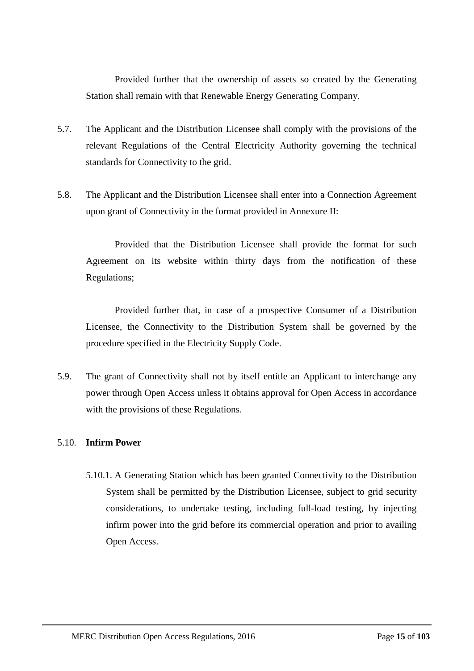Provided further that the ownership of assets so created by the Generating Station shall remain with that Renewable Energy Generating Company.

- 5.7. The Applicant and the Distribution Licensee shall comply with the provisions of the relevant Regulations of the Central Electricity Authority governing the technical standards for Connectivity to the grid.
- 5.8. The Applicant and the Distribution Licensee shall enter into a Connection Agreement upon grant of Connectivity in the format provided in Annexure II:

Provided that the Distribution Licensee shall provide the format for such Agreement on its website within thirty days from the notification of these Regulations;

Provided further that, in case of a prospective Consumer of a Distribution Licensee, the Connectivity to the Distribution System shall be governed by the procedure specified in the Electricity Supply Code.

5.9. The grant of Connectivity shall not by itself entitle an Applicant to interchange any power through Open Access unless it obtains approval for Open Access in accordance with the provisions of these Regulations.

# 5.10. **Infirm Power**

5.10.1. A Generating Station which has been granted Connectivity to the Distribution System shall be permitted by the Distribution Licensee, subject to grid security considerations, to undertake testing, including full-load testing, by injecting infirm power into the grid before its commercial operation and prior to availing Open Access.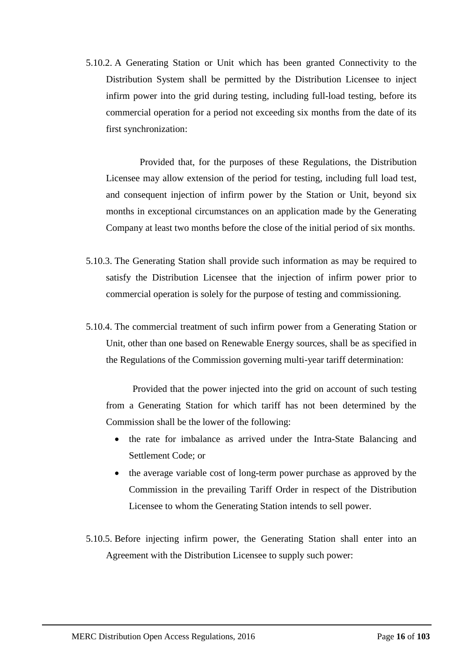5.10.2. A Generating Station or Unit which has been granted Connectivity to the Distribution System shall be permitted by the Distribution Licensee to inject infirm power into the grid during testing, including full-load testing, before its commercial operation for a period not exceeding six months from the date of its first synchronization:

Provided that, for the purposes of these Regulations, the Distribution Licensee may allow extension of the period for testing, including full load test, and consequent injection of infirm power by the Station or Unit, beyond six months in exceptional circumstances on an application made by the Generating Company at least two months before the close of the initial period of six months.

- 5.10.3. The Generating Station shall provide such information as may be required to satisfy the Distribution Licensee that the injection of infirm power prior to commercial operation is solely for the purpose of testing and commissioning.
- 5.10.4. The commercial treatment of such infirm power from a Generating Station or Unit, other than one based on Renewable Energy sources, shall be as specified in the Regulations of the Commission governing multi-year tariff determination:

Provided that the power injected into the grid on account of such testing from a Generating Station for which tariff has not been determined by the Commission shall be the lower of the following:

- the rate for imbalance as arrived under the Intra-State Balancing and Settlement Code; or
- the average variable cost of long-term power purchase as approved by the Commission in the prevailing Tariff Order in respect of the Distribution Licensee to whom the Generating Station intends to sell power.
- 5.10.5. Before injecting infirm power, the Generating Station shall enter into an Agreement with the Distribution Licensee to supply such power: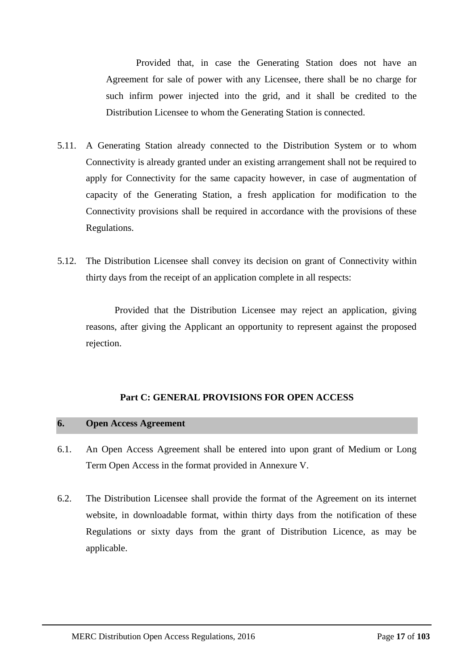Provided that, in case the Generating Station does not have an Agreement for sale of power with any Licensee, there shall be no charge for such infirm power injected into the grid, and it shall be credited to the Distribution Licensee to whom the Generating Station is connected.

- 5.11. A Generating Station already connected to the Distribution System or to whom Connectivity is already granted under an existing arrangement shall not be required to apply for Connectivity for the same capacity however, in case of augmentation of capacity of the Generating Station, a fresh application for modification to the Connectivity provisions shall be required in accordance with the provisions of these Regulations.
- 5.12. The Distribution Licensee shall convey its decision on grant of Connectivity within thirty days from the receipt of an application complete in all respects:

Provided that the Distribution Licensee may reject an application, giving reasons, after giving the Applicant an opportunity to represent against the proposed rejection.

# **Part C: GENERAL PROVISIONS FOR OPEN ACCESS**

### <span id="page-16-1"></span><span id="page-16-0"></span>**6. Open Access Agreement**

- 6.1. An Open Access Agreement shall be entered into upon grant of Medium or Long Term Open Access in the format provided in Annexure V.
- 6.2. The Distribution Licensee shall provide the format of the Agreement on its internet website, in downloadable format, within thirty days from the notification of these Regulations or sixty days from the grant of Distribution Licence, as may be applicable.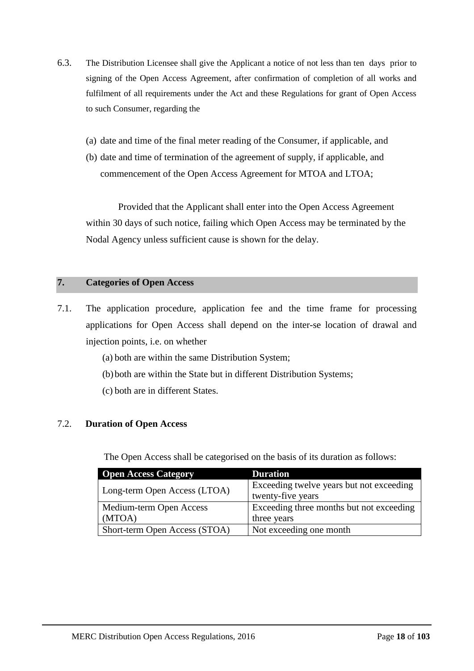- 6.3. The Distribution Licensee shall give the Applicant a notice of not less than ten days prior to signing of the Open Access Agreement, after confirmation of completion of all works and fulfilment of all requirements under the Act and these Regulations for grant of Open Access to such Consumer, regarding the
	- (a) date and time of the final meter reading of the Consumer, if applicable, and
	- (b) date and time of termination of the agreement of supply, if applicable, and commencement of the Open Access Agreement for MTOA and LTOA;

Provided that the Applicant shall enter into the Open Access Agreement within 30 days of such notice, failing which Open Access may be terminated by the Nodal Agency unless sufficient cause is shown for the delay.

## <span id="page-17-0"></span>**7. Categories of Open Access**

- 7.1. The application procedure, application fee and the time frame for processing applications for Open Access shall depend on the inter-se location of drawal and injection points, i.e. on whether
	- (a) both are within the same Distribution System;
	- (b)both are within the State but in different Distribution Systems;
	- (c) both are in different States.

# 7.2. **Duration of Open Access**

The Open Access shall be categorised on the basis of its duration as follows:

| <b>Open Access Category</b>   | <b>Duration</b>                          |  |
|-------------------------------|------------------------------------------|--|
| Long-term Open Access (LTOA)  | Exceeding twelve years but not exceeding |  |
|                               | twenty-five years                        |  |
| Medium-term Open Access       | Exceeding three months but not exceeding |  |
| (MTOA)                        | three years                              |  |
| Short-term Open Access (STOA) | Not exceeding one month                  |  |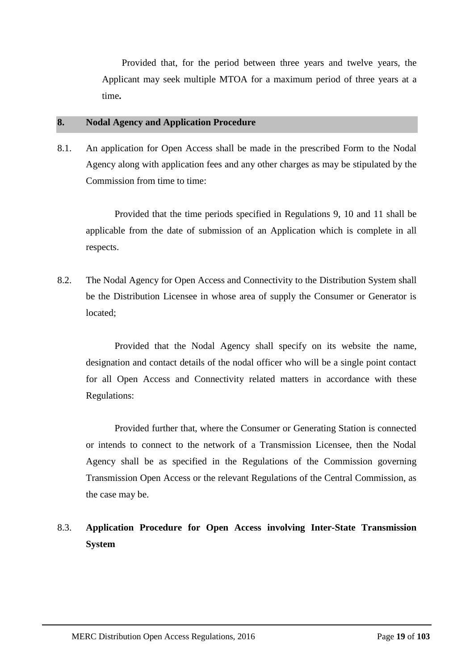Provided that, for the period between three years and twelve years, the Applicant may seek multiple MTOA for a maximum period of three years at a time**.**

## <span id="page-18-0"></span>**8. Nodal Agency and Application Procedure**

8.1. An application for Open Access shall be made in the prescribed Form to the Nodal Agency along with application fees and any other charges as may be stipulated by the Commission from time to time:

Provided that the time periods specified in Regulations 9, 10 and 11 shall be applicable from the date of submission of an Application which is complete in all respects.

8.2. The Nodal Agency for Open Access and Connectivity to the Distribution System shall be the Distribution Licensee in whose area of supply the Consumer or Generator is located;

Provided that the Nodal Agency shall specify on its website the name, designation and contact details of the nodal officer who will be a single point contact for all Open Access and Connectivity related matters in accordance with these Regulations:

Provided further that, where the Consumer or Generating Station is connected or intends to connect to the network of a Transmission Licensee, then the Nodal Agency shall be as specified in the Regulations of the Commission governing Transmission Open Access or the relevant Regulations of the Central Commission, as the case may be.

# 8.3. **Application Procedure for Open Access involving Inter-State Transmission System**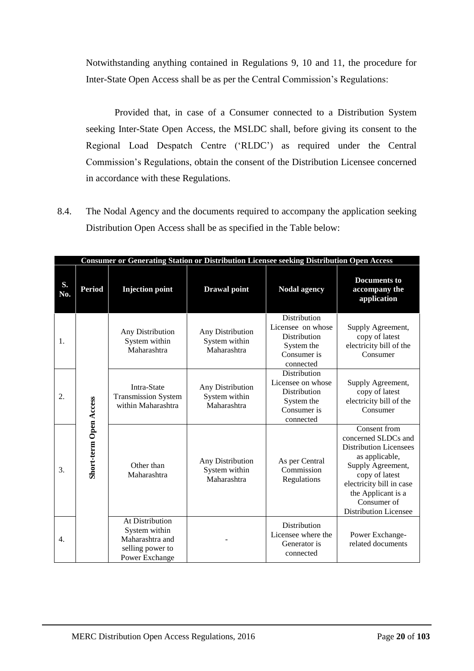Notwithstanding anything contained in Regulations 9, 10 and 11, the procedure for Inter-State Open Access shall be as per the Central Commission's Regulations:

Provided that, in case of a Consumer connected to a Distribution System seeking Inter-State Open Access, the MSLDC shall, before giving its consent to the Regional Load Despatch Centre ('RLDC') as required under the Central Commission's Regulations, obtain the consent of the Distribution Licensee concerned in accordance with these Regulations.

8.4. The Nodal Agency and the documents required to accompany the application seeking Distribution Open Access shall be as specified in the Table below:

|           | <b>Consumer or Generating Station or Distribution Licensee seeking Distribution Open Access</b> |                                                                                           |                                                  |                                                                                             |                                                                                                                                                                                                                                |
|-----------|-------------------------------------------------------------------------------------------------|-------------------------------------------------------------------------------------------|--------------------------------------------------|---------------------------------------------------------------------------------------------|--------------------------------------------------------------------------------------------------------------------------------------------------------------------------------------------------------------------------------|
| S.<br>No. | <b>Period</b>                                                                                   | <b>Injection point</b>                                                                    | <b>Drawal</b> point                              | <b>Nodal agency</b>                                                                         | <b>Documents to</b><br>accompany the<br>application                                                                                                                                                                            |
| 1.        |                                                                                                 | Any Distribution<br>System within<br>Maharashtra                                          | Any Distribution<br>System within<br>Maharashtra | Distribution<br>Licensee on whose<br>Distribution<br>System the<br>Consumer is<br>connected | Supply Agreement,<br>copy of latest<br>electricity bill of the<br>Consumer                                                                                                                                                     |
| 2.        |                                                                                                 | Intra-State<br><b>Transmission System</b><br>within Maharashtra                           | Any Distribution<br>System within<br>Maharashtra | Distribution<br>Licensee on whose<br>Distribution<br>System the<br>Consumer is<br>connected | Supply Agreement,<br>copy of latest<br>electricity bill of the<br>Consumer                                                                                                                                                     |
| 3.        | Short-term Open Access                                                                          | Other than<br>Maharashtra                                                                 | Any Distribution<br>System within<br>Maharashtra | As per Central<br>Commission<br>Regulations                                                 | Consent from<br>concerned SLDCs and<br><b>Distribution Licensees</b><br>as applicable,<br>Supply Agreement,<br>copy of latest<br>electricity bill in case<br>the Applicant is a<br>Consumer of<br><b>Distribution Licensee</b> |
| 4.        |                                                                                                 | At Distribution<br>System within<br>Maharashtra and<br>selling power to<br>Power Exchange |                                                  | Distribution<br>Licensee where the<br>Generator is<br>connected                             | Power Exchange-<br>related documents                                                                                                                                                                                           |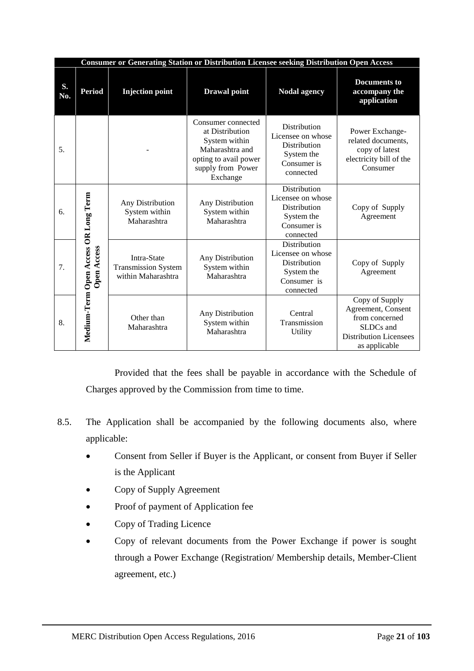| <b>Consumer or Generating Station or Distribution Licensee seeking Distribution Open Access</b> |                                                     |                                                                 |                                                                                                                                     |                                                                                                           |                                                                                                                       |
|-------------------------------------------------------------------------------------------------|-----------------------------------------------------|-----------------------------------------------------------------|-------------------------------------------------------------------------------------------------------------------------------------|-----------------------------------------------------------------------------------------------------------|-----------------------------------------------------------------------------------------------------------------------|
| S.<br>No.                                                                                       | <b>Period</b>                                       | <b>Injection point</b>                                          | <b>Drawal</b> point                                                                                                                 | <b>Nodal agency</b>                                                                                       | <b>Documents to</b><br>accompany the<br>application                                                                   |
| 5.                                                                                              |                                                     |                                                                 | Consumer connected<br>at Distribution<br>System within<br>Maharashtra and<br>opting to avail power<br>supply from Power<br>Exchange | Distribution<br>Licensee on whose<br><b>Distribution</b><br>System the<br>Consumer is<br>connected        | Power Exchange-<br>related documents,<br>copy of latest<br>electricity bill of the<br>Consumer                        |
| 6.                                                                                              |                                                     | Any Distribution<br>System within<br>Maharashtra                | Any Distribution<br>System within<br>Maharashtra                                                                                    | <b>Distribution</b><br>Licensee on whose<br><b>Distribution</b><br>System the<br>Consumer is<br>connected | Copy of Supply<br>Agreement                                                                                           |
| 7.                                                                                              | Medium-Term Open Access OR Long Term<br>Open Access | Intra-State<br><b>Transmission System</b><br>within Maharashtra | Any Distribution<br>System within<br>Maharashtra                                                                                    | Distribution<br>Licensee on whose<br>Distribution<br>System the<br>Consumer is<br>connected               | Copy of Supply<br>Agreement                                                                                           |
| 8.                                                                                              |                                                     | Other than<br>Maharashtra                                       | Any Distribution<br>System within<br>Maharashtra                                                                                    | Central<br>Transmission<br>Utility                                                                        | Copy of Supply<br>Agreement, Consent<br>from concerned<br>SLDCs and<br><b>Distribution Licensees</b><br>as applicable |

Provided that the fees shall be payable in accordance with the Schedule of Charges approved by the Commission from time to time.

- 8.5. The Application shall be accompanied by the following documents also, where applicable:
	- Consent from Seller if Buyer is the Applicant, or consent from Buyer if Seller is the Applicant
	- Copy of Supply Agreement
	- Proof of payment of Application fee
	- Copy of Trading Licence
	- Copy of relevant documents from the Power Exchange if power is sought through a Power Exchange (Registration/ Membership details, Member-Client agreement, etc.)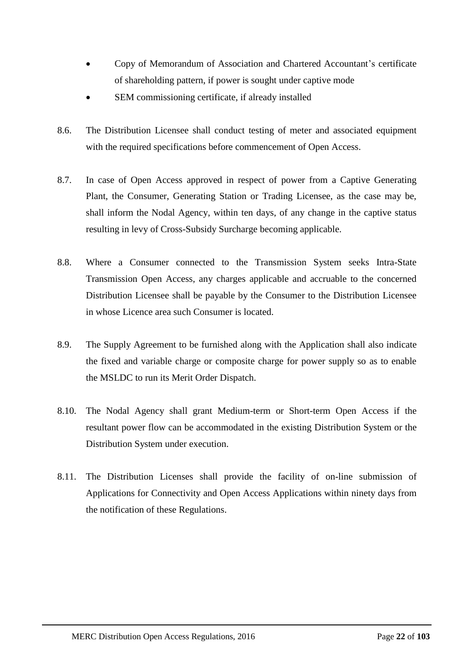- Copy of Memorandum of Association and Chartered Accountant's certificate of shareholding pattern, if power is sought under captive mode
- SEM commissioning certificate, if already installed
- 8.6. The Distribution Licensee shall conduct testing of meter and associated equipment with the required specifications before commencement of Open Access.
- 8.7. In case of Open Access approved in respect of power from a Captive Generating Plant, the Consumer, Generating Station or Trading Licensee, as the case may be, shall inform the Nodal Agency, within ten days, of any change in the captive status resulting in levy of Cross-Subsidy Surcharge becoming applicable.
- 8.8. Where a Consumer connected to the Transmission System seeks Intra-State Transmission Open Access, any charges applicable and accruable to the concerned Distribution Licensee shall be payable by the Consumer to the Distribution Licensee in whose Licence area such Consumer is located.
- 8.9. The Supply Agreement to be furnished along with the Application shall also indicate the fixed and variable charge or composite charge for power supply so as to enable the MSLDC to run its Merit Order Dispatch.
- 8.10. The Nodal Agency shall grant Medium-term or Short-term Open Access if the resultant power flow can be accommodated in the existing Distribution System or the Distribution System under execution.
- 8.11. The Distribution Licenses shall provide the facility of on-line submission of Applications for Connectivity and Open Access Applications within ninety days from the notification of these Regulations.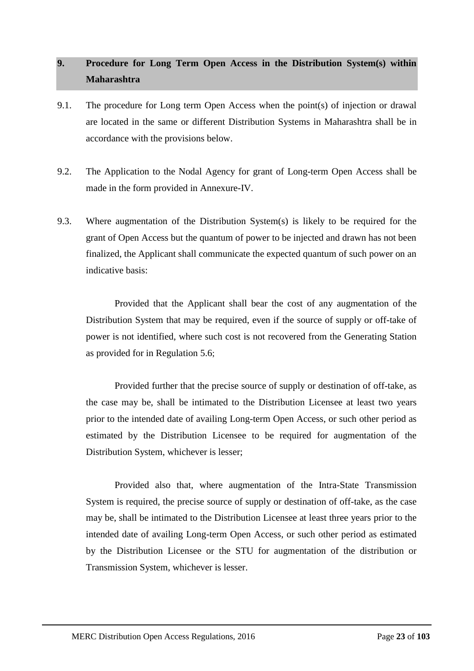# <span id="page-22-0"></span>**9. Procedure for Long Term Open Access in the Distribution System(s) within Maharashtra**

- 9.1. The procedure for Long term Open Access when the point(s) of injection or drawal are located in the same or different Distribution Systems in Maharashtra shall be in accordance with the provisions below.
- 9.2. The Application to the Nodal Agency for grant of Long-term Open Access shall be made in the form provided in Annexure-IV.
- 9.3. Where augmentation of the Distribution System(s) is likely to be required for the grant of Open Access but the quantum of power to be injected and drawn has not been finalized, the Applicant shall communicate the expected quantum of such power on an indicative basis:

Provided that the Applicant shall bear the cost of any augmentation of the Distribution System that may be required, even if the source of supply or off-take of power is not identified, where such cost is not recovered from the Generating Station as provided for in Regulation [5.6](#page-13-1);

Provided further that the precise source of supply or destination of off-take, as the case may be, shall be intimated to the Distribution Licensee at least two years prior to the intended date of availing Long-term Open Access, or such other period as estimated by the Distribution Licensee to be required for augmentation of the Distribution System, whichever is lesser;

Provided also that, where augmentation of the Intra-State Transmission System is required, the precise source of supply or destination of off-take, as the case may be, shall be intimated to the Distribution Licensee at least three years prior to the intended date of availing Long-term Open Access, or such other period as estimated by the Distribution Licensee or the STU for augmentation of the distribution or Transmission System, whichever is lesser.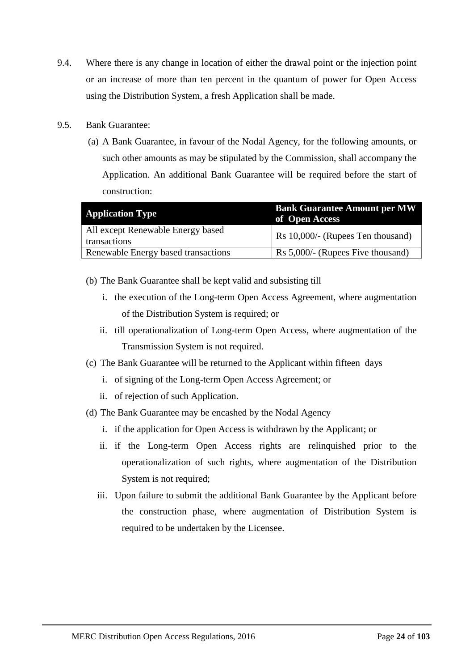- 9.4. Where there is any change in location of either the drawal point or the injection point or an increase of more than ten percent in the quantum of power for Open Access using the Distribution System, a fresh Application shall be made.
- 9.5. Bank Guarantee:
	- (a) A Bank Guarantee, in favour of the Nodal Agency, for the following amounts, or such other amounts as may be stipulated by the Commission, shall accompany the Application. An additional Bank Guarantee will be required before the start of construction:

| <b>Application Type</b>                           | <b>Bank Guarantee Amount per MW</b><br>of Open Access |
|---------------------------------------------------|-------------------------------------------------------|
| All except Renewable Energy based<br>transactions | Rs 10,000/- (Rupees Ten thousand)                     |
| Renewable Energy based transactions               | Rs 5,000/- (Rupees Five thousand)                     |

- (b) The Bank Guarantee shall be kept valid and subsisting till
	- i. the execution of the Long-term Open Access Agreement, where augmentation of the Distribution System is required; or
	- ii. till operationalization of Long-term Open Access, where augmentation of the Transmission System is not required.
- (c) The Bank Guarantee will be returned to the Applicant within fifteen days
	- i. of signing of the Long-term Open Access Agreement; or
	- ii. of rejection of such Application.
- (d) The Bank Guarantee may be encashed by the Nodal Agency
	- i. if the application for Open Access is withdrawn by the Applicant; or
	- ii. if the Long-term Open Access rights are relinquished prior to the operationalization of such rights, where augmentation of the Distribution System is not required;
	- iii. Upon failure to submit the additional Bank Guarantee by the Applicant before the construction phase, where augmentation of Distribution System is required to be undertaken by the Licensee.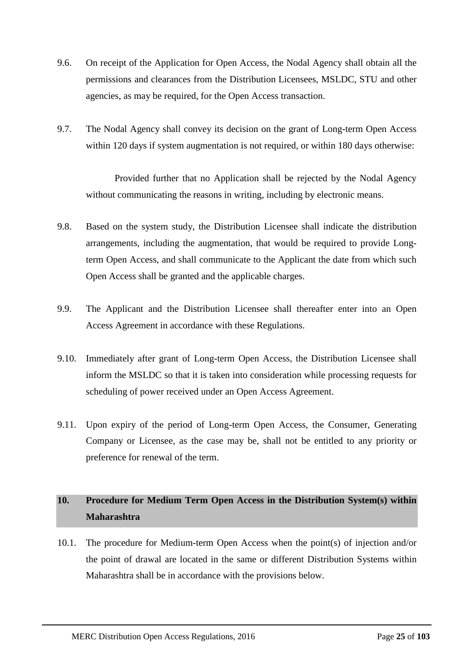- 9.6. On receipt of the Application for Open Access, the Nodal Agency shall obtain all the permissions and clearances from the Distribution Licensees, MSLDC, STU and other agencies, as may be required, for the Open Access transaction.
- 9.7. The Nodal Agency shall convey its decision on the grant of Long-term Open Access within 120 days if system augmentation is not required, or within 180 days otherwise:

Provided further that no Application shall be rejected by the Nodal Agency without communicating the reasons in writing, including by electronic means.

- 9.8. Based on the system study, the Distribution Licensee shall indicate the distribution arrangements, including the augmentation, that would be required to provide Longterm Open Access, and shall communicate to the Applicant the date from which such Open Access shall be granted and the applicable charges.
- 9.9. The Applicant and the Distribution Licensee shall thereafter enter into an Open Access Agreement in accordance with these Regulations.
- 9.10. Immediately after grant of Long-term Open Access, the Distribution Licensee shall inform the MSLDC so that it is taken into consideration while processing requests for scheduling of power received under an Open Access Agreement.
- 9.11. Upon expiry of the period of Long-term Open Access, the Consumer, Generating Company or Licensee, as the case may be, shall not be entitled to any priority or preference for renewal of the term.

# <span id="page-24-0"></span>**10. Procedure for Medium Term Open Access in the Distribution System(s) within Maharashtra**

10.1. The procedure for Medium-term Open Access when the point(s) of injection and/or the point of drawal are located in the same or different Distribution Systems within Maharashtra shall be in accordance with the provisions below.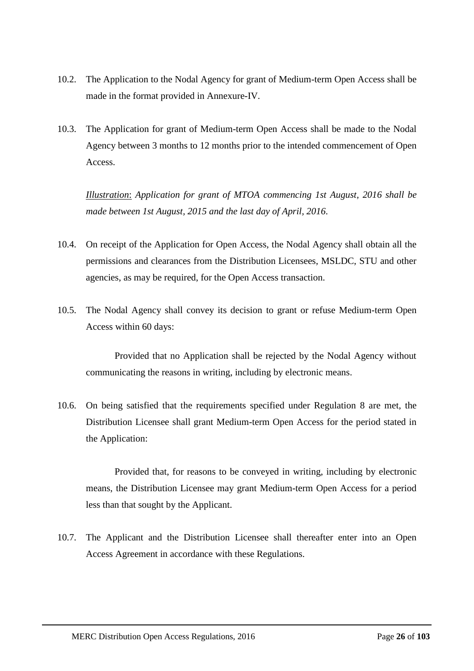- 10.2. The Application to the Nodal Agency for grant of Medium-term Open Access shall be made in the format provided in Annexure-IV.
- 10.3. The Application for grant of Medium-term Open Access shall be made to the Nodal Agency between 3 months to 12 months prior to the intended commencement of Open Access.

*Illustration*: *Application for grant of MTOA commencing 1st August, 2016 shall be made between 1st August, 2015 and the last day of April, 2016*.

- 10.4. On receipt of the Application for Open Access, the Nodal Agency shall obtain all the permissions and clearances from the Distribution Licensees, MSLDC, STU and other agencies, as may be required, for the Open Access transaction.
- 10.5. The Nodal Agency shall convey its decision to grant or refuse Medium-term Open Access within 60 days:

Provided that no Application shall be rejected by the Nodal Agency without communicating the reasons in writing, including by electronic means.

10.6. On being satisfied that the requirements specified under Regulation [8](#page-18-0) are met, the Distribution Licensee shall grant Medium-term Open Access for the period stated in the Application:

Provided that, for reasons to be conveyed in writing, including by electronic means, the Distribution Licensee may grant Medium-term Open Access for a period less than that sought by the Applicant.

10.7. The Applicant and the Distribution Licensee shall thereafter enter into an Open Access Agreement in accordance with these Regulations.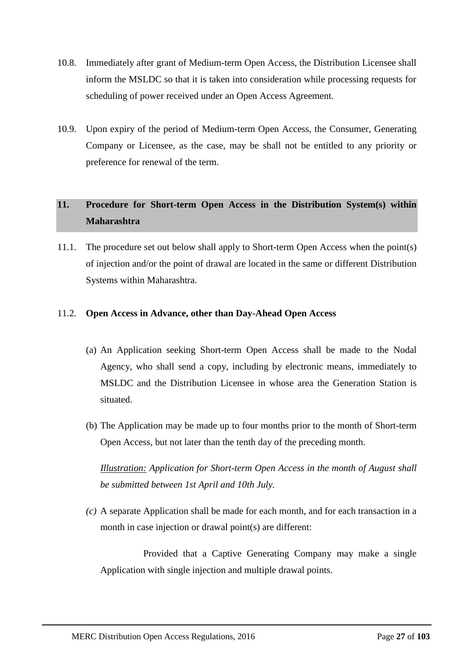- 10.8. Immediately after grant of Medium-term Open Access, the Distribution Licensee shall inform the MSLDC so that it is taken into consideration while processing requests for scheduling of power received under an Open Access Agreement.
- 10.9. Upon expiry of the period of Medium-term Open Access, the Consumer, Generating Company or Licensee, as the case, may be shall not be entitled to any priority or preference for renewal of the term.

# <span id="page-26-0"></span>**11. Procedure for Short-term Open Access in the Distribution System(s) within Maharashtra**

11.1. The procedure set out below shall apply to Short-term Open Access when the point(s) of injection and/or the point of drawal are located in the same or different Distribution Systems within Maharashtra.

# 11.2. **Open Access in Advance, other than Day-Ahead Open Access**

- (a) An Application seeking Short-term Open Access shall be made to the Nodal Agency, who shall send a copy, including by electronic means, immediately to MSLDC and the Distribution Licensee in whose area the Generation Station is situated.
- (b) The Application may be made up to four months prior to the month of Short-term Open Access, but not later than the tenth day of the preceding month.

*Illustration: Application for Short-term Open Access in the month of August shall be submitted between 1st April and 10th July.*

*(c)* A separate Application shall be made for each month, and for each transaction in a month in case injection or drawal point(s) are different:

Provided that a Captive Generating Company may make a single Application with single injection and multiple drawal points.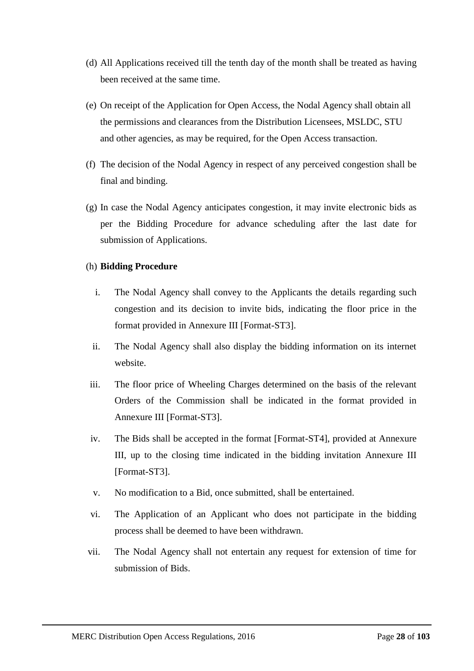- (d) All Applications received till the tenth day of the month shall be treated as having been received at the same time.
- (e) On receipt of the Application for Open Access, the Nodal Agency shall obtain all the permissions and clearances from the Distribution Licensees, MSLDC, STU and other agencies, as may be required, for the Open Access transaction.
- (f) The decision of the Nodal Agency in respect of any perceived congestion shall be final and binding.
- (g) In case the Nodal Agency anticipates congestion, it may invite electronic bids as per the Bidding Procedure for advance scheduling after the last date for submission of Applications.

# (h) **Bidding Procedure**

- i. The Nodal Agency shall convey to the Applicants the details regarding such congestion and its decision to invite bids, indicating the floor price in the format provided in Annexure III [Format-ST3].
- ii. The Nodal Agency shall also display the bidding information on its internet website.
- iii. The floor price of Wheeling Charges determined on the basis of the relevant Orders of the Commission shall be indicated in the format provided in Annexure III [Format-ST3].
- iv. The Bids shall be accepted in the format [Format-ST4], provided at Annexure III, up to the closing time indicated in the bidding invitation Annexure III [Format-ST3].
- v. No modification to a Bid, once submitted, shall be entertained.
- vi. The Application of an Applicant who does not participate in the bidding process shall be deemed to have been withdrawn.
- vii. The Nodal Agency shall not entertain any request for extension of time for submission of Bids.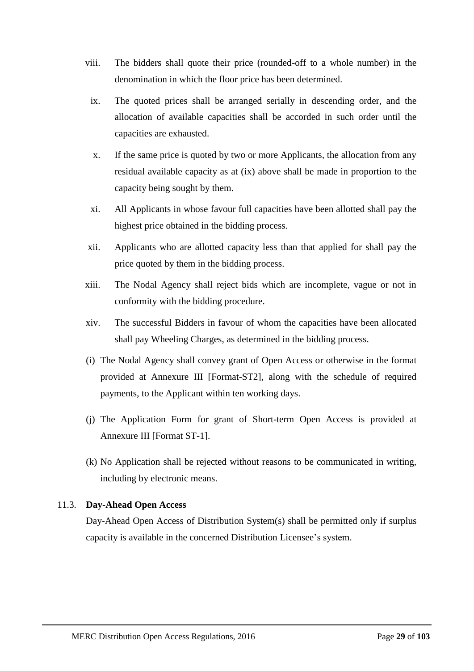- viii. The bidders shall quote their price (rounded-off to a whole number) in the denomination in which the floor price has been determined.
- ix. The quoted prices shall be arranged serially in descending order, and the allocation of available capacities shall be accorded in such order until the capacities are exhausted.
- x. If the same price is quoted by two or more Applicants, the allocation from any residual available capacity as at (ix) above shall be made in proportion to the capacity being sought by them.
- xi. All Applicants in whose favour full capacities have been allotted shall pay the highest price obtained in the bidding process.
- xii. Applicants who are allotted capacity less than that applied for shall pay the price quoted by them in the bidding process.
- xiii. The Nodal Agency shall reject bids which are incomplete, vague or not in conformity with the bidding procedure.
- xiv. The successful Bidders in favour of whom the capacities have been allocated shall pay Wheeling Charges, as determined in the bidding process.
- (i) The Nodal Agency shall convey grant of Open Access or otherwise in the format provided at Annexure III [Format-ST2], along with the schedule of required payments, to the Applicant within ten working days.
- (j) The Application Form for grant of Short-term Open Access is provided at Annexure III [Format ST-1].
- (k) No Application shall be rejected without reasons to be communicated in writing, including by electronic means.

# 11.3. **Day-Ahead Open Access**

Day-Ahead Open Access of Distribution System(s) shall be permitted only if surplus capacity is available in the concerned Distribution Licensee's system.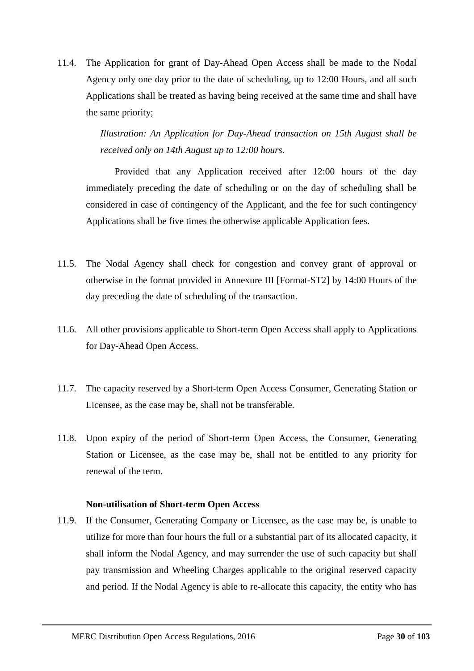11.4. The Application for grant of Day-Ahead Open Access shall be made to the Nodal Agency only one day prior to the date of scheduling, up to 12:00 Hours, and all such Applications shall be treated as having being received at the same time and shall have the same priority;

> *Illustration: An Application for Day-Ahead transaction on 15th August shall be received only on 14th August up to 12:00 hours.*

Provided that any Application received after 12:00 hours of the day immediately preceding the date of scheduling or on the day of scheduling shall be considered in case of contingency of the Applicant, and the fee for such contingency Applications shall be five times the otherwise applicable Application fees.

- 11.5. The Nodal Agency shall check for congestion and convey grant of approval or otherwise in the format provided in Annexure III [Format-ST2] by 14:00 Hours of the day preceding the date of scheduling of the transaction.
- 11.6. All other provisions applicable to Short-term Open Access shall apply to Applications for Day-Ahead Open Access.
- 11.7. The capacity reserved by a Short-term Open Access Consumer, Generating Station or Licensee, as the case may be, shall not be transferable.
- 11.8. Upon expiry of the period of Short-term Open Access, the Consumer, Generating Station or Licensee, as the case may be, shall not be entitled to any priority for renewal of the term.

### **Non-utilisation of Short-term Open Access**

11.9. If the Consumer, Generating Company or Licensee, as the case may be, is unable to utilize for more than four hours the full or a substantial part of its allocated capacity, it shall inform the Nodal Agency, and may surrender the use of such capacity but shall pay transmission and Wheeling Charges applicable to the original reserved capacity and period. If the Nodal Agency is able to re-allocate this capacity, the entity who has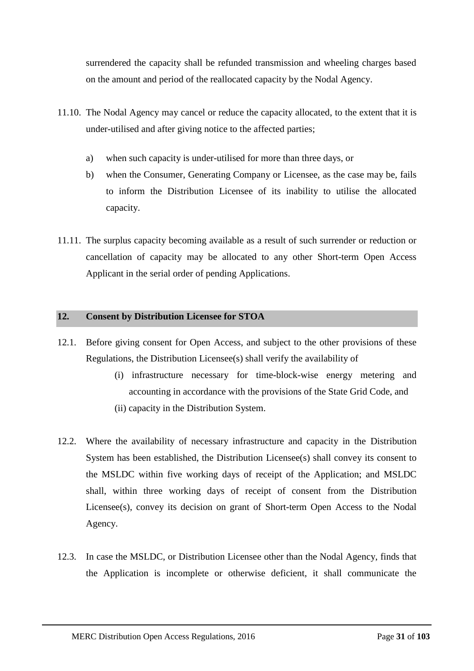surrendered the capacity shall be refunded transmission and wheeling charges based on the amount and period of the reallocated capacity by the Nodal Agency.

- 11.10. The Nodal Agency may cancel or reduce the capacity allocated, to the extent that it is under-utilised and after giving notice to the affected parties;
	- a) when such capacity is under-utilised for more than three days, or
	- b) when the Consumer, Generating Company or Licensee, as the case may be, fails to inform the Distribution Licensee of its inability to utilise the allocated capacity.
- 11.11. The surplus capacity becoming available as a result of such surrender or reduction or cancellation of capacity may be allocated to any other Short-term Open Access Applicant in the serial order of pending Applications.

## <span id="page-30-0"></span>**12. Consent by Distribution Licensee for STOA**

- 12.1. Before giving consent for Open Access, and subject to the other provisions of these Regulations, the Distribution Licensee(s) shall verify the availability of
	- (i) infrastructure necessary for time-block-wise energy metering and accounting in accordance with the provisions of the State Grid Code, and (ii) capacity in the Distribution System.
- 12.2. Where the availability of necessary infrastructure and capacity in the Distribution System has been established, the Distribution Licensee(s) shall convey its consent to the MSLDC within five working days of receipt of the Application; and MSLDC shall, within three working days of receipt of consent from the Distribution Licensee(s), convey its decision on grant of Short-term Open Access to the Nodal Agency.
- 12.3. In case the MSLDC, or Distribution Licensee other than the Nodal Agency, finds that the Application is incomplete or otherwise deficient, it shall communicate the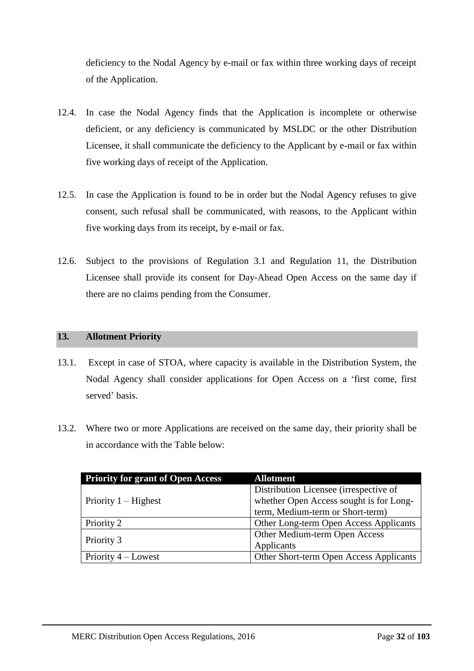deficiency to the Nodal Agency by e-mail or fax within three working days of receipt of the Application.

- 12.4. In case the Nodal Agency finds that the Application is incomplete or otherwise deficient, or any deficiency is communicated by MSLDC or the other Distribution Licensee, it shall communicate the deficiency to the Applicant by e-mail or fax within five working days of receipt of the Application.
- 12.5. In case the Application is found to be in order but the Nodal Agency refuses to give consent, such refusal shall be communicated, with reasons, to the Applicant within five working days from its receipt, by e-mail or fax.
- 12.6. Subject to the provisions of Regulation [3.1](#page-9-1) and Regulation [11,](#page-26-0) the Distribution Licensee shall provide its consent for Day-Ahead Open Access on the same day if there are no claims pending from the Consumer.

# <span id="page-31-0"></span>**13. Allotment Priority**

- 13.1. Except in case of STOA, where capacity is available in the Distribution System, the Nodal Agency shall consider applications for Open Access on a 'first come, first served' basis.
- 13.2. Where two or more Applications are received on the same day, their priority shall be in accordance with the Table below:

| <b>Priority for grant of Open Access</b> | <b>Allotment</b>                        |
|------------------------------------------|-----------------------------------------|
|                                          | Distribution Licensee (irrespective of  |
| Priority $1 -$ Highest                   | whether Open Access sought is for Long- |
|                                          | term, Medium-term or Short-term)        |
| Priority 2                               | Other Long-term Open Access Applicants  |
|                                          | Other Medium-term Open Access           |
| Priority 3                               | Applicants                              |
| Priority $4 -$ Lowest                    | Other Short-term Open Access Applicants |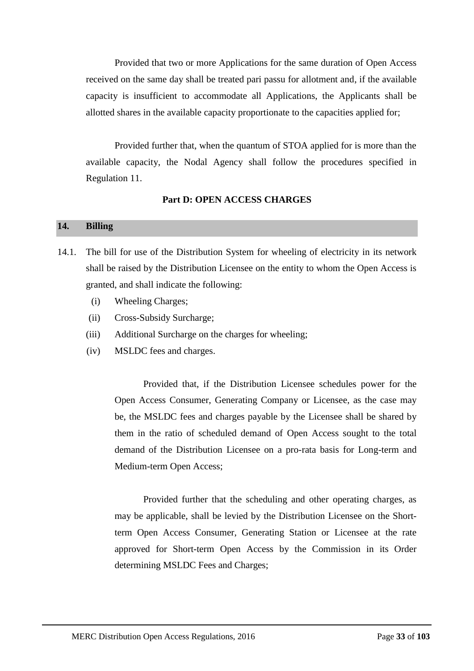Provided that two or more Applications for the same duration of Open Access received on the same day shall be treated pari passu for allotment and, if the available capacity is insufficient to accommodate all Applications, the Applicants shall be allotted shares in the available capacity proportionate to the capacities applied for;

Provided further that, when the quantum of STOA applied for is more than the available capacity, the Nodal Agency shall follow the procedures specified in Regulation 11.

## **Part D: OPEN ACCESS CHARGES**

## <span id="page-32-1"></span><span id="page-32-0"></span>**14. Billing**

- 14.1. The bill for use of the Distribution System for wheeling of electricity in its network shall be raised by the Distribution Licensee on the entity to whom the Open Access is granted, and shall indicate the following:
	- (i) Wheeling Charges;
	- (ii) Cross-Subsidy Surcharge;
	- (iii) Additional Surcharge on the charges for wheeling;
	- (iv) MSLDC fees and charges.

Provided that, if the Distribution Licensee schedules power for the Open Access Consumer, Generating Company or Licensee, as the case may be, the MSLDC fees and charges payable by the Licensee shall be shared by them in the ratio of scheduled demand of Open Access sought to the total demand of the Distribution Licensee on a pro-rata basis for Long-term and Medium-term Open Access;

Provided further that the scheduling and other operating charges, as may be applicable, shall be levied by the Distribution Licensee on the Shortterm Open Access Consumer, Generating Station or Licensee at the rate approved for Short-term Open Access by the Commission in its Order determining MSLDC Fees and Charges;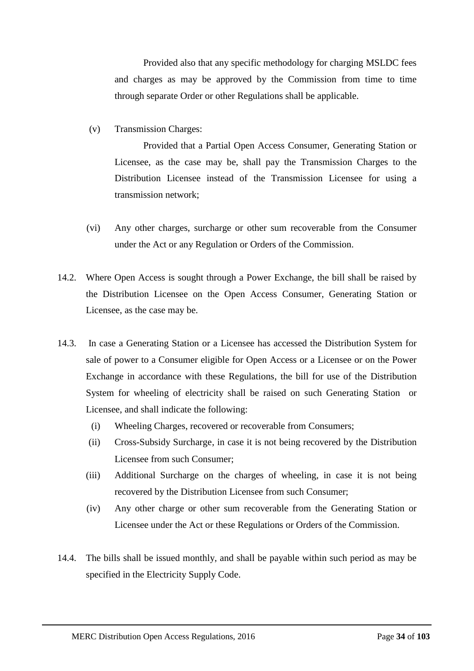Provided also that any specific methodology for charging MSLDC fees and charges as may be approved by the Commission from time to time through separate Order or other Regulations shall be applicable.

(v) Transmission Charges:

Provided that a Partial Open Access Consumer, Generating Station or Licensee, as the case may be, shall pay the Transmission Charges to the Distribution Licensee instead of the Transmission Licensee for using a transmission network;

- (vi) Any other charges, surcharge or other sum recoverable from the Consumer under the Act or any Regulation or Orders of the Commission.
- 14.2. Where Open Access is sought through a Power Exchange, the bill shall be raised by the Distribution Licensee on the Open Access Consumer, Generating Station or Licensee, as the case may be.
- 14.3. In case a Generating Station or a Licensee has accessed the Distribution System for sale of power to a Consumer eligible for Open Access or a Licensee or on the Power Exchange in accordance with these Regulations, the bill for use of the Distribution System for wheeling of electricity shall be raised on such Generating Station or Licensee, and shall indicate the following:
	- (i) Wheeling Charges, recovered or recoverable from Consumers;
	- (ii) Cross-Subsidy Surcharge, in case it is not being recovered by the Distribution Licensee from such Consumer;
	- (iii) Additional Surcharge on the charges of wheeling, in case it is not being recovered by the Distribution Licensee from such Consumer;
	- (iv) Any other charge or other sum recoverable from the Generating Station or Licensee under the Act or these Regulations or Orders of the Commission.
- 14.4. The bills shall be issued monthly, and shall be payable within such period as may be specified in the Electricity Supply Code.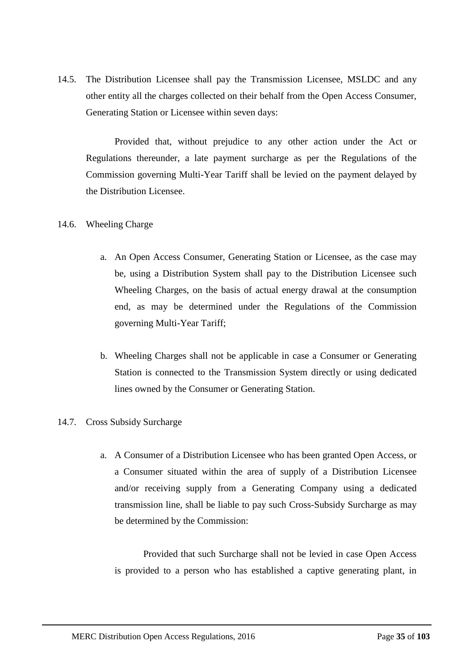14.5. The Distribution Licensee shall pay the Transmission Licensee, MSLDC and any other entity all the charges collected on their behalf from the Open Access Consumer, Generating Station or Licensee within seven days:

Provided that, without prejudice to any other action under the Act or Regulations thereunder, a late payment surcharge as per the Regulations of the Commission governing Multi-Year Tariff shall be levied on the payment delayed by the Distribution Licensee.

# 14.6. Wheeling Charge

- a. An Open Access Consumer, Generating Station or Licensee, as the case may be, using a Distribution System shall pay to the Distribution Licensee such Wheeling Charges, on the basis of actual energy drawal at the consumption end, as may be determined under the Regulations of the Commission governing Multi-Year Tariff;
- b. Wheeling Charges shall not be applicable in case a Consumer or Generating Station is connected to the Transmission System directly or using dedicated lines owned by the Consumer or Generating Station.

# 14.7. Cross Subsidy Surcharge

a. A Consumer of a Distribution Licensee who has been granted Open Access, or a Consumer situated within the area of supply of a Distribution Licensee and/or receiving supply from a Generating Company using a dedicated transmission line, shall be liable to pay such Cross-Subsidy Surcharge as may be determined by the Commission:

Provided that such Surcharge shall not be levied in case Open Access is provided to a person who has established a captive generating plant, in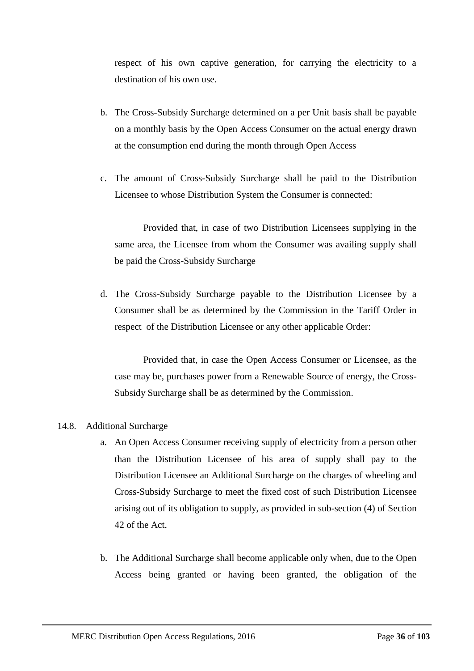respect of his own captive generation, for carrying the electricity to a destination of his own use.

- b. The Cross-Subsidy Surcharge determined on a per Unit basis shall be payable on a monthly basis by the Open Access Consumer on the actual energy drawn at the consumption end during the month through Open Access
- c. The amount of Cross-Subsidy Surcharge shall be paid to the Distribution Licensee to whose Distribution System the Consumer is connected:

Provided that, in case of two Distribution Licensees supplying in the same area, the Licensee from whom the Consumer was availing supply shall be paid the Cross-Subsidy Surcharge

d. The Cross-Subsidy Surcharge payable to the Distribution Licensee by a Consumer shall be as determined by the Commission in the Tariff Order in respect of the Distribution Licensee or any other applicable Order:

Provided that, in case the Open Access Consumer or Licensee, as the case may be, purchases power from a Renewable Source of energy, the Cross-Subsidy Surcharge shall be as determined by the Commission.

### 14.8. Additional Surcharge

- a. An Open Access Consumer receiving supply of electricity from a person other than the Distribution Licensee of his area of supply shall pay to the Distribution Licensee an Additional Surcharge on the charges of wheeling and Cross-Subsidy Surcharge to meet the fixed cost of such Distribution Licensee arising out of its obligation to supply, as provided in sub-section (4) of Section 42 of the Act.
- b. The Additional Surcharge shall become applicable only when, due to the Open Access being granted or having been granted, the obligation of the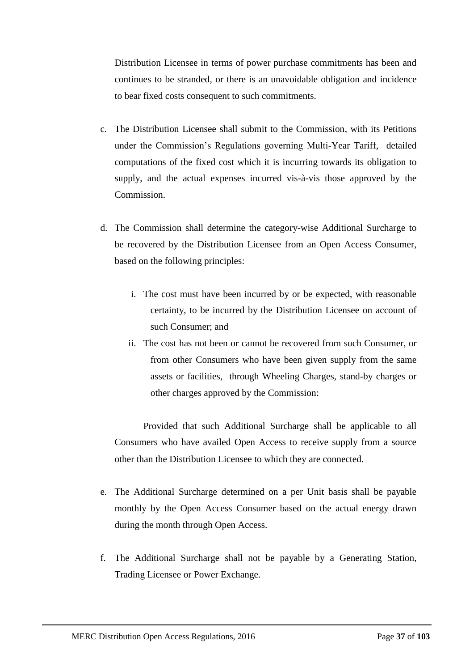Distribution Licensee in terms of power purchase commitments has been and continues to be stranded, or there is an unavoidable obligation and incidence to bear fixed costs consequent to such commitments.

- c. The Distribution Licensee shall submit to the Commission, with its Petitions under the Commission's Regulations governing Multi-Year Tariff, detailed computations of the fixed cost which it is incurring towards its obligation to supply, and the actual expenses incurred vis-à-vis those approved by the Commission.
- d. The Commission shall determine the category-wise Additional Surcharge to be recovered by the Distribution Licensee from an Open Access Consumer, based on the following principles:
	- i. The cost must have been incurred by or be expected, with reasonable certainty, to be incurred by the Distribution Licensee on account of such Consumer; and
	- ii. The cost has not been or cannot be recovered from such Consumer, or from other Consumers who have been given supply from the same assets or facilities, through Wheeling Charges, stand-by charges or other charges approved by the Commission:

Provided that such Additional Surcharge shall be applicable to all Consumers who have availed Open Access to receive supply from a source other than the Distribution Licensee to which they are connected.

- e. The Additional Surcharge determined on a per Unit basis shall be payable monthly by the Open Access Consumer based on the actual energy drawn during the month through Open Access.
- f. The Additional Surcharge shall not be payable by a Generating Station, Trading Licensee or Power Exchange.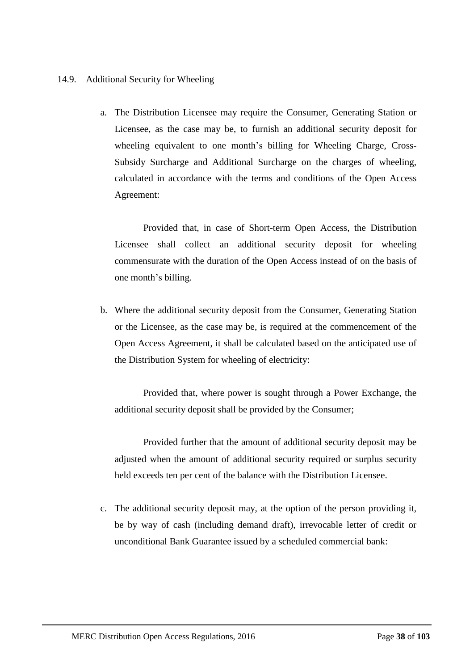# 14.9. Additional Security for Wheeling

a. The Distribution Licensee may require the Consumer, Generating Station or Licensee, as the case may be, to furnish an additional security deposit for wheeling equivalent to one month's billing for Wheeling Charge, Cross-Subsidy Surcharge and Additional Surcharge on the charges of wheeling, calculated in accordance with the terms and conditions of the Open Access Agreement:

Provided that, in case of Short-term Open Access, the Distribution Licensee shall collect an additional security deposit for wheeling commensurate with the duration of the Open Access instead of on the basis of one month's billing.

b. Where the additional security deposit from the Consumer, Generating Station or the Licensee, as the case may be, is required at the commencement of the Open Access Agreement, it shall be calculated based on the anticipated use of the Distribution System for wheeling of electricity:

Provided that, where power is sought through a Power Exchange, the additional security deposit shall be provided by the Consumer;

Provided further that the amount of additional security deposit may be adjusted when the amount of additional security required or surplus security held exceeds ten per cent of the balance with the Distribution Licensee.

c. The additional security deposit may, at the option of the person providing it, be by way of cash (including demand draft), irrevocable letter of credit or unconditional Bank Guarantee issued by a scheduled commercial bank: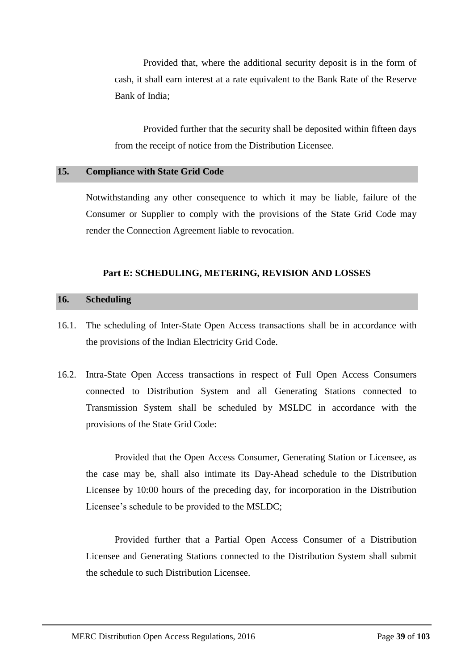Provided that, where the additional security deposit is in the form of cash, it shall earn interest at a rate equivalent to the Bank Rate of the Reserve Bank of India;

Provided further that the security shall be deposited within fifteen days from the receipt of notice from the Distribution Licensee.

# **15. Compliance with State Grid Code**

Notwithstanding any other consequence to which it may be liable, failure of the Consumer or Supplier to comply with the provisions of the State Grid Code may render the Connection Agreement liable to revocation.

# **Part E: SCHEDULING, METERING, REVISION AND LOSSES**

# **16. Scheduling**

- 16.1. The scheduling of Inter-State Open Access transactions shall be in accordance with the provisions of the Indian Electricity Grid Code.
- 16.2. Intra-State Open Access transactions in respect of Full Open Access Consumers connected to Distribution System and all Generating Stations connected to Transmission System shall be scheduled by MSLDC in accordance with the provisions of the State Grid Code:

Provided that the Open Access Consumer, Generating Station or Licensee, as the case may be, shall also intimate its Day-Ahead schedule to the Distribution Licensee by 10:00 hours of the preceding day, for incorporation in the Distribution Licensee's schedule to be provided to the MSLDC;

Provided further that a Partial Open Access Consumer of a Distribution Licensee and Generating Stations connected to the Distribution System shall submit the schedule to such Distribution Licensee.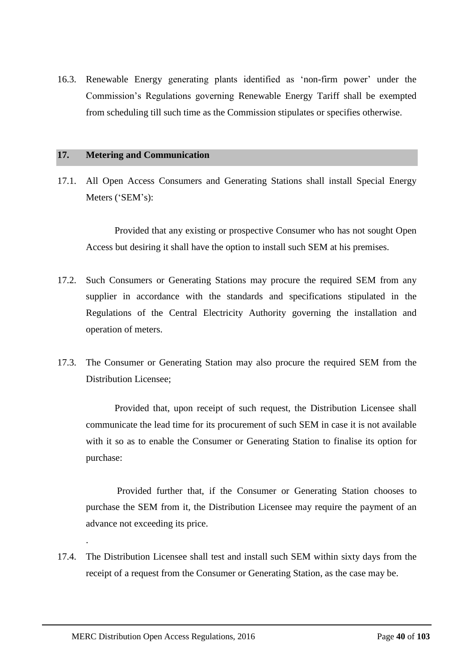16.3. Renewable Energy generating plants identified as 'non-firm power' under the Commission's Regulations governing Renewable Energy Tariff shall be exempted from scheduling till such time as the Commission stipulates or specifies otherwise.

# **17. Metering and Communication**

17.1. All Open Access Consumers and Generating Stations shall install Special Energy Meters ('SEM's):

Provided that any existing or prospective Consumer who has not sought Open Access but desiring it shall have the option to install such SEM at his premises.

- 17.2. Such Consumers or Generating Stations may procure the required SEM from any supplier in accordance with the standards and specifications stipulated in the Regulations of the Central Electricity Authority governing the installation and operation of meters.
- 17.3. The Consumer or Generating Station may also procure the required SEM from the Distribution Licensee;

Provided that, upon receipt of such request, the Distribution Licensee shall communicate the lead time for its procurement of such SEM in case it is not available with it so as to enable the Consumer or Generating Station to finalise its option for purchase:

Provided further that, if the Consumer or Generating Station chooses to purchase the SEM from it, the Distribution Licensee may require the payment of an advance not exceeding its price.

17.4. The Distribution Licensee shall test and install such SEM within sixty days from the receipt of a request from the Consumer or Generating Station, as the case may be.

.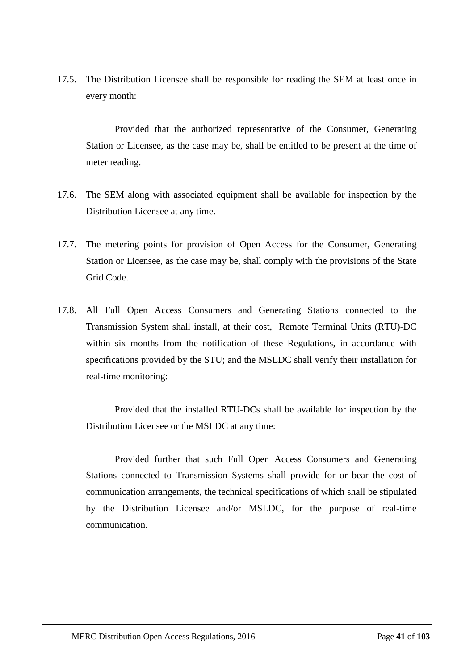17.5. The Distribution Licensee shall be responsible for reading the SEM at least once in every month:

Provided that the authorized representative of the Consumer, Generating Station or Licensee, as the case may be, shall be entitled to be present at the time of meter reading.

- 17.6. The SEM along with associated equipment shall be available for inspection by the Distribution Licensee at any time.
- 17.7. The metering points for provision of Open Access for the Consumer, Generating Station or Licensee, as the case may be, shall comply with the provisions of the State Grid Code.
- 17.8. All Full Open Access Consumers and Generating Stations connected to the Transmission System shall install, at their cost, Remote Terminal Units (RTU)-DC within six months from the notification of these Regulations, in accordance with specifications provided by the STU; and the MSLDC shall verify their installation for real-time monitoring:

Provided that the installed RTU-DCs shall be available for inspection by the Distribution Licensee or the MSLDC at any time:

Provided further that such Full Open Access Consumers and Generating Stations connected to Transmission Systems shall provide for or bear the cost of communication arrangements, the technical specifications of which shall be stipulated by the Distribution Licensee and/or MSLDC, for the purpose of real-time communication.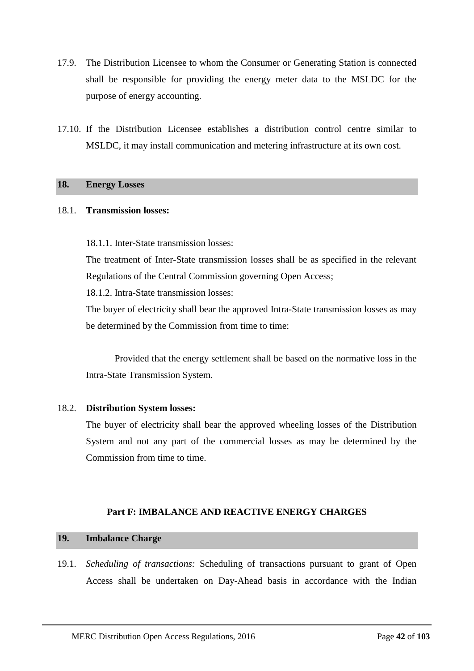- 17.9. The Distribution Licensee to whom the Consumer or Generating Station is connected shall be responsible for providing the energy meter data to the MSLDC for the purpose of energy accounting.
- 17.10. If the Distribution Licensee establishes a distribution control centre similar to MSLDC, it may install communication and metering infrastructure at its own cost.

# **18. Energy Losses**

## 18.1. **Transmission losses:**

18.1.1. Inter-State transmission losses:

The treatment of Inter-State transmission losses shall be as specified in the relevant Regulations of the Central Commission governing Open Access;

18.1.2. Intra-State transmission losses:

The buyer of electricity shall bear the approved Intra-State transmission losses as may be determined by the Commission from time to time:

Provided that the energy settlement shall be based on the normative loss in the Intra-State Transmission System.

# 18.2. **Distribution System losses:**

The buyer of electricity shall bear the approved wheeling losses of the Distribution System and not any part of the commercial losses as may be determined by the Commission from time to time.

# **Part F: IMBALANCE AND REACTIVE ENERGY CHARGES**

# **19. Imbalance Charge**

19.1. *Scheduling of transactions:* Scheduling of transactions pursuant to grant of Open Access shall be undertaken on Day-Ahead basis in accordance with the Indian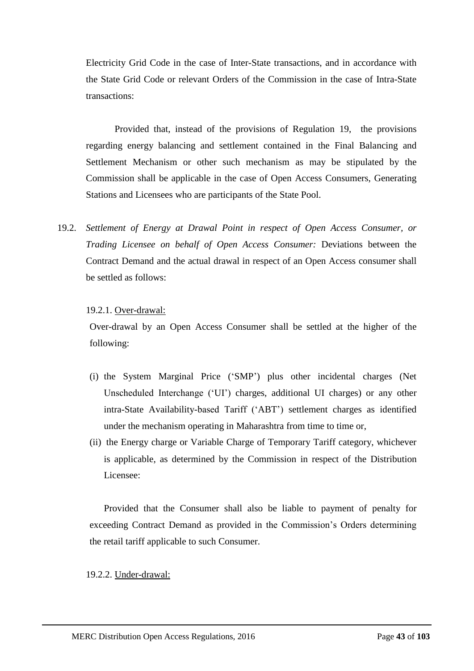Electricity Grid Code in the case of Inter-State transactions, and in accordance with the State Grid Code or relevant Orders of the Commission in the case of Intra-State transactions:

Provided that, instead of the provisions of Regulation 19, the provisions regarding energy balancing and settlement contained in the Final Balancing and Settlement Mechanism or other such mechanism as may be stipulated by the Commission shall be applicable in the case of Open Access Consumers, Generating Stations and Licensees who are participants of the State Pool.

19.2. *Settlement of Energy at Drawal Point in respect of Open Access Consumer, or Trading Licensee on behalf of Open Access Consumer:* Deviations between the Contract Demand and the actual drawal in respect of an Open Access consumer shall be settled as follows:

# 19.2.1. Over-drawal:

Over-drawal by an Open Access Consumer shall be settled at the higher of the following:

- (i) the System Marginal Price ('SMP') plus other incidental charges (Net Unscheduled Interchange ('UI') charges, additional UI charges) or any other intra-State Availability-based Tariff ('ABT') settlement charges as identified under the mechanism operating in Maharashtra from time to time or,
- (ii) the Energy charge or Variable Charge of Temporary Tariff category, whichever is applicable, as determined by the Commission in respect of the Distribution Licensee:

Provided that the Consumer shall also be liable to payment of penalty for exceeding Contract Demand as provided in the Commission's Orders determining the retail tariff applicable to such Consumer.

# 19.2.2. Under-drawal: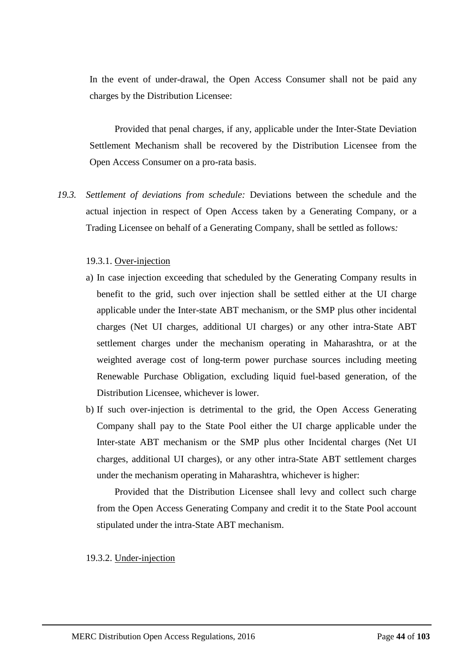In the event of under-drawal, the Open Access Consumer shall not be paid any charges by the Distribution Licensee:

Provided that penal charges, if any, applicable under the Inter-State Deviation Settlement Mechanism shall be recovered by the Distribution Licensee from the Open Access Consumer on a pro-rata basis.

<span id="page-43-1"></span>*19.3. Settlement of deviations from schedule:* Deviations between the schedule and the actual injection in respect of Open Access taken by a Generating Company, or a Trading Licensee on behalf of a Generating Company, shall be settled as follows*:*

# 19.3.1. Over-injection

- a) In case injection exceeding that scheduled by the Generating Company results in benefit to the grid, such over injection shall be settled either at the UI charge applicable under the Inter-state ABT mechanism, or the SMP plus other incidental charges (Net UI charges, additional UI charges) or any other intra-State ABT settlement charges under the mechanism operating in Maharashtra, or at the weighted average cost of long-term power purchase sources including meeting Renewable Purchase Obligation, excluding liquid fuel-based generation, of the Distribution Licensee, whichever is lower.
- b) If such over-injection is detrimental to the grid, the Open Access Generating Company shall pay to the State Pool either the UI charge applicable under the Inter-state ABT mechanism or the SMP plus other Incidental charges (Net UI charges, additional UI charges), or any other intra-State ABT settlement charges under the mechanism operating in Maharashtra, whichever is higher:

Provided that the Distribution Licensee shall levy and collect such charge from the Open Access Generating Company and credit it to the State Pool account stipulated under the intra-State ABT mechanism.

#### <span id="page-43-0"></span>19.3.2. Under-injection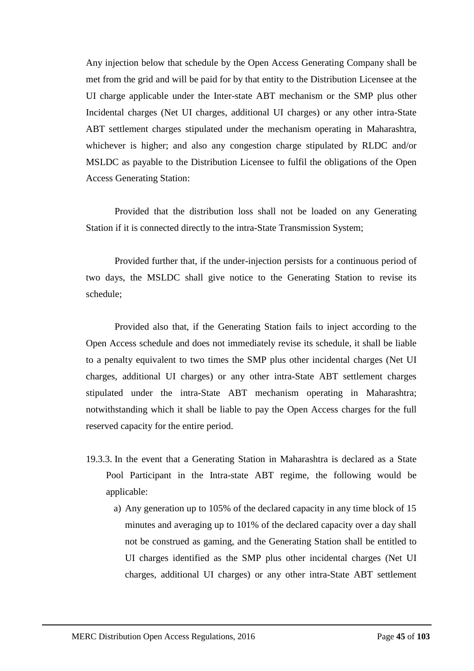Any injection below that schedule by the Open Access Generating Company shall be met from the grid and will be paid for by that entity to the Distribution Licensee at the UI charge applicable under the Inter-state ABT mechanism or the SMP plus other Incidental charges (Net UI charges, additional UI charges) or any other intra-State ABT settlement charges stipulated under the mechanism operating in Maharashtra, whichever is higher; and also any congestion charge stipulated by RLDC and/or MSLDC as payable to the Distribution Licensee to fulfil the obligations of the Open Access Generating Station:

Provided that the distribution loss shall not be loaded on any Generating Station if it is connected directly to the intra-State Transmission System;

Provided further that, if the under-injection persists for a continuous period of two days, the MSLDC shall give notice to the Generating Station to revise its schedule;

Provided also that, if the Generating Station fails to inject according to the Open Access schedule and does not immediately revise its schedule, it shall be liable to a penalty equivalent to two times the SMP plus other incidental charges (Net UI charges, additional UI charges) or any other intra-State ABT settlement charges stipulated under the intra-State ABT mechanism operating in Maharashtra; notwithstanding which it shall be liable to pay the Open Access charges for the full reserved capacity for the entire period.

- <span id="page-44-0"></span>19.3.3. In the event that a Generating Station in Maharashtra is declared as a State Pool Participant in the Intra-state ABT regime, the following would be applicable:
	- a) Any generation up to 105% of the declared capacity in any time block of 15 minutes and averaging up to 101% of the declared capacity over a day shall not be construed as gaming, and the Generating Station shall be entitled to UI charges identified as the SMP plus other incidental charges (Net UI charges, additional UI charges) or any other intra-State ABT settlement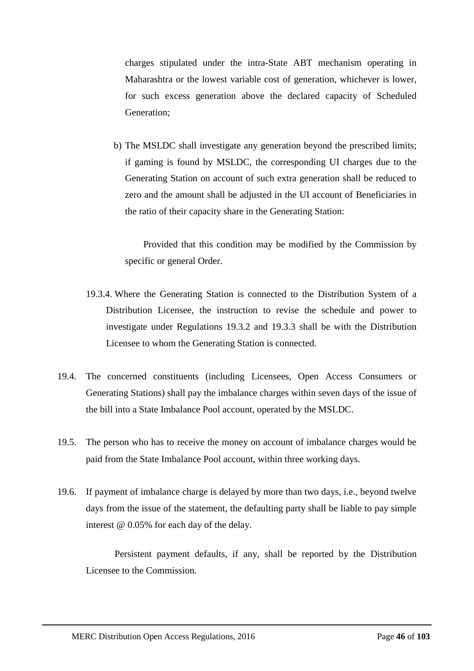charges stipulated under the intra-State ABT mechanism operating in Maharashtra or the lowest variable cost of generation, whichever is lower, for such excess generation above the declared capacity of Scheduled Generation;

b) The MSLDC shall investigate any generation beyond the prescribed limits; if gaming is found by MSLDC, the corresponding UI charges due to the Generating Station on account of such extra generation shall be reduced to zero and the amount shall be adjusted in the UI account of Beneficiaries in the ratio of their capacity share in the Generating Station:

Provided that this condition may be modified by the Commission by specific or general Order.

- 19.3.4. Where the Generating Station is connected to the Distribution System of a Distribution Licensee, the instruction to revise the schedule and power to investigate under Regulations [19.3.2](#page-43-0) and [19.3.3](#page-44-0) shall be with the Distribution Licensee to whom the Generating Station is connected.
- 19.4. The concerned constituents (including Licensees, Open Access Consumers or Generating Stations) shall pay the imbalance charges within seven days of the issue of the bill into a State Imbalance Pool account, operated by the MSLDC.
- 19.5. The person who has to receive the money on account of imbalance charges would be paid from the State Imbalance Pool account, within three working days.
- 19.6. If payment of imbalance charge is delayed by more than two days, i.e., beyond twelve days from the issue of the statement, the defaulting party shall be liable to pay simple interest @ 0.05% for each day of the delay.

Persistent payment defaults, if any, shall be reported by the Distribution Licensee to the Commission.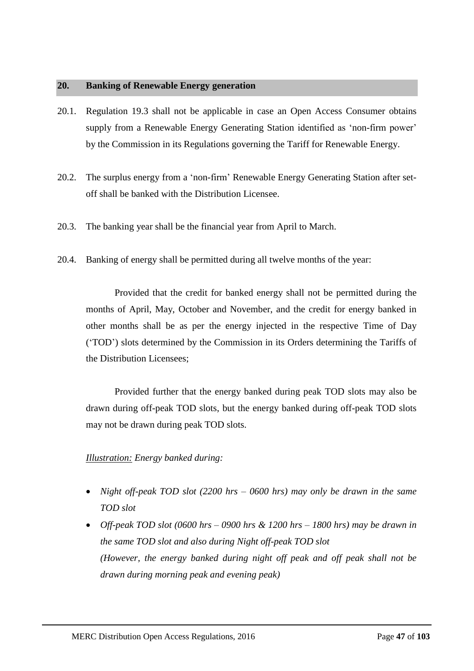# <span id="page-46-0"></span>**20. Banking of Renewable Energy generation**

- 20.1. Regulation [19.3](#page-43-1) shall not be applicable in case an Open Access Consumer obtains supply from a Renewable Energy Generating Station identified as 'non-firm power' by the Commission in its Regulations governing the Tariff for Renewable Energy.
- 20.2. The surplus energy from a 'non-firm' Renewable Energy Generating Station after setoff shall be banked with the Distribution Licensee.
- 20.3. The banking year shall be the financial year from April to March.
- 20.4. Banking of energy shall be permitted during all twelve months of the year:

Provided that the credit for banked energy shall not be permitted during the months of April, May, October and November, and the credit for energy banked in other months shall be as per the energy injected in the respective Time of Day ('TOD') slots determined by the Commission in its Orders determining the Tariffs of the Distribution Licensees;

Provided further that the energy banked during peak TOD slots may also be drawn during off-peak TOD slots, but the energy banked during off-peak TOD slots may not be drawn during peak TOD slots.

# *Illustration: Energy banked during:*

- *Night off-peak TOD slot (2200 hrs – 0600 hrs) may only be drawn in the same TOD slot*
- *Off-peak TOD slot (0600 hrs – 0900 hrs & 1200 hrs – 1800 hrs) may be drawn in the same TOD slot and also during Night off-peak TOD slot (However, the energy banked during night off peak and off peak shall not be drawn during morning peak and evening peak)*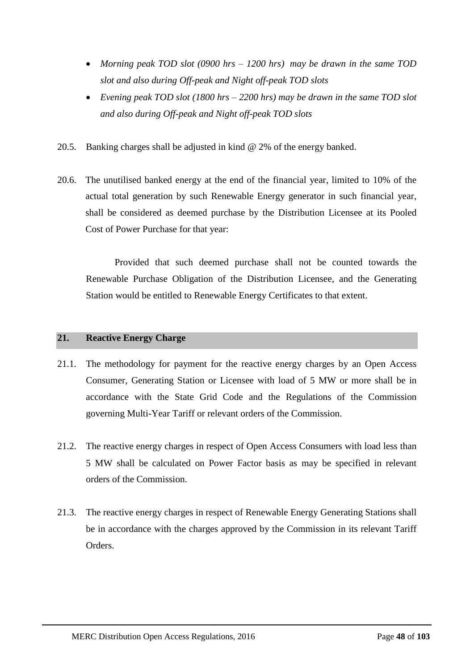- *Morning peak TOD slot (0900 hrs – 1200 hrs) may be drawn in the same TOD slot and also during Off-peak and Night off-peak TOD slots*
- *Evening peak TOD slot (1800 hrs – 2200 hrs) may be drawn in the same TOD slot and also during Off-peak and Night off-peak TOD slots*
- 20.5. Banking charges shall be adjusted in kind @ 2% of the energy banked.
- 20.6. The unutilised banked energy at the end of the financial year, limited to 10% of the actual total generation by such Renewable Energy generator in such financial year, shall be considered as deemed purchase by the Distribution Licensee at its Pooled Cost of Power Purchase for that year:

Provided that such deemed purchase shall not be counted towards the Renewable Purchase Obligation of the Distribution Licensee, and the Generating Station would be entitled to Renewable Energy Certificates to that extent.

# **21. Reactive Energy Charge**

- 21.1. The methodology for payment for the reactive energy charges by an Open Access Consumer, Generating Station or Licensee with load of 5 MW or more shall be in accordance with the State Grid Code and the Regulations of the Commission governing Multi-Year Tariff or relevant orders of the Commission.
- 21.2. The reactive energy charges in respect of Open Access Consumers with load less than 5 MW shall be calculated on Power Factor basis as may be specified in relevant orders of the Commission.
- 21.3. The reactive energy charges in respect of Renewable Energy Generating Stations shall be in accordance with the charges approved by the Commission in its relevant Tariff Orders.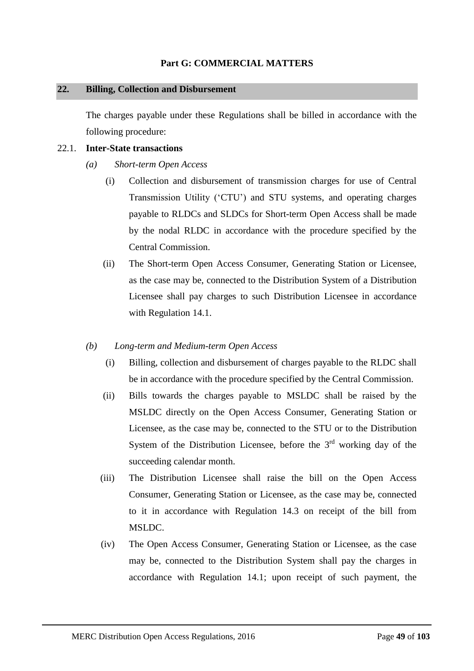# **Part G: COMMERCIAL MATTERS**

## **22. Billing, Collection and Disbursement**

The charges payable under these Regulations shall be billed in accordance with the following procedure:

# 22.1. **Inter-State transactions**

- *(a) Short-term Open Access*
	- (i) Collection and disbursement of transmission charges for use of Central Transmission Utility ('CTU') and STU systems, and operating charges payable to RLDCs and SLDCs for Short-term Open Access shall be made by the nodal RLDC in accordance with the procedure specified by the Central Commission.
	- (ii) The Short-term Open Access Consumer, Generating Station or Licensee, as the case may be, connected to the Distribution System of a Distribution Licensee shall pay charges to such Distribution Licensee in accordance with Regulation [14.1.](#page-32-0)
- *(b) Long-term and Medium-term Open Access*
	- (i) Billing, collection and disbursement of charges payable to the RLDC shall be in accordance with the procedure specified by the Central Commission.
	- (ii) Bills towards the charges payable to MSLDC shall be raised by the MSLDC directly on the Open Access Consumer, Generating Station or Licensee, as the case may be, connected to the STU or to the Distribution System of the Distribution Licensee, before the  $3<sup>rd</sup>$  working day of the succeeding calendar month.
	- (iii) The Distribution Licensee shall raise the bill on the Open Access Consumer, Generating Station or Licensee, as the case may be, connected to it in accordance with Regulation [14.3](#page-33-0) on receipt of the bill from MSLDC.
	- (iv) The Open Access Consumer, Generating Station or Licensee, as the case may be, connected to the Distribution System shall pay the charges in accordance with Regulation [14.1;](#page-32-0) upon receipt of such payment, the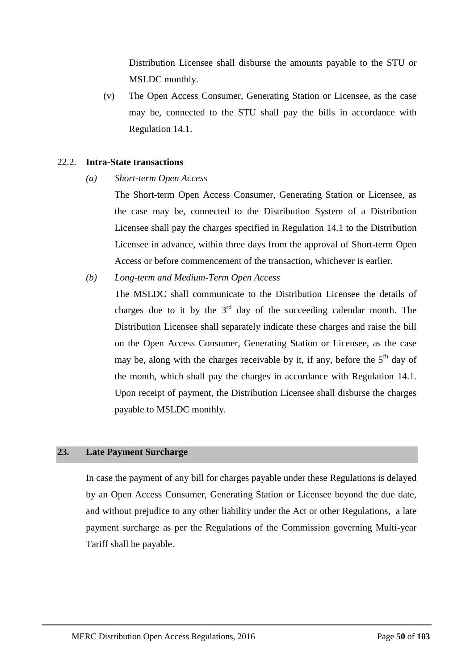Distribution Licensee shall disburse the amounts payable to the STU or MSLDC monthly.

(v) The Open Access Consumer, Generating Station or Licensee, as the case may be, connected to the STU shall pay the bills in accordance with Regulation [14.1.](#page-32-0)

# 22.2. **Intra-State transactions**

*(a) Short-term Open Access*

The Short-term Open Access Consumer, Generating Station or Licensee, as the case may be, connected to the Distribution System of a Distribution Licensee shall pay the charges specified in Regulation [14.1](#page-32-0) to the Distribution Licensee in advance, within three days from the approval of Short-term Open Access or before commencement of the transaction, whichever is earlier.

*(b) Long-term and Medium-Term Open Access*

The MSLDC shall communicate to the Distribution Licensee the details of charges due to it by the  $3<sup>rd</sup>$  day of the succeeding calendar month. The Distribution Licensee shall separately indicate these charges and raise the bill on the Open Access Consumer, Generating Station or Licensee, as the case may be, along with the charges receivable by it, if any, before the  $5<sup>th</sup>$  day of the month, which shall pay the charges in accordance with Regulation [14.1.](#page-32-0) Upon receipt of payment, the Distribution Licensee shall disburse the charges payable to MSLDC monthly.

# **23. Late Payment Surcharge**

In case the payment of any bill for charges payable under these Regulations is delayed by an Open Access Consumer, Generating Station or Licensee beyond the due date, and without prejudice to any other liability under the Act or other Regulations, a late payment surcharge as per the Regulations of the Commission governing Multi-year Tariff shall be payable.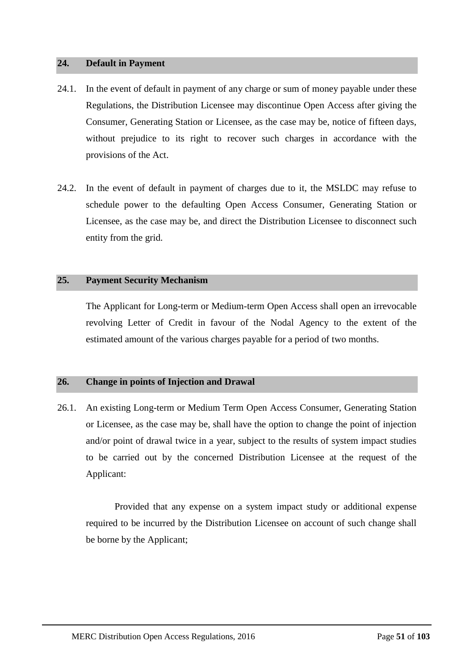## **24. Default in Payment**

- 24.1. In the event of default in payment of any charge or sum of money payable under these Regulations, the Distribution Licensee may discontinue Open Access after giving the Consumer, Generating Station or Licensee, as the case may be, notice of fifteen days, without prejudice to its right to recover such charges in accordance with the provisions of the Act.
- 24.2. In the event of default in payment of charges due to it, the MSLDC may refuse to schedule power to the defaulting Open Access Consumer, Generating Station or Licensee, as the case may be, and direct the Distribution Licensee to disconnect such entity from the grid.

# **25. Payment Security Mechanism**

The Applicant for Long-term or Medium-term Open Access shall open an irrevocable revolving Letter of Credit in favour of the Nodal Agency to the extent of the estimated amount of the various charges payable for a period of two months.

# <span id="page-50-0"></span>**26. Change in points of Injection and Drawal**

26.1. An existing Long-term or Medium Term Open Access Consumer, Generating Station or Licensee, as the case may be, shall have the option to change the point of injection and/or point of drawal twice in a year, subject to the results of system impact studies to be carried out by the concerned Distribution Licensee at the request of the Applicant:

Provided that any expense on a system impact study or additional expense required to be incurred by the Distribution Licensee on account of such change shall be borne by the Applicant;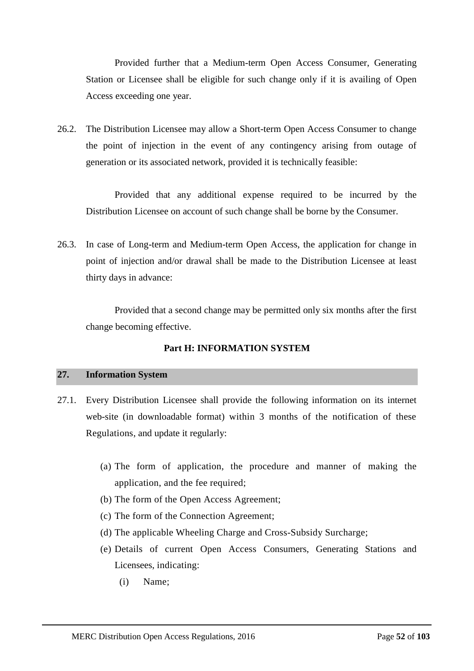Provided further that a Medium-term Open Access Consumer, Generating Station or Licensee shall be eligible for such change only if it is availing of Open Access exceeding one year.

26.2. The Distribution Licensee may allow a Short-term Open Access Consumer to change the point of injection in the event of any contingency arising from outage of generation or its associated network, provided it is technically feasible:

Provided that any additional expense required to be incurred by the Distribution Licensee on account of such change shall be borne by the Consumer.

26.3. In case of Long-term and Medium-term Open Access, the application for change in point of injection and/or drawal shall be made to the Distribution Licensee at least thirty days in advance:

Provided that a second change may be permitted only six months after the first change becoming effective.

# **Part H: INFORMATION SYSTEM**

# **27. Information System**

- 27.1. Every Distribution Licensee shall provide the following information on its internet web-site (in downloadable format) within 3 months of the notification of these Regulations, and update it regularly:
	- (a) The form of application, the procedure and manner of making the application, and the fee required;
	- (b) The form of the Open Access Agreement;
	- (c) The form of the Connection Agreement;
	- (d) The applicable Wheeling Charge and Cross-Subsidy Surcharge;
	- (e) Details of current Open Access Consumers, Generating Stations and Licensees, indicating:
		- (i) Name;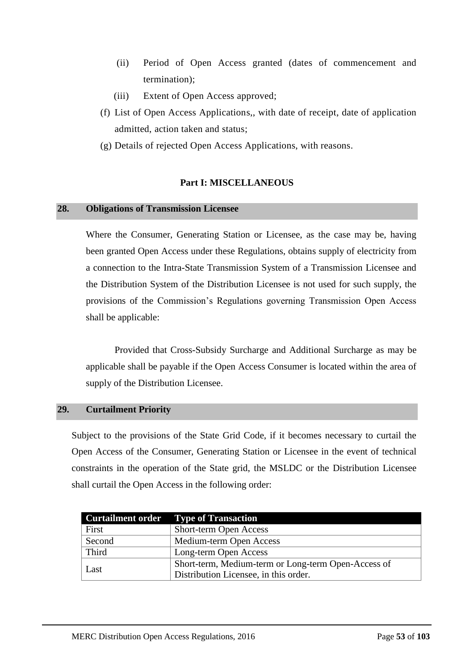- (ii) Period of Open Access granted (dates of commencement and termination);
- (iii) Extent of Open Access approved;
- (f) List of Open Access Applications,, with date of receipt, date of application admitted, action taken and status;
- (g) Details of rejected Open Access Applications, with reasons.

# **Part I: MISCELLANEOUS**

## **28. Obligations of Transmission Licensee**

Where the Consumer, Generating Station or Licensee, as the case may be, having been granted Open Access under these Regulations, obtains supply of electricity from a connection to the Intra-State Transmission System of a Transmission Licensee and the Distribution System of the Distribution Licensee is not used for such supply, the provisions of the Commission's Regulations governing Transmission Open Access shall be applicable:

Provided that Cross-Subsidy Surcharge and Additional Surcharge as may be applicable shall be payable if the Open Access Consumer is located within the area of supply of the Distribution Licensee.

# **29. Curtailment Priority**

Subject to the provisions of the State Grid Code, if it becomes necessary to curtail the Open Access of the Consumer, Generating Station or Licensee in the event of technical constraints in the operation of the State grid, the MSLDC or the Distribution Licensee shall curtail the Open Access in the following order:

| <b>Curtailment order</b> | <b>Type of Transaction</b>                          |
|--------------------------|-----------------------------------------------------|
| First                    | <b>Short-term Open Access</b>                       |
| Second                   | Medium-term Open Access                             |
| Third                    | Long-term Open Access                               |
| Last                     | Short-term, Medium-term or Long-term Open-Access of |
|                          | Distribution Licensee, in this order.               |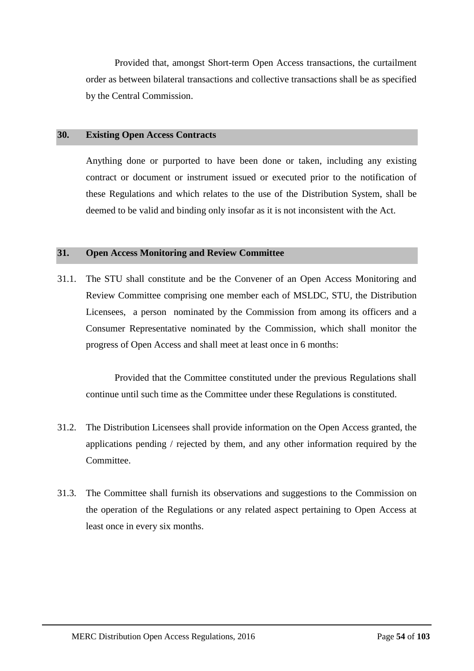Provided that, amongst Short-term Open Access transactions, the curtailment order as between bilateral transactions and collective transactions shall be as specified by the Central Commission.

# **30. Existing Open Access Contracts**

Anything done or purported to have been done or taken, including any existing contract or document or instrument issued or executed prior to the notification of these Regulations and which relates to the use of the Distribution System, shall be deemed to be valid and binding only insofar as it is not inconsistent with the Act.

## **31. Open Access Monitoring and Review Committee**

31.1. The STU shall constitute and be the Convener of an Open Access Monitoring and Review Committee comprising one member each of MSLDC, STU, the Distribution Licensees, a person nominated by the Commission from among its officers and a Consumer Representative nominated by the Commission, which shall monitor the progress of Open Access and shall meet at least once in 6 months:

Provided that the Committee constituted under the previous Regulations shall continue until such time as the Committee under these Regulations is constituted.

- 31.2. The Distribution Licensees shall provide information on the Open Access granted, the applications pending / rejected by them, and any other information required by the Committee.
- 31.3. The Committee shall furnish its observations and suggestions to the Commission on the operation of the Regulations or any related aspect pertaining to Open Access at least once in every six months.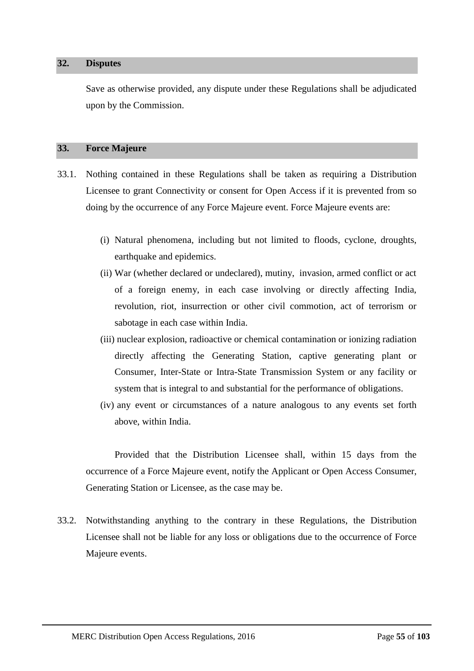#### **32. Disputes**

Save as otherwise provided, any dispute under these Regulations shall be adjudicated upon by the Commission.

# **33. Force Majeure**

- 33.1. Nothing contained in these Regulations shall be taken as requiring a Distribution Licensee to grant Connectivity or consent for Open Access if it is prevented from so doing by the occurrence of any Force Majeure event. Force Majeure events are:
	- (i) Natural phenomena, including but not limited to floods, cyclone, droughts, earthquake and epidemics.
	- (ii) War (whether declared or undeclared), mutiny, invasion, armed conflict or act of a foreign enemy, in each case involving or directly affecting India, revolution, riot, insurrection or other civil commotion, act of terrorism or sabotage in each case within India.
	- (iii) nuclear explosion, radioactive or chemical contamination or ionizing radiation directly affecting the Generating Station, captive generating plant or Consumer, Inter-State or Intra-State Transmission System or any facility or system that is integral to and substantial for the performance of obligations.
	- (iv) any event or circumstances of a nature analogous to any events set forth above, within India.

Provided that the Distribution Licensee shall, within 15 days from the occurrence of a Force Majeure event, notify the Applicant or Open Access Consumer, Generating Station or Licensee, as the case may be.

33.2. Notwithstanding anything to the contrary in these Regulations, the Distribution Licensee shall not be liable for any loss or obligations due to the occurrence of Force Majeure events.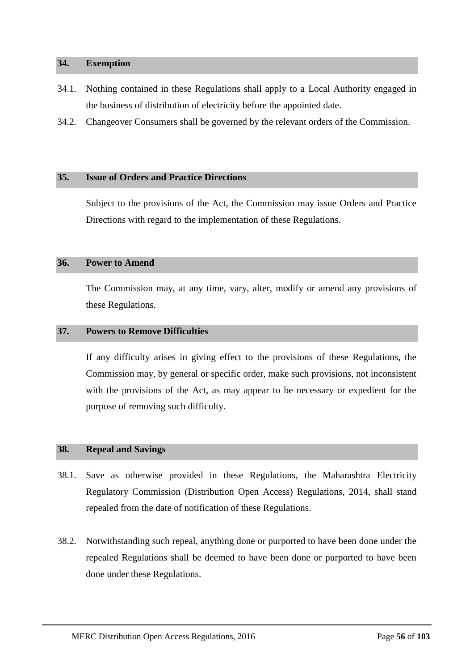#### **34. Exemption**

- 34.1. Nothing contained in these Regulations shall apply to a Local Authority engaged in the business of distribution of electricity before the appointed date.
- 34.2. Changeover Consumers shall be governed by the relevant orders of the Commission.

# **35. Issue of Orders and Practice Directions**

Subject to the provisions of the Act, the Commission may issue Orders and Practice Directions with regard to the implementation of these Regulations.

# **36. Power to Amend**

The Commission may, at any time, vary, alter, modify or amend any provisions of these Regulations.

#### **37. Powers to Remove Difficulties**

If any difficulty arises in giving effect to the provisions of these Regulations, the Commission may, by general or specific order, make such provisions, not inconsistent with the provisions of the Act, as may appear to be necessary or expedient for the purpose of removing such difficulty.

#### **38. Repeal and Savings**

- 38.1. Save as otherwise provided in these Regulations, the Maharashtra Electricity Regulatory Commission (Distribution Open Access) Regulations, 2014, shall stand repealed from the date of notification of these Regulations.
- 38.2. Notwithstanding such repeal, anything done or purported to have been done under the repealed Regulations shall be deemed to have been done or purported to have been done under these Regulations.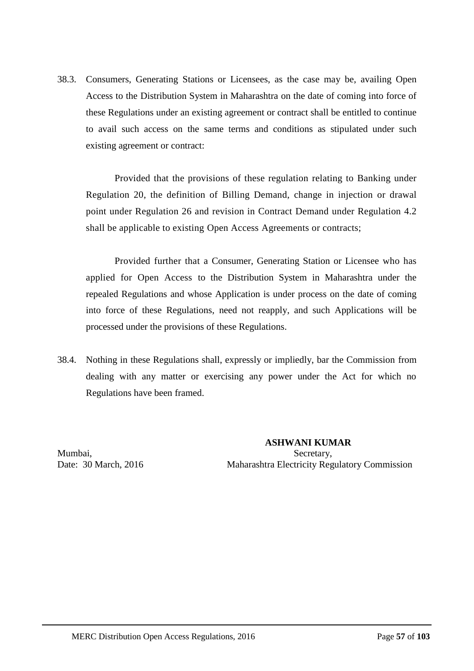38.3. Consumers, Generating Stations or Licensees, as the case may be, availing Open Access to the Distribution System in Maharashtra on the date of coming into force of these Regulations under an existing agreement or contract shall be entitled to continue to avail such access on the same terms and conditions as stipulated under such existing agreement or contract:

Provided that the provisions of these regulation relating to Banking under Regulation [20,](#page-46-0) the definition of Billing Demand, change in injection or drawal point under Regulation [26](#page-50-0) and revision in Contract Demand under Regulation [4.2](#page-11-0) shall be applicable to existing Open Access Agreements or contracts;

Provided further that a Consumer, Generating Station or Licensee who has applied for Open Access to the Distribution System in Maharashtra under the repealed Regulations and whose Application is under process on the date of coming into force of these Regulations, need not reapply, and such Applications will be processed under the provisions of these Regulations.

38.4. Nothing in these Regulations shall, expressly or impliedly, bar the Commission from dealing with any matter or exercising any power under the Act for which no Regulations have been framed.

 **ASHWANI KUMAR** Mumbai, Secretary, Secretary, Secretary, Secretary, Secretary, Secretary, Secretary, Secretary, Secretary, Secretary, Secretary, Secretary, Secretary, Secretary, Secretary, Secretary, Secretary, Secretary, Secretary, Secre Date: 30 March, 2016 Maharashtra Electricity Regulatory Commission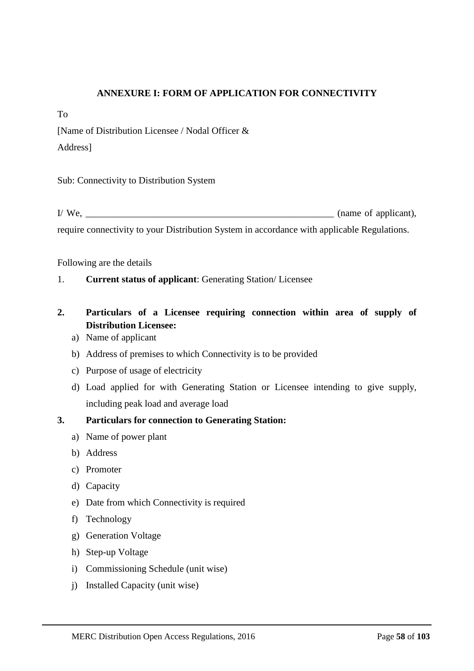# **ANNEXURE I: FORM OF APPLICATION FOR CONNECTIVITY**

To

[Name of Distribution Licensee / Nodal Officer &

Address]

Sub: Connectivity to Distribution System

 $I/M$ e,  $\blacksquare$  (name of applicant), require connectivity to your Distribution System in accordance with applicable Regulations.

Following are the details

1. **Current status of applicant**: Generating Station/ Licensee

# **2. Particulars of a Licensee requiring connection within area of supply of Distribution Licensee:**

- a) Name of applicant
- b) Address of premises to which Connectivity is to be provided
- c) Purpose of usage of electricity
- d) Load applied for with Generating Station or Licensee intending to give supply, including peak load and average load

# **3. Particulars for connection to Generating Station:**

- a) Name of power plant
- b) Address
- c) Promoter
- d) Capacity
- e) Date from which Connectivity is required
- f) Technology
- g) Generation Voltage
- h) Step-up Voltage
- i) Commissioning Schedule (unit wise)
- j) Installed Capacity (unit wise)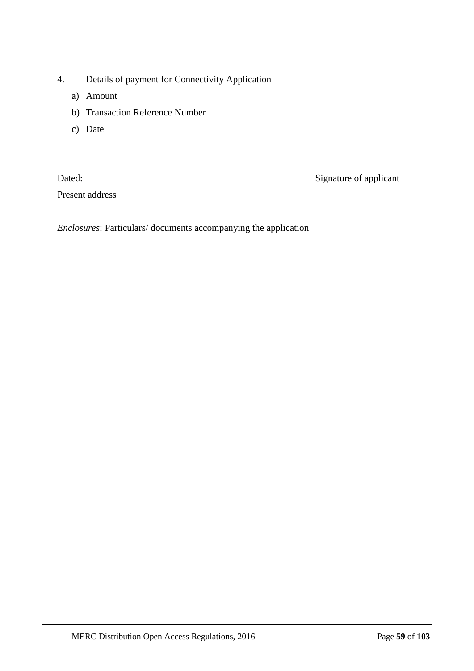- 4. Details of payment for Connectivity Application
	- a) Amount
	- b) Transaction Reference Number
	- c) Date

Present address

Dated: Signature of applicant

*Enclosures*: Particulars/ documents accompanying the application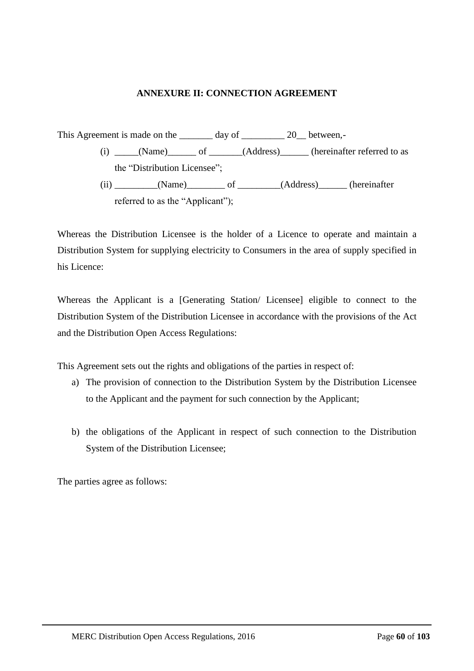# **ANNEXURE II: CONNECTION AGREEMENT**

This Agreement is made on the \_\_\_\_\_\_\_\_ day of \_\_\_\_\_\_\_\_\_ 20 \_\_ between,-(i) \_\_\_\_\_(Name)\_\_\_\_\_\_ of \_\_\_\_\_\_(Address)\_\_\_\_\_\_(hereinafter referred to as the "Distribution Licensee"; (ii) (Name) of (Address) (hereinafter referred to as the "Applicant");

Whereas the Distribution Licensee is the holder of a Licence to operate and maintain a Distribution System for supplying electricity to Consumers in the area of supply specified in his Licence:

Whereas the Applicant is a [Generating Station/ Licensee] eligible to connect to the Distribution System of the Distribution Licensee in accordance with the provisions of the Act and the Distribution Open Access Regulations:

This Agreement sets out the rights and obligations of the parties in respect of:

- a) The provision of connection to the Distribution System by the Distribution Licensee to the Applicant and the payment for such connection by the Applicant;
- b) the obligations of the Applicant in respect of such connection to the Distribution System of the Distribution Licensee;

The parties agree as follows: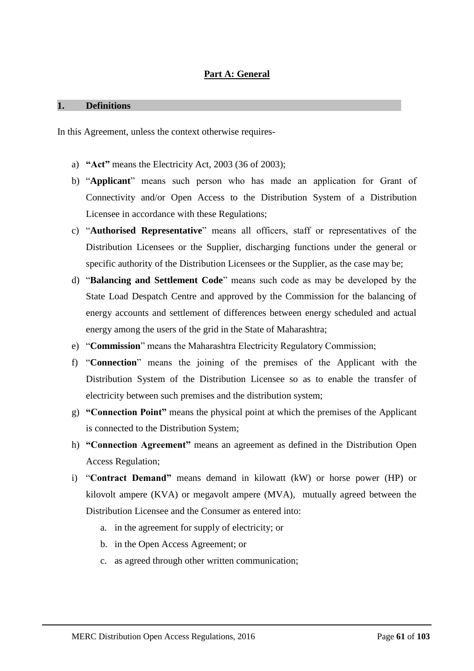# **Part A: General**

#### **1. Definitions**

In this Agreement, unless the context otherwise requires-

- a) **"Act"** means the Electricity Act, 2003 (36 of 2003);
- b) "**Applicant**" means such person who has made an application for Grant of Connectivity and/or Open Access to the Distribution System of a Distribution Licensee in accordance with these Regulations;
- c) "**Authorised Representative**" means all officers, staff or representatives of the Distribution Licensees or the Supplier, discharging functions under the general or specific authority of the Distribution Licensees or the Supplier, as the case may be;
- d) "**Balancing and Settlement Code**" means such code as may be developed by the State Load Despatch Centre and approved by the Commission for the balancing of energy accounts and settlement of differences between energy scheduled and actual energy among the users of the grid in the State of Maharashtra;
- e) "**Commission**" means the Maharashtra Electricity Regulatory Commission;
- f) "**Connection**" means the joining of the premises of the Applicant with the Distribution System of the Distribution Licensee so as to enable the transfer of electricity between such premises and the distribution system;
- g) **"Connection Point"** means the physical point at which the premises of the Applicant is connected to the Distribution System;
- h) **"Connection Agreement"** means an agreement as defined in the Distribution Open Access Regulation;
- i) "**Contract Demand"** means demand in kilowatt (kW) or horse power (HP) or kilovolt ampere (KVA) or megavolt ampere (MVA), mutually agreed between the Distribution Licensee and the Consumer as entered into:
	- a. in the agreement for supply of electricity; or
	- b. in the Open Access Agreement; or
	- c. as agreed through other written communication;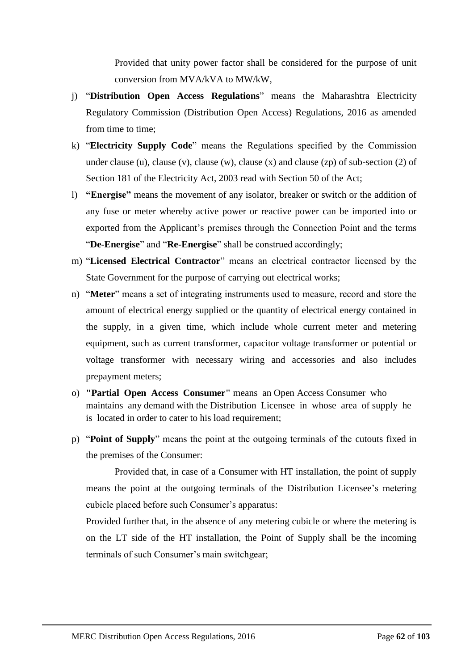Provided that unity power factor shall be considered for the purpose of unit conversion from MVA/kVA to MW/kW,

- j) "**Distribution Open Access Regulations**" means the Maharashtra Electricity Regulatory Commission (Distribution Open Access) Regulations, 2016 as amended from time to time;
- k) "**Electricity Supply Code**" means the Regulations specified by the Commission under clause (u), clause (v), clause (w), clause (x) and clause (zp) of sub-section (2) of Section 181 of the Electricity Act, 2003 read with Section 50 of the Act;
- l) **"Energise"** means the movement of any isolator, breaker or switch or the addition of any fuse or meter whereby active power or reactive power can be imported into or exported from the Applicant's premises through the Connection Point and the terms "**De-Energise**" and "**Re-Energise**" shall be construed accordingly;
- m) "**Licensed Electrical Contractor**" means an electrical contractor licensed by the State Government for the purpose of carrying out electrical works;
- n) "**Meter**" means a set of integrating instruments used to measure, record and store the amount of electrical energy supplied or the quantity of electrical energy contained in the supply, in a given time, which include whole current meter and metering equipment, such as current transformer, capacitor voltage transformer or potential or voltage transformer with necessary wiring and accessories and also includes prepayment meters;
- o) **"Partial Open Access Consumer"** means an Open Access Consumer who maintains any demand with the Distribution Licensee in whose area of supply he is located in order to cater to his load requirement;
- p) "**Point of Supply**" means the point at the outgoing terminals of the cutouts fixed in the premises of the Consumer:

Provided that, in case of a Consumer with HT installation, the point of supply means the point at the outgoing terminals of the Distribution Licensee's metering cubicle placed before such Consumer's apparatus:

Provided further that, in the absence of any metering cubicle or where the metering is on the LT side of the HT installation, the Point of Supply shall be the incoming terminals of such Consumer's main switchgear;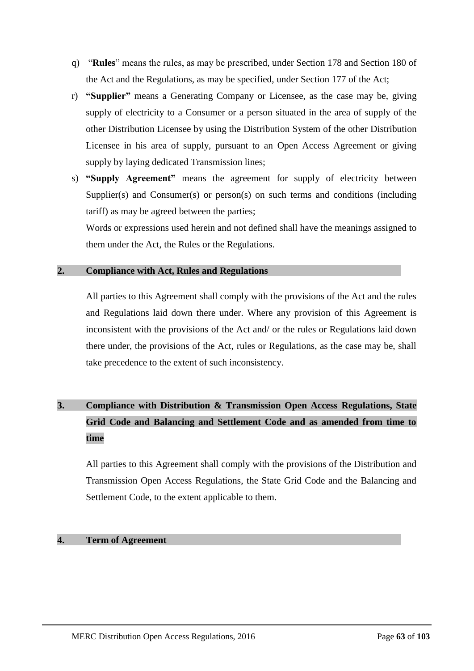- q) "**Rules**" means the rules, as may be prescribed, under Section 178 and Section 180 of the Act and the Regulations, as may be specified, under Section 177 of the Act;
- r) **"Supplier"** means a Generating Company or Licensee, as the case may be, giving supply of electricity to a Consumer or a person situated in the area of supply of the other Distribution Licensee by using the Distribution System of the other Distribution Licensee in his area of supply, pursuant to an Open Access Agreement or giving supply by laying dedicated Transmission lines;
- s) **"Supply Agreement"** means the agreement for supply of electricity between Supplier(s) and Consumer(s) or person(s) on such terms and conditions (including tariff) as may be agreed between the parties;

Words or expressions used herein and not defined shall have the meanings assigned to them under the Act, the Rules or the Regulations.

# **2. Compliance with Act, Rules and Regulations**

All parties to this Agreement shall comply with the provisions of the Act and the rules and Regulations laid down there under. Where any provision of this Agreement is inconsistent with the provisions of the Act and/ or the rules or Regulations laid down there under, the provisions of the Act, rules or Regulations, as the case may be, shall take precedence to the extent of such inconsistency.

# **3. Compliance with Distribution & Transmission Open Access Regulations, State Grid Code and Balancing and Settlement Code and as amended from time to time**

All parties to this Agreement shall comply with the provisions of the Distribution and Transmission Open Access Regulations, the State Grid Code and the Balancing and Settlement Code, to the extent applicable to them.

# **4. Term of Agreement**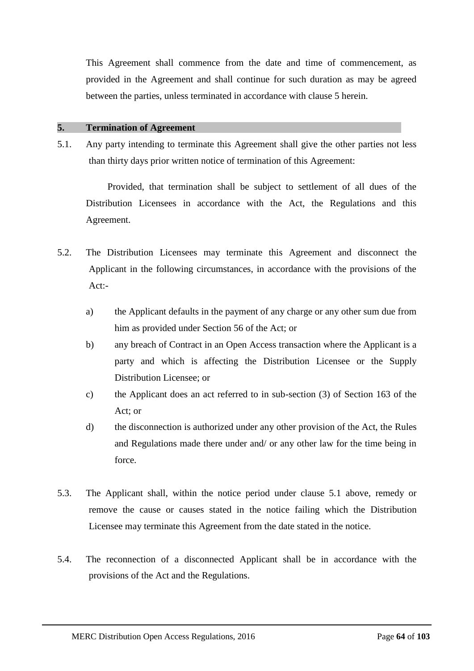This Agreement shall commence from the date and time of commencement, as provided in the Agreement and shall continue for such duration as may be agreed between the parties, unless terminated in accordance with clause 5 herein.

# **5. Termination of Agreement**

5.1. Any party intending to terminate this Agreement shall give the other parties not less than thirty days prior written notice of termination of this Agreement:

Provided, that termination shall be subject to settlement of all dues of the Distribution Licensees in accordance with the Act, the Regulations and this Agreement.

- 5.2. The Distribution Licensees may terminate this Agreement and disconnect the Applicant in the following circumstances, in accordance with the provisions of the  $Act$ .
	- a) the Applicant defaults in the payment of any charge or any other sum due from him as provided under Section 56 of the Act; or
	- b) any breach of Contract in an Open Access transaction where the Applicant is a party and which is affecting the Distribution Licensee or the Supply Distribution Licensee; or
	- c) the Applicant does an act referred to in sub-section (3) of Section 163 of the Act; or
	- d) the disconnection is authorized under any other provision of the Act, the Rules and Regulations made there under and/ or any other law for the time being in force.
- 5.3. The Applicant shall, within the notice period under clause 5.1 above, remedy or remove the cause or causes stated in the notice failing which the Distribution Licensee may terminate this Agreement from the date stated in the notice.
- 5.4. The reconnection of a disconnected Applicant shall be in accordance with the provisions of the Act and the Regulations.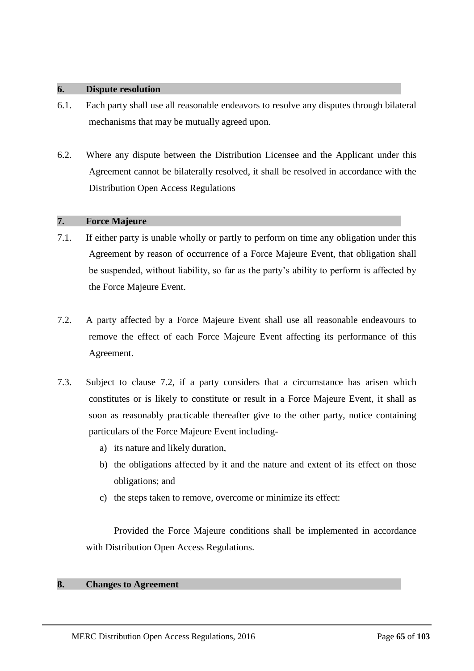#### **6. Dispute resolution**

- 6.1. Each party shall use all reasonable endeavors to resolve any disputes through bilateral mechanisms that may be mutually agreed upon.
- 6.2. Where any dispute between the Distribution Licensee and the Applicant under this Agreement cannot be bilaterally resolved, it shall be resolved in accordance with the Distribution Open Access Regulations

# **7. Force Majeure**

- 7.1. If either party is unable wholly or partly to perform on time any obligation under this Agreement by reason of occurrence of a Force Majeure Event, that obligation shall be suspended, without liability, so far as the party's ability to perform is affected by the Force Majeure Event.
- 7.2. A party affected by a Force Majeure Event shall use all reasonable endeavours to remove the effect of each Force Majeure Event affecting its performance of this Agreement.
- 7.3. Subject to clause 7.2, if a party considers that a circumstance has arisen which constitutes or is likely to constitute or result in a Force Majeure Event, it shall as soon as reasonably practicable thereafter give to the other party, notice containing particulars of the Force Majeure Event including
	- a) its nature and likely duration,
	- b) the obligations affected by it and the nature and extent of its effect on those obligations; and
	- c) the steps taken to remove, overcome or minimize its effect:

Provided the Force Majeure conditions shall be implemented in accordance with Distribution Open Access Regulations.

# **8. Changes to Agreement**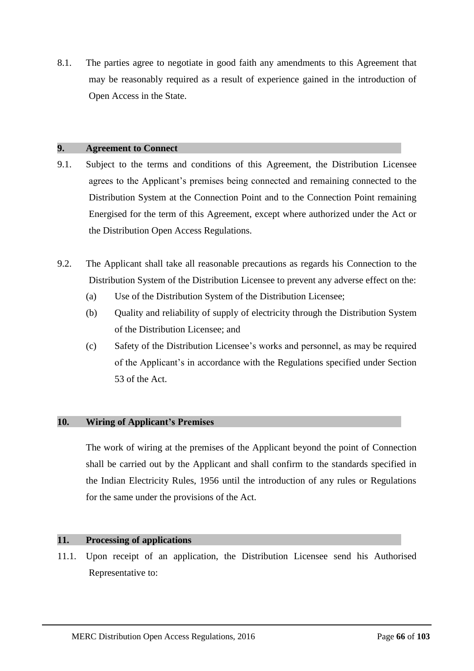8.1. The parties agree to negotiate in good faith any amendments to this Agreement that may be reasonably required as a result of experience gained in the introduction of Open Access in the State.

# **9. Agreement to Connect**

- 9.1. Subject to the terms and conditions of this Agreement, the Distribution Licensee agrees to the Applicant's premises being connected and remaining connected to the Distribution System at the Connection Point and to the Connection Point remaining Energised for the term of this Agreement, except where authorized under the Act or the Distribution Open Access Regulations.
- 9.2. The Applicant shall take all reasonable precautions as regards his Connection to the Distribution System of the Distribution Licensee to prevent any adverse effect on the:
	- (a) Use of the Distribution System of the Distribution Licensee;
	- (b) Quality and reliability of supply of electricity through the Distribution System of the Distribution Licensee; and
	- (c) Safety of the Distribution Licensee's works and personnel, as may be required of the Applicant's in accordance with the Regulations specified under Section 53 of the Act.

# **10. Wiring of Applicant's Premises**

The work of wiring at the premises of the Applicant beyond the point of Connection shall be carried out by the Applicant and shall confirm to the standards specified in the Indian Electricity Rules, 1956 until the introduction of any rules or Regulations for the same under the provisions of the Act.

# **11. Processing of applications**

11.1. Upon receipt of an application, the Distribution Licensee send his Authorised Representative to: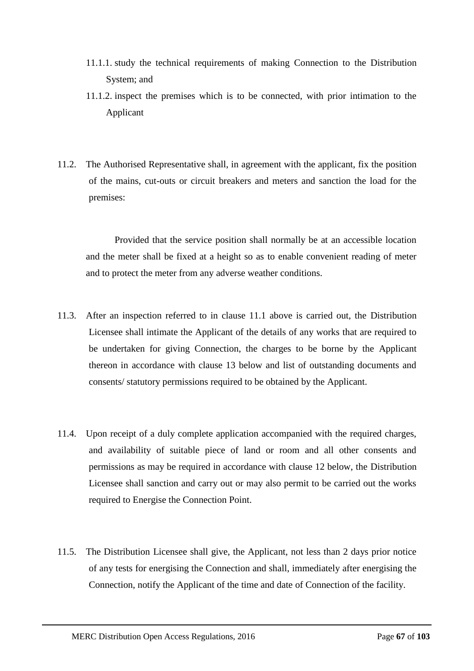- 11.1.1. study the technical requirements of making Connection to the Distribution System; and
- 11.1.2. inspect the premises which is to be connected, with prior intimation to the Applicant
- 11.2. The Authorised Representative shall, in agreement with the applicant, fix the position of the mains, cut-outs or circuit breakers and meters and sanction the load for the premises:

Provided that the service position shall normally be at an accessible location and the meter shall be fixed at a height so as to enable convenient reading of meter and to protect the meter from any adverse weather conditions.

- 11.3. After an inspection referred to in clause 11.1 above is carried out, the Distribution Licensee shall intimate the Applicant of the details of any works that are required to be undertaken for giving Connection, the charges to be borne by the Applicant thereon in accordance with clause 13 below and list of outstanding documents and consents/ statutory permissions required to be obtained by the Applicant.
- 11.4. Upon receipt of a duly complete application accompanied with the required charges, and availability of suitable piece of land or room and all other consents and permissions as may be required in accordance with clause 12 below, the Distribution Licensee shall sanction and carry out or may also permit to be carried out the works required to Energise the Connection Point.
- 11.5. The Distribution Licensee shall give, the Applicant, not less than 2 days prior notice of any tests for energising the Connection and shall, immediately after energising the Connection, notify the Applicant of the time and date of Connection of the facility.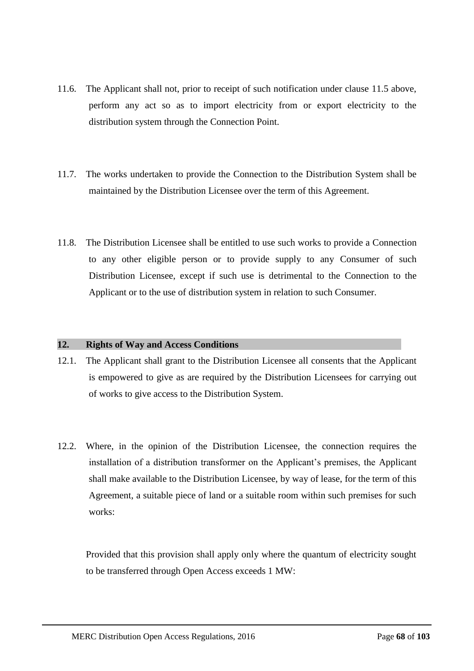- 11.6. The Applicant shall not, prior to receipt of such notification under clause 11.5 above, perform any act so as to import electricity from or export electricity to the distribution system through the Connection Point.
- 11.7. The works undertaken to provide the Connection to the Distribution System shall be maintained by the Distribution Licensee over the term of this Agreement.
- 11.8. The Distribution Licensee shall be entitled to use such works to provide a Connection to any other eligible person or to provide supply to any Consumer of such Distribution Licensee, except if such use is detrimental to the Connection to the Applicant or to the use of distribution system in relation to such Consumer.

# **12. Rights of Way and Access Conditions**

- 12.1. The Applicant shall grant to the Distribution Licensee all consents that the Applicant is empowered to give as are required by the Distribution Licensees for carrying out of works to give access to the Distribution System.
- 12.2. Where, in the opinion of the Distribution Licensee, the connection requires the installation of a distribution transformer on the Applicant's premises, the Applicant shall make available to the Distribution Licensee, by way of lease, for the term of this Agreement, a suitable piece of land or a suitable room within such premises for such works:

Provided that this provision shall apply only where the quantum of electricity sought to be transferred through Open Access exceeds 1 MW: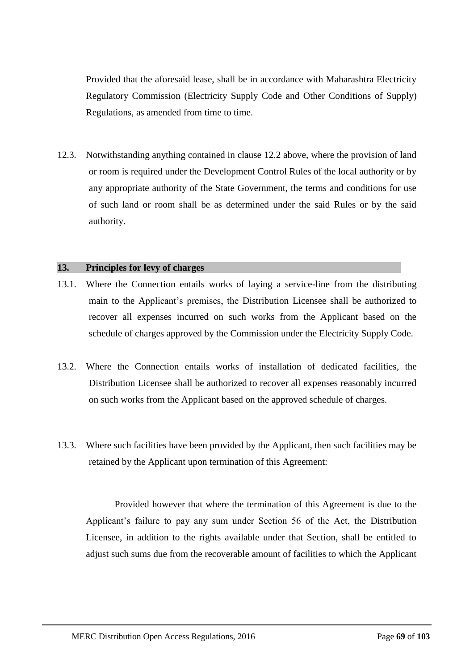Provided that the aforesaid lease, shall be in accordance with Maharashtra Electricity Regulatory Commission (Electricity Supply Code and Other Conditions of Supply) Regulations, as amended from time to time.

12.3. Notwithstanding anything contained in clause 12.2 above, where the provision of land or room is required under the Development Control Rules of the local authority or by any appropriate authority of the State Government, the terms and conditions for use of such land or room shall be as determined under the said Rules or by the said authority.

# **13. Principles for levy of charges**

- 13.1. Where the Connection entails works of laying a service-line from the distributing main to the Applicant's premises, the Distribution Licensee shall be authorized to recover all expenses incurred on such works from the Applicant based on the schedule of charges approved by the Commission under the Electricity Supply Code.
- 13.2. Where the Connection entails works of installation of dedicated facilities, the Distribution Licensee shall be authorized to recover all expenses reasonably incurred on such works from the Applicant based on the approved schedule of charges.
- 13.3. Where such facilities have been provided by the Applicant, then such facilities may be retained by the Applicant upon termination of this Agreement:

Provided however that where the termination of this Agreement is due to the Applicant's failure to pay any sum under Section 56 of the Act, the Distribution Licensee, in addition to the rights available under that Section, shall be entitled to adjust such sums due from the recoverable amount of facilities to which the Applicant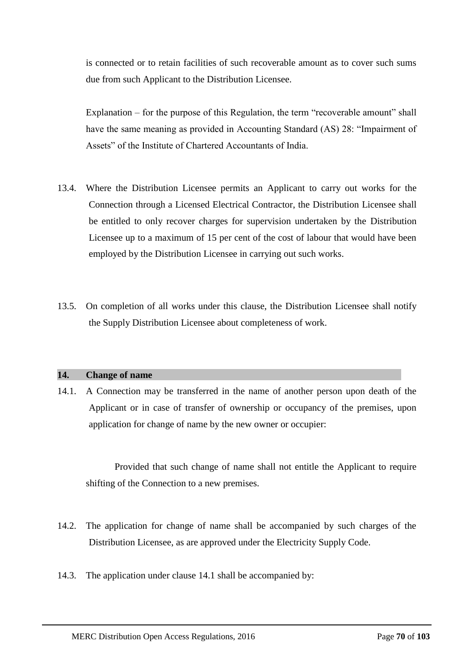is connected or to retain facilities of such recoverable amount as to cover such sums due from such Applicant to the Distribution Licensee.

Explanation – for the purpose of this Regulation, the term "recoverable amount" shall have the same meaning as provided in Accounting Standard (AS) 28: "Impairment of Assets" of the Institute of Chartered Accountants of India.

- 13.4. Where the Distribution Licensee permits an Applicant to carry out works for the Connection through a Licensed Electrical Contractor, the Distribution Licensee shall be entitled to only recover charges for supervision undertaken by the Distribution Licensee up to a maximum of 15 per cent of the cost of labour that would have been employed by the Distribution Licensee in carrying out such works.
- 13.5. On completion of all works under this clause, the Distribution Licensee shall notify the Supply Distribution Licensee about completeness of work.

# **14. Change of name**

14.1. A Connection may be transferred in the name of another person upon death of the Applicant or in case of transfer of ownership or occupancy of the premises, upon application for change of name by the new owner or occupier:

Provided that such change of name shall not entitle the Applicant to require shifting of the Connection to a new premises.

- 14.2. The application for change of name shall be accompanied by such charges of the Distribution Licensee, as are approved under the Electricity Supply Code.
- 14.3. The application under clause 14.1 shall be accompanied by: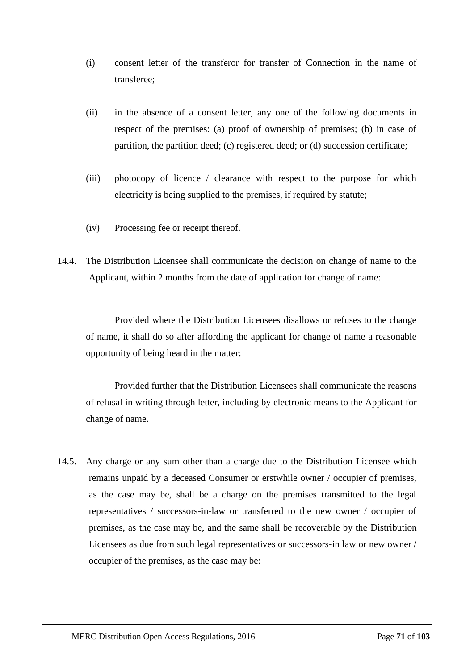- (i) consent letter of the transferor for transfer of Connection in the name of transferee;
- (ii) in the absence of a consent letter, any one of the following documents in respect of the premises: (a) proof of ownership of premises; (b) in case of partition, the partition deed; (c) registered deed; or (d) succession certificate;
- (iii) photocopy of licence / clearance with respect to the purpose for which electricity is being supplied to the premises, if required by statute;
- (iv) Processing fee or receipt thereof.
- 14.4. The Distribution Licensee shall communicate the decision on change of name to the Applicant, within 2 months from the date of application for change of name:

Provided where the Distribution Licensees disallows or refuses to the change of name, it shall do so after affording the applicant for change of name a reasonable opportunity of being heard in the matter:

Provided further that the Distribution Licensees shall communicate the reasons of refusal in writing through letter, including by electronic means to the Applicant for change of name.

14.5. Any charge or any sum other than a charge due to the Distribution Licensee which remains unpaid by a deceased Consumer or erstwhile owner / occupier of premises, as the case may be, shall be a charge on the premises transmitted to the legal representatives / successors-in-law or transferred to the new owner / occupier of premises, as the case may be, and the same shall be recoverable by the Distribution Licensees as due from such legal representatives or successors-in law or new owner / occupier of the premises, as the case may be: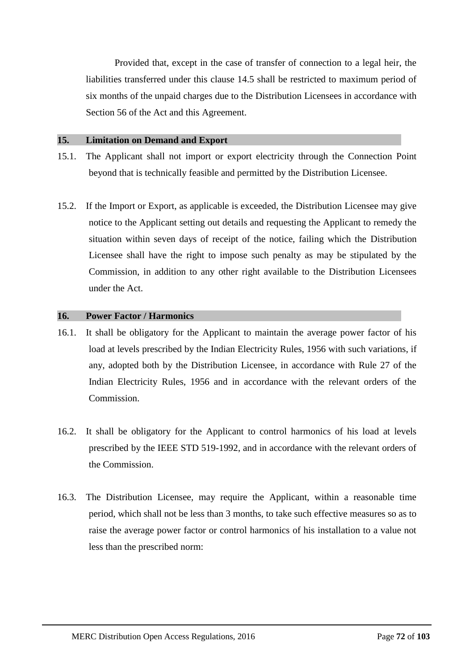Provided that, except in the case of transfer of connection to a legal heir, the liabilities transferred under this clause 14.5 shall be restricted to maximum period of six months of the unpaid charges due to the Distribution Licensees in accordance with Section 56 of the Act and this Agreement.

#### **15. Limitation on Demand and Export**

- 15.1. The Applicant shall not import or export electricity through the Connection Point beyond that is technically feasible and permitted by the Distribution Licensee.
- 15.2. If the Import or Export, as applicable is exceeded, the Distribution Licensee may give notice to the Applicant setting out details and requesting the Applicant to remedy the situation within seven days of receipt of the notice, failing which the Distribution Licensee shall have the right to impose such penalty as may be stipulated by the Commission, in addition to any other right available to the Distribution Licensees under the Act.

# **16. Power Factor / Harmonics**

- 16.1. It shall be obligatory for the Applicant to maintain the average power factor of his load at levels prescribed by the Indian Electricity Rules, 1956 with such variations, if any, adopted both by the Distribution Licensee, in accordance with Rule 27 of the Indian Electricity Rules, 1956 and in accordance with the relevant orders of the Commission.
- 16.2. It shall be obligatory for the Applicant to control harmonics of his load at levels prescribed by the IEEE STD 519-1992, and in accordance with the relevant orders of the Commission.
- 16.3. The Distribution Licensee, may require the Applicant, within a reasonable time period, which shall not be less than 3 months, to take such effective measures so as to raise the average power factor or control harmonics of his installation to a value not less than the prescribed norm: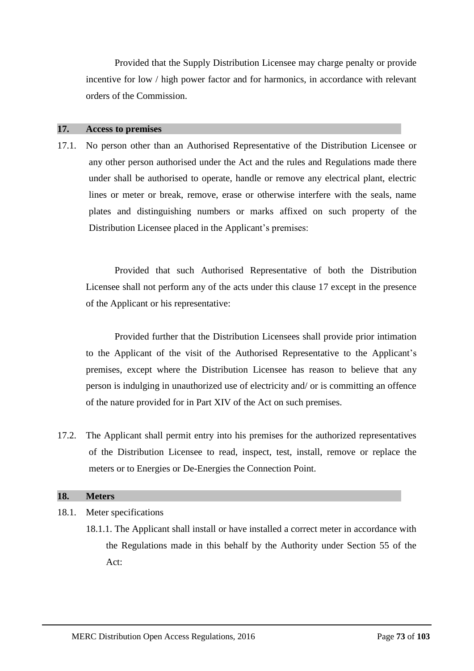Provided that the Supply Distribution Licensee may charge penalty or provide incentive for low / high power factor and for harmonics, in accordance with relevant orders of the Commission.

#### **17. Access to premises**

17.1. No person other than an Authorised Representative of the Distribution Licensee or any other person authorised under the Act and the rules and Regulations made there under shall be authorised to operate, handle or remove any electrical plant, electric lines or meter or break, remove, erase or otherwise interfere with the seals, name plates and distinguishing numbers or marks affixed on such property of the Distribution Licensee placed in the Applicant's premises:

Provided that such Authorised Representative of both the Distribution Licensee shall not perform any of the acts under this clause 17 except in the presence of the Applicant or his representative:

Provided further that the Distribution Licensees shall provide prior intimation to the Applicant of the visit of the Authorised Representative to the Applicant's premises, except where the Distribution Licensee has reason to believe that any person is indulging in unauthorized use of electricity and/ or is committing an offence of the nature provided for in Part XIV of the Act on such premises.

17.2. The Applicant shall permit entry into his premises for the authorized representatives of the Distribution Licensee to read, inspect, test, install, remove or replace the meters or to Energies or De-Energies the Connection Point.

#### **18. Meters**

- 18.1. Meter specifications
	- 18.1.1. The Applicant shall install or have installed a correct meter in accordance with the Regulations made in this behalf by the Authority under Section 55 of the Act: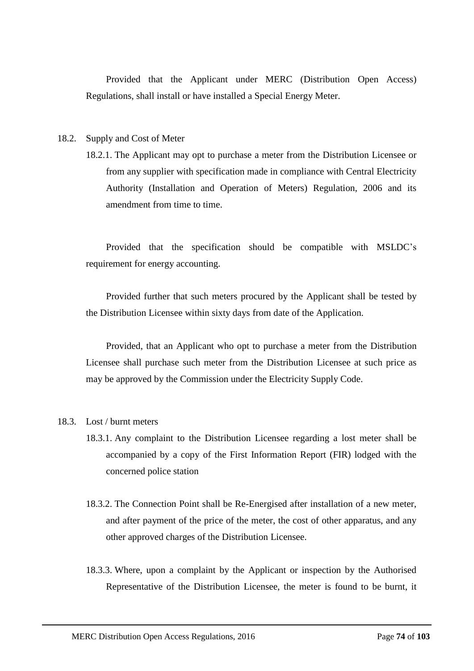Provided that the Applicant under MERC (Distribution Open Access) Regulations, shall install or have installed a Special Energy Meter.

#### 18.2. Supply and Cost of Meter

18.2.1. The Applicant may opt to purchase a meter from the Distribution Licensee or from any supplier with specification made in compliance with Central Electricity Authority (Installation and Operation of Meters) Regulation, 2006 and its amendment from time to time.

Provided that the specification should be compatible with MSLDC's requirement for energy accounting.

Provided further that such meters procured by the Applicant shall be tested by the Distribution Licensee within sixty days from date of the Application.

Provided, that an Applicant who opt to purchase a meter from the Distribution Licensee shall purchase such meter from the Distribution Licensee at such price as may be approved by the Commission under the Electricity Supply Code.

#### 18.3. Lost / burnt meters

- 18.3.1. Any complaint to the Distribution Licensee regarding a lost meter shall be accompanied by a copy of the First Information Report (FIR) lodged with the concerned police station
- 18.3.2. The Connection Point shall be Re-Energised after installation of a new meter, and after payment of the price of the meter, the cost of other apparatus, and any other approved charges of the Distribution Licensee.
- 18.3.3. Where, upon a complaint by the Applicant or inspection by the Authorised Representative of the Distribution Licensee, the meter is found to be burnt, it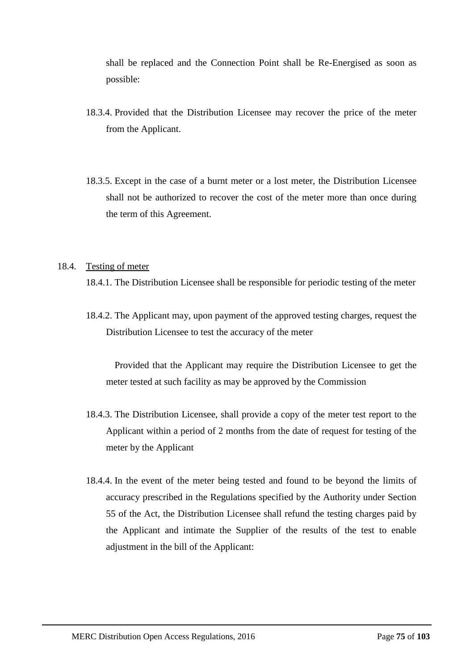shall be replaced and the Connection Point shall be Re-Energised as soon as possible:

- 18.3.4. Provided that the Distribution Licensee may recover the price of the meter from the Applicant.
- 18.3.5. Except in the case of a burnt meter or a lost meter, the Distribution Licensee shall not be authorized to recover the cost of the meter more than once during the term of this Agreement.

#### 18.4. Testing of meter

18.4.1. The Distribution Licensee shall be responsible for periodic testing of the meter

18.4.2. The Applicant may, upon payment of the approved testing charges, request the Distribution Licensee to test the accuracy of the meter

Provided that the Applicant may require the Distribution Licensee to get the meter tested at such facility as may be approved by the Commission

- 18.4.3. The Distribution Licensee, shall provide a copy of the meter test report to the Applicant within a period of 2 months from the date of request for testing of the meter by the Applicant
- 18.4.4. In the event of the meter being tested and found to be beyond the limits of accuracy prescribed in the Regulations specified by the Authority under Section 55 of the Act, the Distribution Licensee shall refund the testing charges paid by the Applicant and intimate the Supplier of the results of the test to enable adjustment in the bill of the Applicant: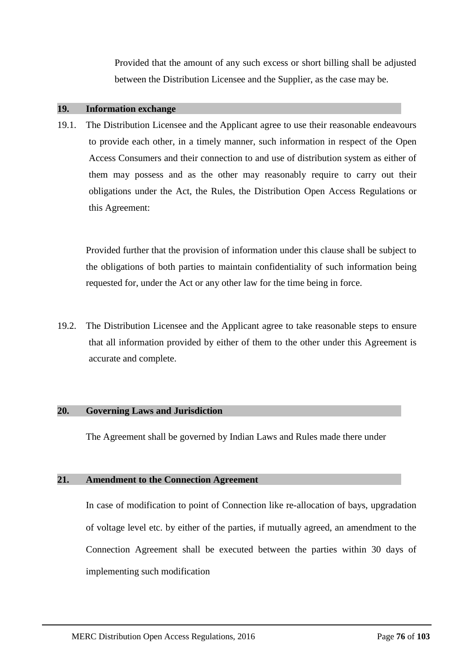Provided that the amount of any such excess or short billing shall be adjusted between the Distribution Licensee and the Supplier, as the case may be.

#### **19. Information exchange**

19.1. The Distribution Licensee and the Applicant agree to use their reasonable endeavours to provide each other, in a timely manner, such information in respect of the Open Access Consumers and their connection to and use of distribution system as either of them may possess and as the other may reasonably require to carry out their obligations under the Act, the Rules, the Distribution Open Access Regulations or this Agreement:

Provided further that the provision of information under this clause shall be subject to the obligations of both parties to maintain confidentiality of such information being requested for, under the Act or any other law for the time being in force.

19.2. The Distribution Licensee and the Applicant agree to take reasonable steps to ensure that all information provided by either of them to the other under this Agreement is accurate and complete.

#### **20. Governing Laws and Jurisdiction**

The Agreement shall be governed by Indian Laws and Rules made there under

#### **21. Amendment to the Connection Agreement**

In case of modification to point of Connection like re-allocation of bays, upgradation of voltage level etc. by either of the parties, if mutually agreed, an amendment to the Connection Agreement shall be executed between the parties within 30 days of implementing such modification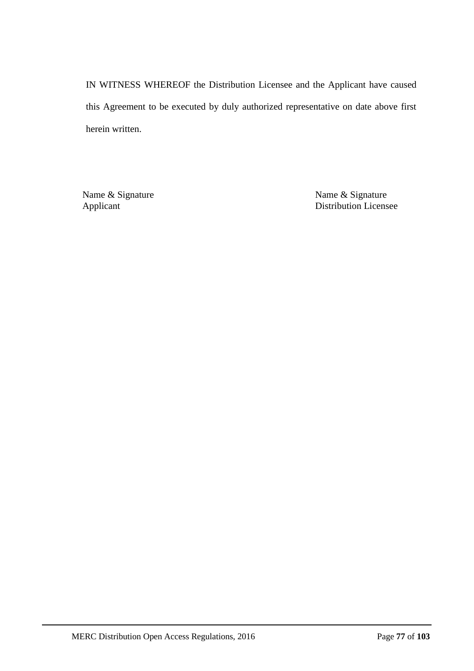IN WITNESS WHEREOF the Distribution Licensee and the Applicant have caused this Agreement to be executed by duly authorized representative on date above first herein written.

Name & Signature Name & Signature Name & Signature Applicant Distribution Licens Distribution Licensee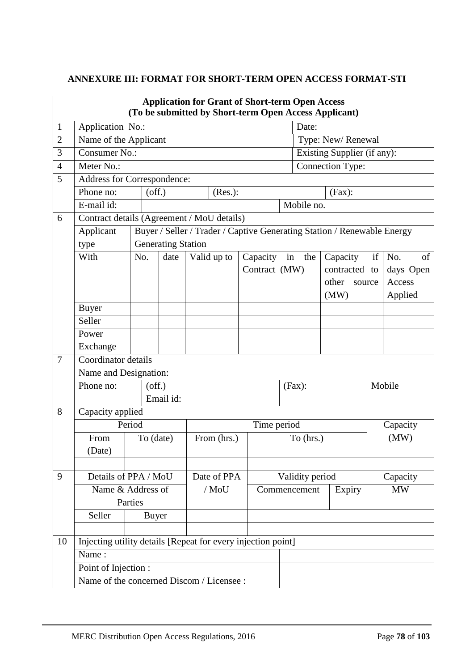## **ANNEXURE III: FORMAT FOR SHORT-TERM OPEN ACCESS FORMAT-STI**

|                                           |                                                              |         |              |                                   |  |                             | <b>Application for Grant of Short-term Open Access</b><br>(To be submitted by Short-term Open Access Applicant) |    |            |        |                         |      |           |
|-------------------------------------------|--------------------------------------------------------------|---------|--------------|-----------------------------------|--|-----------------------------|-----------------------------------------------------------------------------------------------------------------|----|------------|--------|-------------------------|------|-----------|
| $\mathbf{1}$                              | Application No.:                                             |         |              |                                   |  |                             |                                                                                                                 |    | Date:      |        |                         |      |           |
| $\overline{2}$                            | Name of the Applicant                                        |         |              |                                   |  | Type: New/Renewal           |                                                                                                                 |    |            |        |                         |      |           |
| 3                                         | Consumer No.:                                                |         |              |                                   |  | Existing Supplier (if any): |                                                                                                                 |    |            |        |                         |      |           |
| $\overline{4}$                            | Meter No.:                                                   |         |              |                                   |  |                             |                                                                                                                 |    |            |        | <b>Connection Type:</b> |      |           |
| 5                                         | Address for Correspondence:                                  |         |              |                                   |  |                             |                                                                                                                 |    |            |        |                         |      |           |
|                                           | Phone no:                                                    |         | $($ off. $)$ |                                   |  | (Res.):                     |                                                                                                                 |    |            | (Fax): |                         |      |           |
|                                           | E-mail id:                                                   |         |              |                                   |  |                             |                                                                                                                 |    | Mobile no. |        |                         |      |           |
| 6                                         | Contract details (Agreement / MoU details)                   |         |              |                                   |  |                             |                                                                                                                 |    |            |        |                         |      |           |
|                                           | Applicant                                                    |         |              |                                   |  |                             | Buyer / Seller / Trader / Captive Generating Station / Renewable Energy                                         |    |            |        |                         |      |           |
|                                           | type                                                         |         |              | <b>Generating Station</b>         |  |                             |                                                                                                                 |    |            |        |                         |      |           |
|                                           | With                                                         | No.     |              | date                              |  | Valid up to                 | Capacity                                                                                                        | in | the        |        | Capacity                | if   | No.<br>of |
|                                           |                                                              |         |              |                                   |  |                             | Contract (MW)                                                                                                   |    |            |        | contracted to           |      | days Open |
|                                           |                                                              |         |              |                                   |  |                             |                                                                                                                 |    |            |        | other source            |      | Access    |
|                                           |                                                              |         |              |                                   |  |                             |                                                                                                                 |    |            |        | (MW)                    |      | Applied   |
|                                           | <b>Buyer</b>                                                 |         |              |                                   |  |                             |                                                                                                                 |    |            |        |                         |      |           |
|                                           | Seller                                                       |         |              |                                   |  |                             |                                                                                                                 |    |            |        |                         |      |           |
|                                           | Power                                                        |         |              |                                   |  |                             |                                                                                                                 |    |            |        |                         |      |           |
|                                           | Exchange                                                     |         |              |                                   |  |                             |                                                                                                                 |    |            |        |                         |      |           |
| $\overline{7}$                            | Coordinator details                                          |         |              |                                   |  |                             |                                                                                                                 |    |            |        |                         |      |           |
|                                           | Name and Designation:                                        |         |              |                                   |  |                             |                                                                                                                 |    |            |        |                         |      |           |
|                                           | Phone no:<br>$($ off. $)$<br>(Fax):                          |         |              |                                   |  | Mobile                      |                                                                                                                 |    |            |        |                         |      |           |
|                                           |                                                              |         |              | Email id:                         |  |                             |                                                                                                                 |    |            |        |                         |      |           |
| 8                                         | Capacity applied                                             |         |              |                                   |  |                             |                                                                                                                 |    |            |        |                         |      |           |
|                                           |                                                              | Period  |              |                                   |  |                             | Time period                                                                                                     |    |            |        |                         |      | Capacity  |
|                                           | From                                                         |         | To (date)    |                                   |  | From (hrs.)                 |                                                                                                                 |    | To (hrs.)  |        |                         | (MW) |           |
|                                           | (Date)                                                       |         |              |                                   |  |                             |                                                                                                                 |    |            |        |                         |      |           |
|                                           |                                                              |         |              |                                   |  |                             |                                                                                                                 |    |            |        |                         |      |           |
| 9                                         | Details of PPA / MoU                                         |         |              |                                   |  | Date of PPA                 | Validity period                                                                                                 |    | Capacity   |        |                         |      |           |
|                                           | Name & Address of                                            |         |              | $/$ MoU<br>Commencement<br>Expiry |  |                             | <b>MW</b>                                                                                                       |    |            |        |                         |      |           |
|                                           |                                                              | Parties |              |                                   |  |                             |                                                                                                                 |    |            |        |                         |      |           |
|                                           | Seller                                                       |         | Buyer        |                                   |  |                             |                                                                                                                 |    |            |        |                         |      |           |
|                                           |                                                              |         |              |                                   |  |                             |                                                                                                                 |    |            |        |                         |      |           |
| 10                                        | Injecting utility details [Repeat for every injection point] |         |              |                                   |  |                             |                                                                                                                 |    |            |        |                         |      |           |
|                                           | Name:                                                        |         |              |                                   |  |                             |                                                                                                                 |    |            |        |                         |      |           |
|                                           | Point of Injection :                                         |         |              |                                   |  |                             |                                                                                                                 |    |            |        |                         |      |           |
| Name of the concerned Discom / Licensee : |                                                              |         |              |                                   |  |                             |                                                                                                                 |    |            |        |                         |      |           |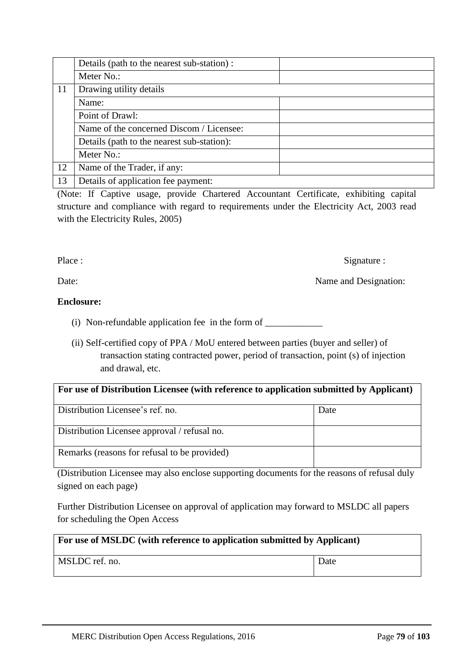|    | Details (path to the nearest sub-station): |
|----|--------------------------------------------|
|    | Meter No.:                                 |
| 11 | Drawing utility details                    |
|    | Name:                                      |
|    | Point of Drawl:                            |
|    | Name of the concerned Discom / Licensee:   |
|    | Details (path to the nearest sub-station): |
|    | Meter No.:                                 |
| 12 | Name of the Trader, if any:                |
| 13 | Details of application fee payment:        |

(Note: If Captive usage, provide Chartered Accountant Certificate, exhibiting capital structure and compliance with regard to requirements under the Electricity Act, 2003 read with the Electricity Rules, 2005)

Place : Signature : Signature : Signature : Signature : Signature : Signature : Signature : Signature : Signature : Signature : Signature : Signature : Signature : Signature : Signature : Signature : Signature : Signature

Date: Name and Designation:

## **Enclosure:**

(i) Non-refundable application fee in the form of  $\frac{1}{\sqrt{1-\frac{1}{\sqrt{1-\frac{1}{\sqrt{1-\frac{1}{\sqrt{1-\frac{1}{\sqrt{1-\frac{1}{\sqrt{1-\frac{1}{\sqrt{1-\frac{1}{\sqrt{1-\frac{1}{\sqrt{1-\frac{1}{\sqrt{1-\frac{1}{\sqrt{1-\frac{1}{\sqrt{1-\frac{1}{\sqrt{1-\frac{1}{\sqrt{1-\frac{1}{\sqrt{1-\frac{1}{\sqrt{1-\frac{1}{\sqrt{1-\frac{1}{\sqrt{1-\frac{1}{\sqrt{$ 

(ii) Self-certified copy of PPA / MoU entered between parties (buyer and seller) of transaction stating contracted power, period of transaction, point (s) of injection and drawal, etc.

| For use of Distribution Licensee (with reference to application submitted by Applicant) |      |  |  |  |
|-----------------------------------------------------------------------------------------|------|--|--|--|
| Distribution Licensee's ref. no.                                                        | Date |  |  |  |
| Distribution Licensee approval / refusal no.                                            |      |  |  |  |
| Remarks (reasons for refusal to be provided)                                            |      |  |  |  |

(Distribution Licensee may also enclose supporting documents for the reasons of refusal duly signed on each page)

Further Distribution Licensee on approval of application may forward to MSLDC all papers for scheduling the Open Access

| For use of MSLDC (with reference to application submitted by Applicant) |      |  |  |  |
|-------------------------------------------------------------------------|------|--|--|--|
| MSLDC ref. no.                                                          | Date |  |  |  |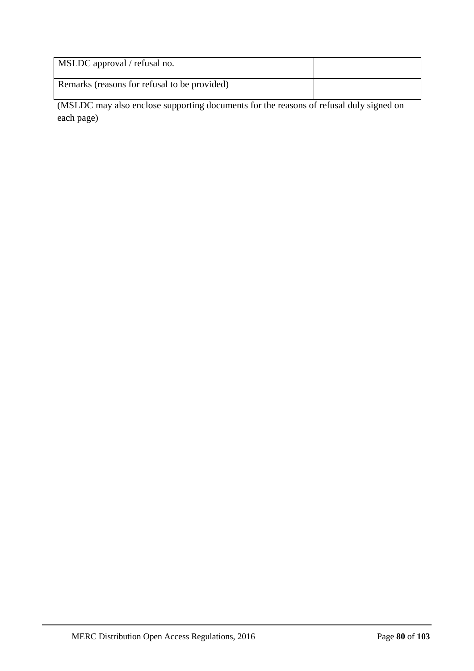| MSLDC approval / refusal no.                 |  |
|----------------------------------------------|--|
| Remarks (reasons for refusal to be provided) |  |

(MSLDC may also enclose supporting documents for the reasons of refusal duly signed on each page)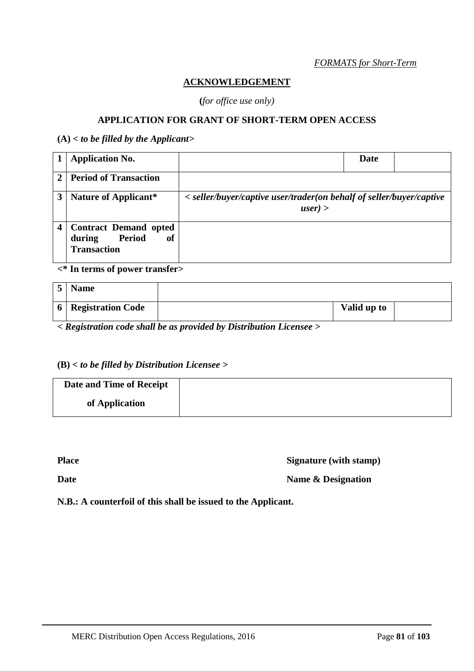### *FORMATS for Short-Term*

### **ACKNOWLEDGEMENT**

**(***for office use only)*

## **APPLICATION FOR GRANT OF SHORT-TERM OPEN ACCESS**

**(A)** *< to be filled by the Applicant>*

|              | <b>Application No.</b>                                                       |                                                                                    | Date |  |
|--------------|------------------------------------------------------------------------------|------------------------------------------------------------------------------------|------|--|
| $\mathbf{2}$ | <b>Period of Transaction</b>                                                 |                                                                                    |      |  |
| 3            | Nature of Applicant*                                                         | < seller/buyer/captive user/trader(on behalf of seller/buyer/captive<br>$user$ ) > |      |  |
| 4            | <b>Contract Demand opted</b><br>Period<br>of<br>during<br><b>Transaction</b> |                                                                                    |      |  |

**<\* In terms of power transfer>**

|                | <b>Name</b>              |             |  |
|----------------|--------------------------|-------------|--|
| 6 <sup>1</sup> | <b>Registration Code</b> | Valid up to |  |

*< Registration code shall be as provided by Distribution Licensee >*

# **(B)** *< to be filled by Distribution Licensee >*

| Date and Time of Receipt |  |
|--------------------------|--|
| of Application           |  |

**Place Signature (with stamp)** 

**Date Name & Designation** 

**N.B.: A counterfoil of this shall be issued to the Applicant.**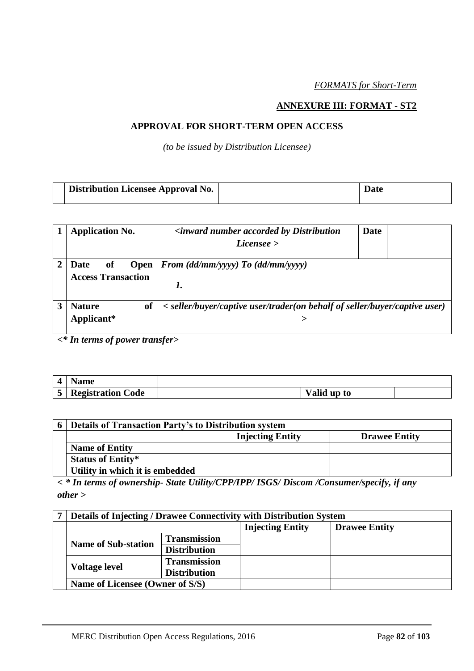*FORMATS for Short-Term*

### **ANNEXURE III: FORMAT - ST2**

### **APPROVAL FOR SHORT-TERM OPEN ACCESS**

*(to be issued by Distribution Licensee)*

| <b>Distribution Licensee Approval No.</b> | <b>Date</b> |  |
|-------------------------------------------|-------------|--|
|                                           |             |  |

| <b>Application No.</b>                                                                                       | <i><b><inward accorded="" b="" by="" distribution<="" number=""></inward></b></i><br>License | Date |  |
|--------------------------------------------------------------------------------------------------------------|----------------------------------------------------------------------------------------------|------|--|
| From $(dd/mm/yyyy)$ To $(dd/mm/yyyy)$<br><b>Date</b><br>of<br><b>Open</b><br><b>Access Transaction</b><br>1. |                                                                                              |      |  |
| <b>Nature</b><br>of<br>Applicant*                                                                            | < seller/buyer/captive user/trader(on behalf of seller/buyer/captive user)                   |      |  |

*<\* In terms of power transfer>*

| Name                     |             |  |
|--------------------------|-------------|--|
| <b>Registration Code</b> | Valid up to |  |

| <b>Details of Transaction Party's to Distribution system</b> |                         |                      |  |  |  |
|--------------------------------------------------------------|-------------------------|----------------------|--|--|--|
|                                                              | <b>Injecting Entity</b> | <b>Drawee Entity</b> |  |  |  |
| <b>Name of Entity</b>                                        |                         |                      |  |  |  |
| <b>Status of Entity*</b>                                     |                         |                      |  |  |  |
| Utility in which it is embedded                              |                         |                      |  |  |  |

*< \* In terms of ownership- State Utility/CPP/IPP/ ISGS/ Discom /Consumer/specify, if any other >*

|  | Details of Injecting / Drawee Connectivity with Distribution System |                     |                         |                      |  |  |
|--|---------------------------------------------------------------------|---------------------|-------------------------|----------------------|--|--|
|  |                                                                     |                     | <b>Injecting Entity</b> | <b>Drawee Entity</b> |  |  |
|  | <b>Name of Sub-station</b>                                          | <b>Transmission</b> |                         |                      |  |  |
|  |                                                                     | <b>Distribution</b> |                         |                      |  |  |
|  |                                                                     | <b>Transmission</b> |                         |                      |  |  |
|  | <b>Voltage level</b>                                                | <b>Distribution</b> |                         |                      |  |  |
|  | Name of Licensee (Owner of S/S)                                     |                     |                         |                      |  |  |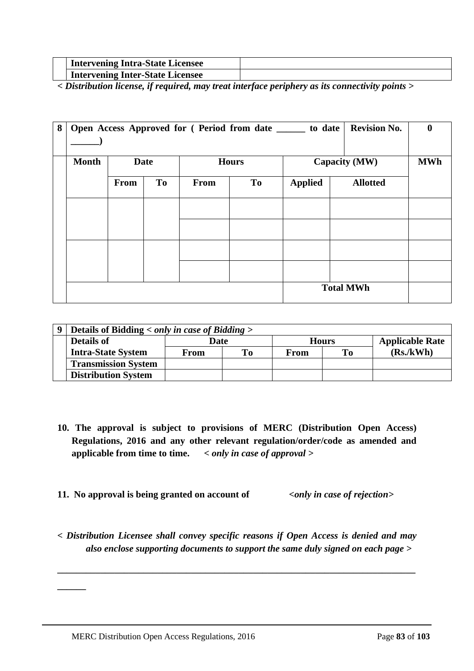| <b>Intervening Intra-State Licensee</b> |  |
|-----------------------------------------|--|
| <b>Intervening Inter-State Licensee</b> |  |

*< Distribution license, if required, may treat interface periphery as its connectivity points >*

| 8 | <b>Revision No.</b><br>Open Access Approved for (Period from date _______ to date |             |           |      |    |                |                 |  |  |  |
|---|-----------------------------------------------------------------------------------|-------------|-----------|------|----|----------------|-----------------|--|--|--|
|   | <b>Month</b><br><b>Date</b><br><b>Hours</b>                                       |             |           |      |    | Capacity (MW)  | <b>MWh</b>      |  |  |  |
|   |                                                                                   | <b>From</b> | <b>To</b> | From | To | <b>Applied</b> | <b>Allotted</b> |  |  |  |
|   |                                                                                   |             |           |      |    |                |                 |  |  |  |
|   |                                                                                   |             |           |      |    |                |                 |  |  |  |
|   |                                                                                   |             |           |      |    |                |                 |  |  |  |
|   |                                                                                   |             |           |      |    |                |                 |  |  |  |
|   | <b>Total MWh</b>                                                                  |             |           |      |    |                |                 |  |  |  |

| Details of Bidding $\langle$ only in case of Bidding $\rangle$ |      |    |              |     |                        |  |  |  |
|----------------------------------------------------------------|------|----|--------------|-----|------------------------|--|--|--|
| <b>Details of</b>                                              | Date |    | <b>Hours</b> |     | <b>Applicable Rate</b> |  |  |  |
| <b>Intra-State System</b>                                      | From | To | From         | To- | (Rs/kWh)               |  |  |  |
| <b>Transmission System</b>                                     |      |    |              |     |                        |  |  |  |
| <b>Distribution System</b>                                     |      |    |              |     |                        |  |  |  |

- **10. The approval is subject to provisions of MERC (Distribution Open Access) Regulations, 2016 and any other relevant regulation/order/code as amended and applicable from time to time.** *< only in case of approval >*
- **11. No approval is being granted on account of** *<only in case of rejection>*

*< Distribution Licensee shall convey specific reasons if Open Access is denied and may also enclose supporting documents to support the same duly signed on each page >*

**\_\_\_\_\_\_\_\_\_\_\_\_\_\_\_\_\_\_\_\_\_\_\_\_\_\_\_\_\_\_\_\_\_\_\_\_\_\_\_\_\_\_\_\_\_\_\_\_\_\_\_\_\_\_\_\_\_\_\_\_\_\_\_\_\_\_\_\_\_\_\_\_\_\_\_**

**\_\_\_\_\_\_**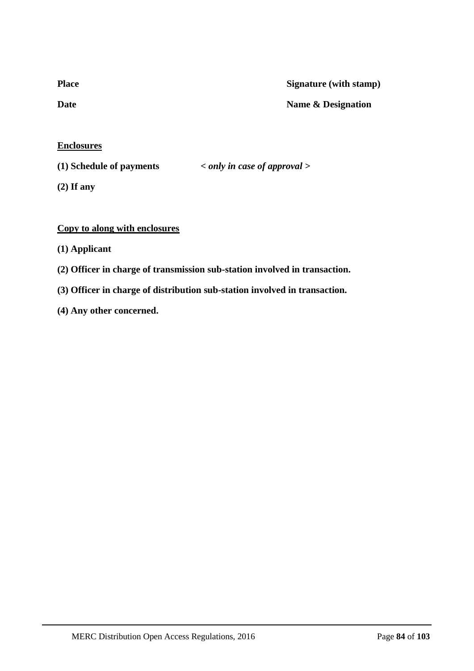| <b>Place</b> | Signature (with stamp) |
|--------------|------------------------|
| Date         | Name & Designation     |
|              |                        |

**Enclosures**

**(1) Schedule of payments** *< only in case of approval >*

**(2) If any**

## **Copy to along with enclosures**

- **(1) Applicant**
- **(2) Officer in charge of transmission sub-station involved in transaction.**
- **(3) Officer in charge of distribution sub-station involved in transaction.**
- **(4) Any other concerned.**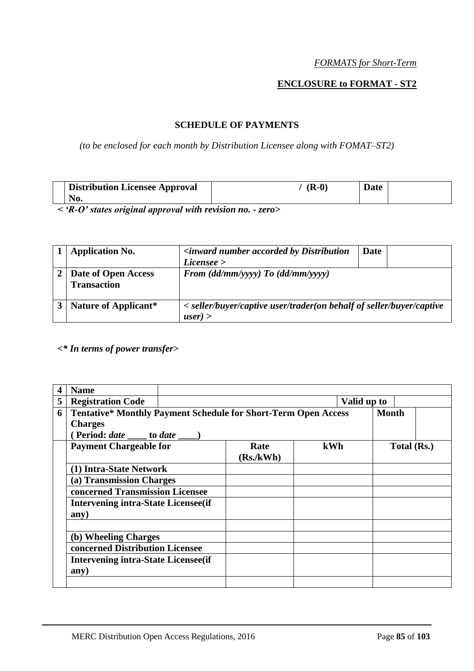## *FORMATS for Short-Term*

## **ENCLOSURE to FORMAT - ST2**

### **SCHEDULE OF PAYMENTS**

## *(to be enclosed for each month by Distribution Licensee along with FOMAT–ST2)*

| <b>Distribution Licensee Approval</b> | $(R-0)$ | <b>Date</b> |  |
|---------------------------------------|---------|-------------|--|
| No.                                   |         |             |  |

*< 'R-O' states original approval with revision no. - zero>*

| <b>Application No.</b>                    | <i><b><inward accorded="" b="" by="" distribution<="" number=""></inward></b></i>  | Date |  |  |  |
|-------------------------------------------|------------------------------------------------------------------------------------|------|--|--|--|
|                                           | License                                                                            |      |  |  |  |
| Date of Open Access<br><b>Transaction</b> | From $(dd/mm/yyyy)$ To $(dd/mm/yyyy)$                                              |      |  |  |  |
| Nature of Applicant*                      | < seller/buyer/captive user/trader(on behalf of seller/buyer/captive<br>$user$ ) > |      |  |  |  |

## *<\* In terms of power transfer>*

|   | <b>Name</b>                                                           |           |             |              |
|---|-----------------------------------------------------------------------|-----------|-------------|--------------|
| 5 | <b>Registration Code</b>                                              |           | Valid up to |              |
| 6 | <b>Tentative* Monthly Payment Schedule for Short-Term Open Access</b> |           |             | <b>Month</b> |
|   | <b>Charges</b>                                                        |           |             |              |
|   | (Period: <i>date</i> _____ to <i>date</i> ____)                       |           |             |              |
|   | <b>Payment Chargeable for</b>                                         | Rate      | kWh         | Total (Rs.)  |
|   |                                                                       | (Rs./kWh) |             |              |
|   | (1) Intra-State Network                                               |           |             |              |
|   | (a) Transmission Charges                                              |           |             |              |
|   | concerned Transmission Licensee                                       |           |             |              |
|   | <b>Intervening intra-State Licensee (if</b>                           |           |             |              |
|   | any)                                                                  |           |             |              |
|   |                                                                       |           |             |              |
|   | (b) Wheeling Charges                                                  |           |             |              |
|   | concerned Distribution Licensee                                       |           |             |              |
|   | <b>Intervening intra-State Licensee (if</b>                           |           |             |              |
|   | any)                                                                  |           |             |              |
|   |                                                                       |           |             |              |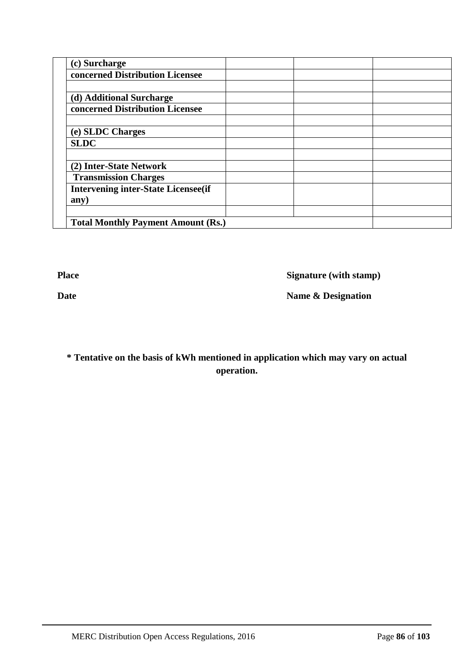| (c) Surcharge                              |  |  |
|--------------------------------------------|--|--|
| concerned Distribution Licensee            |  |  |
|                                            |  |  |
| (d) Additional Surcharge                   |  |  |
| concerned Distribution Licensee            |  |  |
|                                            |  |  |
| (e) SLDC Charges                           |  |  |
| <b>SLDC</b>                                |  |  |
|                                            |  |  |
| (2) Inter-State Network                    |  |  |
| <b>Transmission Charges</b>                |  |  |
| <b>Intervening inter-State Licensee(if</b> |  |  |
| any)                                       |  |  |
|                                            |  |  |
| <b>Total Monthly Payment Amount (Rs.)</b>  |  |  |

**Place** Signature (with stamp)

**Date Name & Designation** 

**\* Tentative on the basis of kWh mentioned in application which may vary on actual operation.**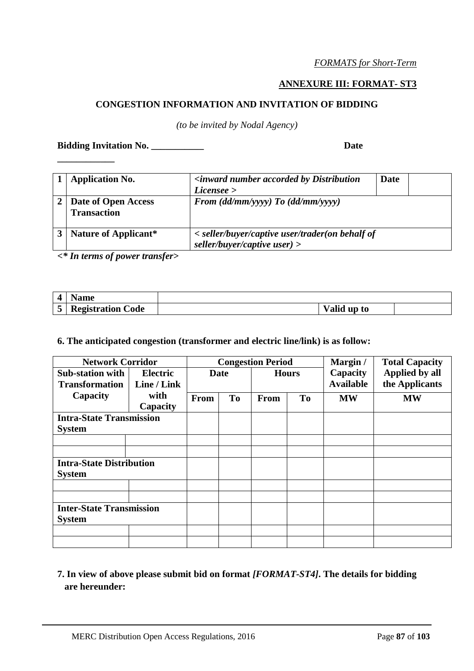## **ANNEXURE III: FORMAT- ST3**

## **CONGESTION INFORMATION AND INVITATION OF BIDDING**

*(to be invited by Nodal Agency)*

**Bidding Invitation No. \_\_\_\_\_\_\_\_\_\_\_ Date** 

**\_\_\_\_\_\_\_\_\_\_\_\_**

| <b>Application No.</b>                    | <i><b><inward accorded="" b="" by="" distribution<="" number=""></inward></b></i> | Date |  |  |
|-------------------------------------------|-----------------------------------------------------------------------------------|------|--|--|
|                                           | License                                                                           |      |  |  |
| Date of Open Access<br><b>Transaction</b> | From $(dd/mm/yyyy)$ To $(dd/mm/yyyy)$                                             |      |  |  |
| Nature of Applicant*                      | < seller/buyer/captive user/trader(on behalf of<br>seller/buyer/captive user) $>$ |      |  |  |

*<\* In terms of power transfer>*

| vame                     |             |  |
|--------------------------|-------------|--|
| <b>Registration Code</b> | Valid up to |  |

### **6. The anticipated congestion (transformer and electric line/link) is as follow:**

| <b>Network Corridor</b>                          |                                |      | <b>Congestion Period</b> |      |                | Margin /                     | <b>Total Capacity</b>            |  |
|--------------------------------------------------|--------------------------------|------|--------------------------|------|----------------|------------------------------|----------------------------------|--|
| <b>Sub-station with</b><br><b>Transformation</b> | <b>Electric</b><br>Line / Link |      | <b>Date</b>              |      | <b>Hours</b>   | Capacity<br><b>Available</b> | Applied by all<br>the Applicants |  |
| Capacity                                         | with<br>Capacity               | From | T <sub>0</sub>           | From | T <sub>o</sub> | <b>MW</b>                    | <b>MW</b>                        |  |
| <b>Intra-State Transmission</b><br><b>System</b> |                                |      |                          |      |                |                              |                                  |  |
|                                                  |                                |      |                          |      |                |                              |                                  |  |
| <b>Intra-State Distribution</b><br><b>System</b> |                                |      |                          |      |                |                              |                                  |  |
|                                                  |                                |      |                          |      |                |                              |                                  |  |
| <b>Inter-State Transmission</b><br><b>System</b> |                                |      |                          |      |                |                              |                                  |  |
|                                                  |                                |      |                          |      |                |                              |                                  |  |

## **7. In view of above please submit bid on format** *[FORMAT-ST4]***. The details for bidding are hereunder:**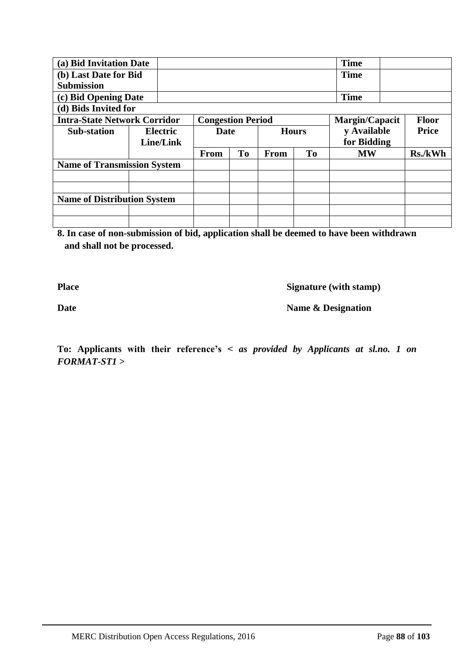| (a) Bid Invitation Date             |  |                 |                          |           |              |    | <b>Time</b>    |              |
|-------------------------------------|--|-----------------|--------------------------|-----------|--------------|----|----------------|--------------|
| (b) Last Date for Bid               |  |                 |                          |           |              |    | <b>Time</b>    |              |
| <b>Submission</b>                   |  |                 |                          |           |              |    |                |              |
| (c) Bid Opening Date                |  |                 |                          |           |              |    | <b>Time</b>    |              |
| (d) Bids Invited for                |  |                 |                          |           |              |    |                |              |
| <b>Intra-State Network Corridor</b> |  |                 | <b>Congestion Period</b> |           |              |    | Margin/Capacit | <b>Floor</b> |
| <b>Sub-station</b>                  |  | <b>Electric</b> | Date                     |           | <b>Hours</b> |    | y Available    | <b>Price</b> |
| Line/Link                           |  |                 |                          |           |              |    | for Bidding    |              |
|                                     |  |                 |                          |           |              |    |                |              |
|                                     |  |                 | <b>From</b>              | <b>To</b> | From         | To | <b>MW</b>      | Rs./kWh      |
| <b>Name of Transmission System</b>  |  |                 |                          |           |              |    |                |              |
|                                     |  |                 |                          |           |              |    |                |              |
|                                     |  |                 |                          |           |              |    |                |              |
| <b>Name of Distribution System</b>  |  |                 |                          |           |              |    |                |              |
|                                     |  |                 |                          |           |              |    |                |              |

**8. In case of non-submission of bid, application shall be deemed to have been withdrawn and shall not be processed.**

**Place Signature (with stamp)** 

**Date Name & Designation** 

**To: Applicants with their reference's <** *as provided by Applicants at sl.no. 1 on FORMAT-ST1 >*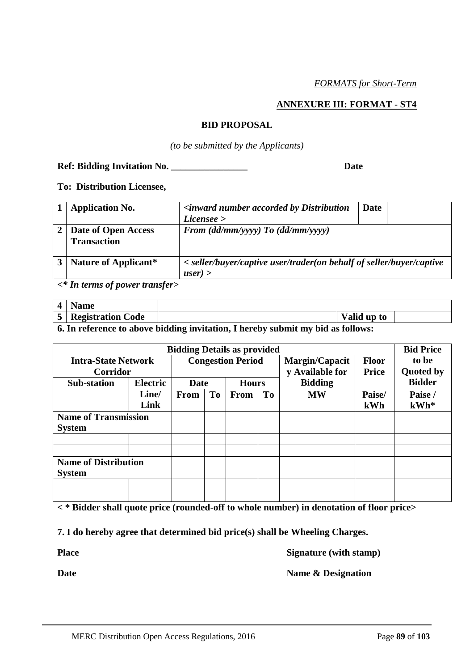### **ANNEXURE III: FORMAT - ST4**

#### **BID PROPOSAL**

*(to be submitted by the Applicants)*

### **Ref: Bidding Invitation No. \_\_\_\_\_\_\_\_\_\_\_\_\_\_\_\_ Date**

**To: Distribution Licensee,**

| <b>Application No.</b>                    | <i><b><inward accorded="" b="" by="" distribution<="" number=""></inward></b></i><br>License | <b>Date</b> |  |
|-------------------------------------------|----------------------------------------------------------------------------------------------|-------------|--|
| Date of Open Access<br><b>Transaction</b> | From $(dd/mm/yyyy)$ To $(dd/mm/yyyy)$                                                        |             |  |
| Nature of Applicant*                      | < seller/buyer/captive user/trader(on behalf of seller/buyer/captive<br>$user$ ) >           |             |  |

*<\* In terms of power transfer>*

| $\sqrt{2}$                    | vame                             |                       |  |
|-------------------------------|----------------------------------|-----------------------|--|
| $\overline{\phantom{0}}$<br>ັ | D<br><b>Registration</b><br>Code | <b>Valid</b><br>up to |  |

**6. In reference to above bidding invitation, I hereby submit my bid as follows:**

| <b>Bidding Details as provided</b> |                 |                          |    |              |    | <b>Bid Price</b> |              |                  |
|------------------------------------|-----------------|--------------------------|----|--------------|----|------------------|--------------|------------------|
| <b>Intra-State Network</b>         |                 | <b>Congestion Period</b> |    |              |    | Margin/Capacit   | <b>Floor</b> | to be            |
| <b>Corridor</b>                    |                 |                          |    |              |    | y Available for  | Price        | <b>Quoted by</b> |
| <b>Sub-station</b>                 | <b>Electric</b> | Date                     |    | <b>Hours</b> |    | <b>Bidding</b>   |              | <b>Bidder</b>    |
|                                    | Line/           | <b>From</b>              | To | From         | To | <b>MW</b>        | Paise/       | Paise /          |
|                                    | Link            |                          |    |              |    |                  | kWh          | $kWh*$           |
| <b>Name of Transmission</b>        |                 |                          |    |              |    |                  |              |                  |
| <b>System</b>                      |                 |                          |    |              |    |                  |              |                  |
|                                    |                 |                          |    |              |    |                  |              |                  |
|                                    |                 |                          |    |              |    |                  |              |                  |
| <b>Name of Distribution</b>        |                 |                          |    |              |    |                  |              |                  |
| <b>System</b>                      |                 |                          |    |              |    |                  |              |                  |
|                                    |                 |                          |    |              |    |                  |              |                  |
|                                    |                 |                          |    |              |    |                  |              |                  |

**< \* Bidder shall quote price (rounded-off to whole number) in denotation of floor price>**

**7. I do hereby agree that determined bid price(s) shall be Wheeling Charges.**

**Place Signature (with stamp)** 

**Date Name & Designation**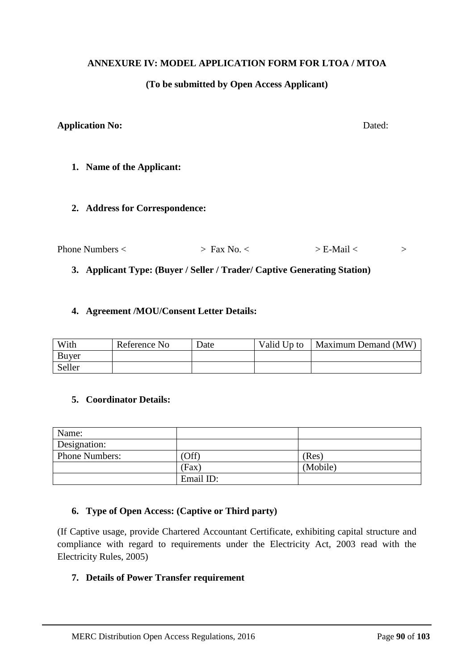### **ANNEXURE IV: MODEL APPLICATION FORM FOR LTOA / MTOA**

### **(To be submitted by Open Access Applicant)**

### **Application No:** Dated:

**1. Name of the Applicant:**

#### **2. Address for Correspondence:**

| Phone Numbers < | $>$ Fax No. $\cdot$ | $>E$ -Mail $<$ |  |
|-----------------|---------------------|----------------|--|
|                 |                     |                |  |

### **3. Applicant Type: (Buyer / Seller / Trader/ Captive Generating Station)**

#### **4. Agreement /MOU/Consent Letter Details:**

| With   | Reference No | Date | Valid Up to | Maximum Demand (MW) |
|--------|--------------|------|-------------|---------------------|
| Buyer  |              |      |             |                     |
| Seller |              |      |             |                     |

### **5. Coordinator Details:**

| Name:                 |           |          |
|-----------------------|-----------|----------|
| Designation:          |           |          |
| <b>Phone Numbers:</b> | Off)      | (Res)    |
|                       | (Fax)     | (Mobile) |
|                       | Email ID: |          |

## **6. Type of Open Access: (Captive or Third party)**

(If Captive usage, provide Chartered Accountant Certificate, exhibiting capital structure and compliance with regard to requirements under the Electricity Act, 2003 read with the Electricity Rules, 2005)

#### **7. Details of Power Transfer requirement**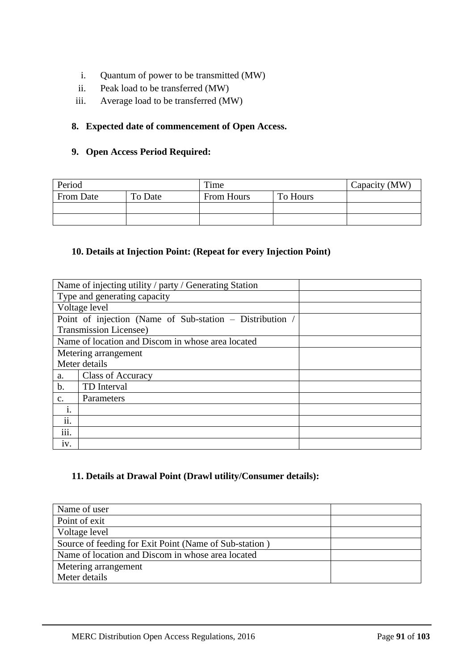- i. Quantum of power to be transmitted (MW)
- ii. Peak load to be transferred (MW)
- iii. Average load to be transferred (MW)

## **8. Expected date of commencement of Open Access.**

### **9. Open Access Period Required:**

| Period    |         | Time       |          | Capacity (MW) |
|-----------|---------|------------|----------|---------------|
| From Date | To Date | From Hours | To Hours |               |
|           |         |            |          |               |
|           |         |            |          |               |

## **10. Details at Injection Point: (Repeat for every Injection Point)**

| Name of injecting utility / party / Generating Station   |  |
|----------------------------------------------------------|--|
| Type and generating capacity                             |  |
| Voltage level                                            |  |
| Point of injection (Name of Sub-station – Distribution / |  |
| Transmission Licensee)                                   |  |
| Name of location and Discom in whose area located        |  |
| Metering arrangement                                     |  |
| Meter details                                            |  |
| <b>Class of Accuracy</b><br>a.                           |  |
| $\mathbf b$ .<br>TD Interval                             |  |
| Parameters<br>$C_{\bullet}$                              |  |
| 1.                                                       |  |
| ii.                                                      |  |
| $\cdots$<br>111.                                         |  |
| iv.                                                      |  |

## **11. Details at Drawal Point (Drawl utility/Consumer details):**

| Name of user                                           |  |
|--------------------------------------------------------|--|
| Point of exit                                          |  |
| Voltage level                                          |  |
| Source of feeding for Exit Point (Name of Sub-station) |  |
| Name of location and Discom in whose area located      |  |
| Metering arrangement                                   |  |
| Meter details                                          |  |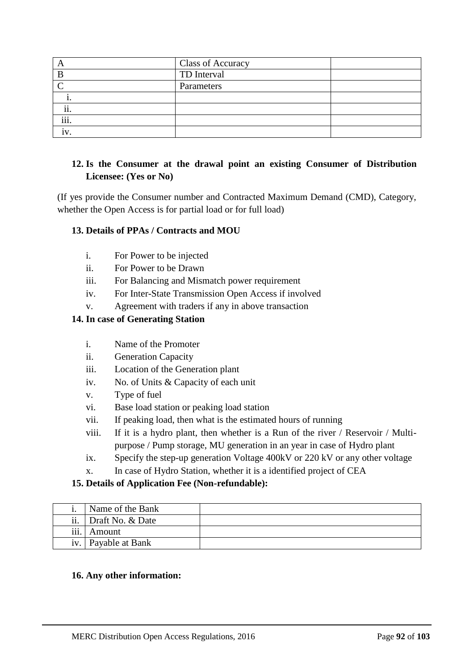|                      | <b>Class of Accuracy</b> |  |
|----------------------|--------------------------|--|
| B                    | TD Interval              |  |
|                      | Parameters               |  |
|                      |                          |  |
| $\cdot \cdot$<br>11. |                          |  |
| $\cdots$<br>111.     |                          |  |
| 1 V                  |                          |  |

## **12. Is the Consumer at the drawal point an existing Consumer of Distribution Licensee: (Yes or No)**

(If yes provide the Consumer number and Contracted Maximum Demand (CMD), Category, whether the Open Access is for partial load or for full load)

## **13. Details of PPAs / Contracts and MOU**

- i. For Power to be injected
- ii. For Power to be Drawn
- iii. For Balancing and Mismatch power requirement
- iv. For Inter-State Transmission Open Access if involved
- v. Agreement with traders if any in above transaction

## **14. In case of Generating Station**

- i. Name of the Promoter
- ii. Generation Capacity
- iii. Location of the Generation plant
- iv. No. of Units & Capacity of each unit
- v. Type of fuel
- vi. Base load station or peaking load station
- vii. If peaking load, then what is the estimated hours of running
- viii. If it is a hydro plant, then whether is a Run of the river / Reservoir / Multipurpose / Pump storage, MU generation in an year in case of Hydro plant
- ix. Specify the step-up generation Voltage 400kV or 220 kV or any other voltage
- x. In case of Hydro Station, whether it is a identified project of CEA

## **15. Details of Application Fee (Non-refundable):**

|                  | Name of the Bank |  |
|------------------|------------------|--|
| ii.              | Draft No. & Date |  |
| $\cdots$<br>111. | Amount           |  |
| $\bullet$<br>1V. | Payable at Bank  |  |

## **16. Any other information:**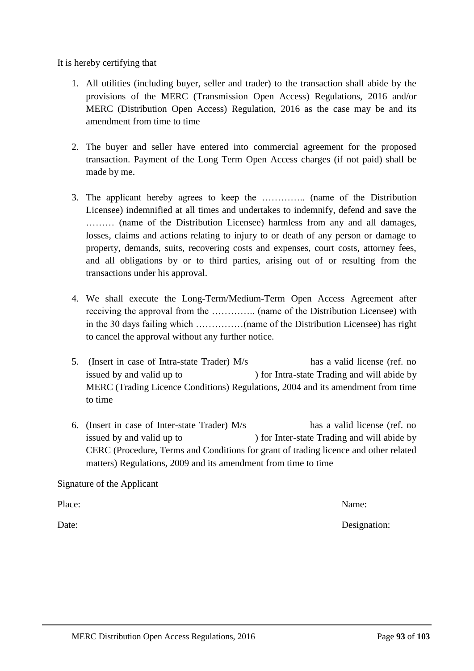issued by and valid up to ) for Intra-state Trading and will abide by MERC (Trading Licence Conditions) Regulations, 2004 and its amendment from time to time

5. (Insert in case of Intra-state Trader) M/s has a valid license (ref. no

matters) Regulations, 2009 and its amendment from time to time

MERC Distribution Open Access Regulations, 2016 Page **93** of **103**

It is hereby certifying that

- 1. All utilities (including buyer, seller and trader) to the transaction shall abide by the provisions of the MERC (Transmission Open Access) Regulations, 2016 and/or MERC (Distribution Open Access) Regulation, 2016 as the case may be and its amendment from time to time
- 2. The buyer and seller have entered into commercial agreement for the proposed transaction. Payment of the Long Term Open Access charges (if not paid) shall be made by me.
- 3. The applicant hereby agrees to keep the ………….. (name of the Distribution Licensee) indemnified at all times and undertakes to indemnify, defend and save the ……… (name of the Distribution Licensee) harmless from any and all damages, losses, claims and actions relating to injury to or death of any person or damage to property, demands, suits, recovering costs and expenses, court costs, attorney fees, and all obligations by or to third parties, arising out of or resulting from the transactions under his approval.

4. We shall execute the Long-Term/Medium-Term Open Access Agreement after receiving the approval from the ………….. (name of the Distribution Licensee) with in the 30 days failing which ……………(name of the Distribution Licensee) has right

to cancel the approval without any further notice.

6. (Insert in case of Inter-state Trader) M/s has a valid license (ref. no issued by and valid up to ) for Inter-state Trading and will abide by CERC (Procedure, Terms and Conditions for grant of trading licence and other related

Signature of the Applicant

Place: Name:

Date: Designation: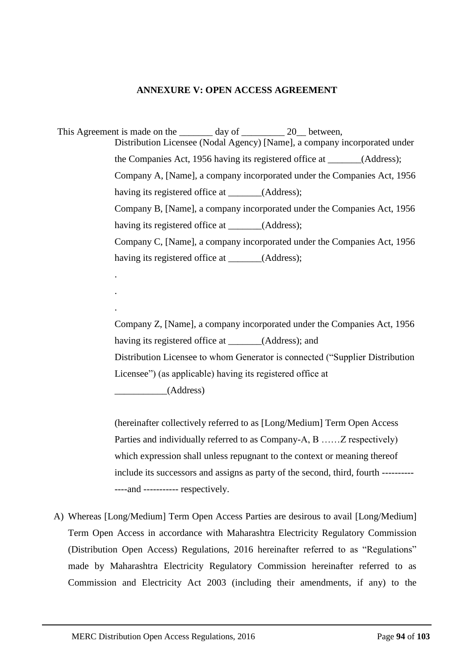## **ANNEXURE V: OPEN ACCESS AGREEMENT**

This Agreement is made on the day of 20 between, Distribution Licensee (Nodal Agency) [Name], a company incorporated under the Companies Act, 1956 having its registered office at \_\_\_\_\_\_\_(Address); Company A, [Name], a company incorporated under the Companies Act, 1956 having its registered office at \_\_\_\_\_\_(Address); Company B, [Name], a company incorporated under the Companies Act, 1956 having its registered office at (Address); Company C, [Name], a company incorporated under the Companies Act, 1956 having its registered office at \_\_\_\_\_\_(Address);

> Company Z, [Name], a company incorporated under the Companies Act, 1956 having its registered office at (Address); and Distribution Licensee to whom Generator is connected ("Supplier Distribution Licensee") (as applicable) having its registered office at \_\_\_\_\_\_\_\_\_\_\_(Address)

> (hereinafter collectively referred to as [Long/Medium] Term Open Access Parties and individually referred to as Company-A, B ……Z respectively) which expression shall unless repugnant to the context or meaning thereof include its successors and assigns as party of the second, third, fourth ---------- ----and ----------- respectively.

A) Whereas [Long/Medium] Term Open Access Parties are desirous to avail [Long/Medium] Term Open Access in accordance with Maharashtra Electricity Regulatory Commission (Distribution Open Access) Regulations, 2016 hereinafter referred to as "Regulations" made by Maharashtra Electricity Regulatory Commission hereinafter referred to as Commission and Electricity Act 2003 (including their amendments, if any) to the

.

.

.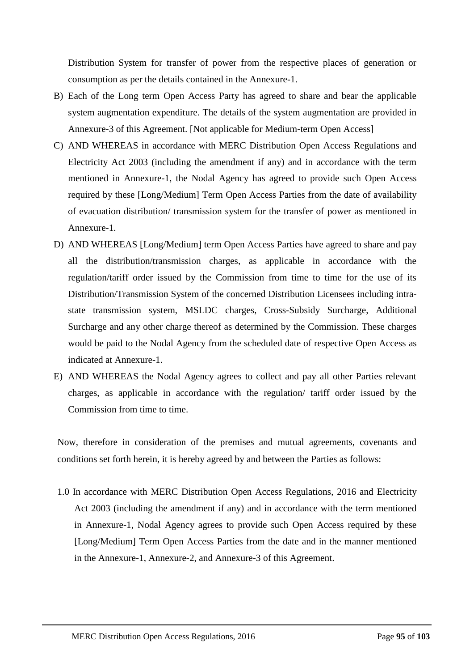Distribution System for transfer of power from the respective places of generation or consumption as per the details contained in the Annexure-1.

- B) Each of the Long term Open Access Party has agreed to share and bear the applicable system augmentation expenditure. The details of the system augmentation are provided in Annexure-3 of this Agreement. [Not applicable for Medium-term Open Access]
- C) AND WHEREAS in accordance with MERC Distribution Open Access Regulations and Electricity Act 2003 (including the amendment if any) and in accordance with the term mentioned in Annexure-1, the Nodal Agency has agreed to provide such Open Access required by these [Long/Medium] Term Open Access Parties from the date of availability of evacuation distribution/ transmission system for the transfer of power as mentioned in Annexure-1.
- D) AND WHEREAS [Long/Medium] term Open Access Parties have agreed to share and pay all the distribution/transmission charges, as applicable in accordance with the regulation/tariff order issued by the Commission from time to time for the use of its Distribution/Transmission System of the concerned Distribution Licensees including intrastate transmission system, MSLDC charges, Cross-Subsidy Surcharge, Additional Surcharge and any other charge thereof as determined by the Commission. These charges would be paid to the Nodal Agency from the scheduled date of respective Open Access as indicated at Annexure-1.
- E) AND WHEREAS the Nodal Agency agrees to collect and pay all other Parties relevant charges, as applicable in accordance with the regulation/ tariff order issued by the Commission from time to time.

Now, therefore in consideration of the premises and mutual agreements, covenants and conditions set forth herein, it is hereby agreed by and between the Parties as follows:

1.0 In accordance with MERC Distribution Open Access Regulations, 2016 and Electricity Act 2003 (including the amendment if any) and in accordance with the term mentioned in Annexure-1, Nodal Agency agrees to provide such Open Access required by these [Long/Medium] Term Open Access Parties from the date and in the manner mentioned in the Annexure-1, Annexure-2, and Annexure-3 of this Agreement.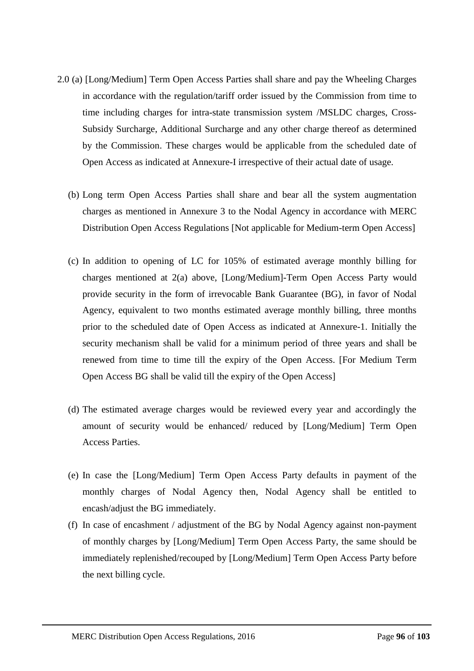- 2.0 (a) [Long/Medium] Term Open Access Parties shall share and pay the Wheeling Charges in accordance with the regulation/tariff order issued by the Commission from time to time including charges for intra-state transmission system /MSLDC charges, Cross-Subsidy Surcharge, Additional Surcharge and any other charge thereof as determined by the Commission. These charges would be applicable from the scheduled date of Open Access as indicated at Annexure-I irrespective of their actual date of usage.
	- (b) Long term Open Access Parties shall share and bear all the system augmentation charges as mentioned in Annexure 3 to the Nodal Agency in accordance with MERC Distribution Open Access Regulations [Not applicable for Medium-term Open Access]
	- (c) In addition to opening of LC for 105% of estimated average monthly billing for charges mentioned at 2(a) above, [Long/Medium]-Term Open Access Party would provide security in the form of irrevocable Bank Guarantee (BG), in favor of Nodal Agency, equivalent to two months estimated average monthly billing, three months prior to the scheduled date of Open Access as indicated at Annexure-1. Initially the security mechanism shall be valid for a minimum period of three years and shall be renewed from time to time till the expiry of the Open Access. [For Medium Term Open Access BG shall be valid till the expiry of the Open Access]
	- (d) The estimated average charges would be reviewed every year and accordingly the amount of security would be enhanced/ reduced by [Long/Medium] Term Open Access Parties.
	- (e) In case the [Long/Medium] Term Open Access Party defaults in payment of the monthly charges of Nodal Agency then, Nodal Agency shall be entitled to encash/adjust the BG immediately.
	- (f) In case of encashment / adjustment of the BG by Nodal Agency against non-payment of monthly charges by [Long/Medium] Term Open Access Party, the same should be immediately replenished/recouped by [Long/Medium] Term Open Access Party before the next billing cycle.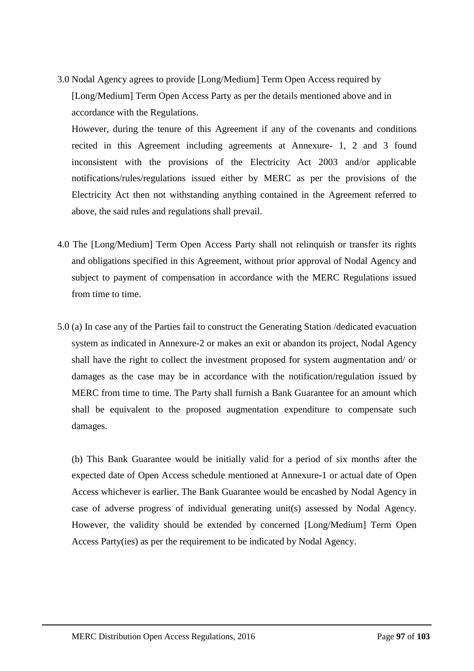3.0 Nodal Agency agrees to provide [Long/Medium] Term Open Access required by [Long/Medium] Term Open Access Party as per the details mentioned above and in accordance with the Regulations.

However, during the tenure of this Agreement if any of the covenants and conditions recited in this Agreement including agreements at Annexure- 1, 2 and 3 found inconsistent with the provisions of the Electricity Act 2003 and/or applicable notifications/rules/regulations issued either by MERC as per the provisions of the Electricity Act then not withstanding anything contained in the Agreement referred to above, the said rules and regulations shall prevail.

- 4.0 The [Long/Medium] Term Open Access Party shall not relinquish or transfer its rights and obligations specified in this Agreement, without prior approval of Nodal Agency and subject to payment of compensation in accordance with the MERC Regulations issued from time to time.
- 5.0 (a) In case any of the Parties fail to construct the Generating Station /dedicated evacuation system as indicated in Annexure-2 or makes an exit or abandon its project, Nodal Agency shall have the right to collect the investment proposed for system augmentation and/ or damages as the case may be in accordance with the notification/regulation issued by MERC from time to time. The Party shall furnish a Bank Guarantee for an amount which shall be equivalent to the proposed augmentation expenditure to compensate such damages.

(b) This Bank Guarantee would be initially valid for a period of six months after the expected date of Open Access schedule mentioned at Annexure-1 or actual date of Open Access whichever is earlier. The Bank Guarantee would be encashed by Nodal Agency in case of adverse progress of individual generating unit(s) assessed by Nodal Agency. However, the validity should be extended by concerned [Long/Medium] Term Open Access Party(ies) as per the requirement to be indicated by Nodal Agency.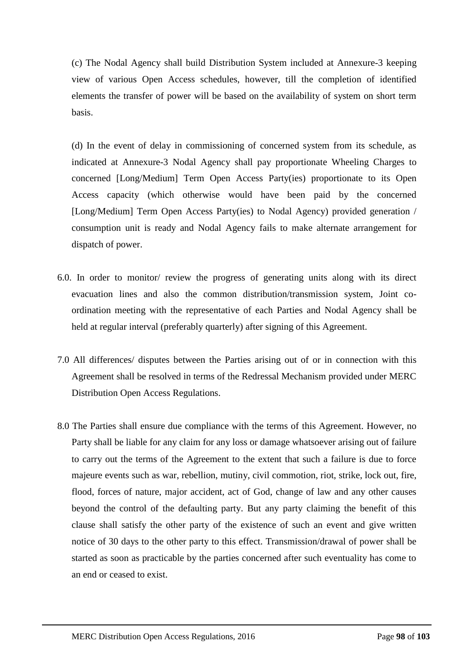(c) The Nodal Agency shall build Distribution System included at Annexure-3 keeping view of various Open Access schedules, however, till the completion of identified elements the transfer of power will be based on the availability of system on short term basis.

(d) In the event of delay in commissioning of concerned system from its schedule, as indicated at Annexure-3 Nodal Agency shall pay proportionate Wheeling Charges to concerned [Long/Medium] Term Open Access Party(ies) proportionate to its Open Access capacity (which otherwise would have been paid by the concerned [Long/Medium] Term Open Access Party(ies) to Nodal Agency) provided generation / consumption unit is ready and Nodal Agency fails to make alternate arrangement for dispatch of power.

- 6.0. In order to monitor/ review the progress of generating units along with its direct evacuation lines and also the common distribution/transmission system, Joint coordination meeting with the representative of each Parties and Nodal Agency shall be held at regular interval (preferably quarterly) after signing of this Agreement.
- 7.0 All differences/ disputes between the Parties arising out of or in connection with this Agreement shall be resolved in terms of the Redressal Mechanism provided under MERC Distribution Open Access Regulations.
- 8.0 The Parties shall ensure due compliance with the terms of this Agreement. However, no Party shall be liable for any claim for any loss or damage whatsoever arising out of failure to carry out the terms of the Agreement to the extent that such a failure is due to force majeure events such as war, rebellion, mutiny, civil commotion, riot, strike, lock out, fire, flood, forces of nature, major accident, act of God, change of law and any other causes beyond the control of the defaulting party. But any party claiming the benefit of this clause shall satisfy the other party of the existence of such an event and give written notice of 30 days to the other party to this effect. Transmission/drawal of power shall be started as soon as practicable by the parties concerned after such eventuality has come to an end or ceased to exist.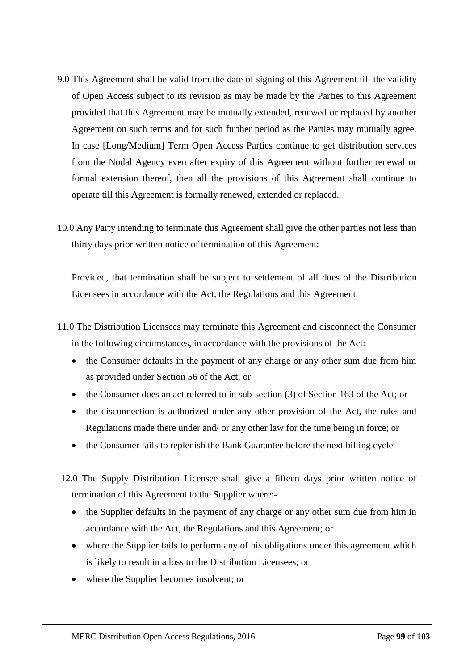- 9.0 This Agreement shall be valid from the date of signing of this Agreement till the validity of Open Access subject to its revision as may be made by the Parties to this Agreement provided that this Agreement may be mutually extended, renewed or replaced by another Agreement on such terms and for such further period as the Parties may mutually agree. In case [Long/Medium] Term Open Access Parties continue to get distribution services from the Nodal Agency even after expiry of this Agreement without further renewal or formal extension thereof, then all the provisions of this Agreement shall continue to operate till this Agreement is formally renewed, extended or replaced.
- 10.0 Any Party intending to terminate this Agreement shall give the other parties not less than thirty days prior written notice of termination of this Agreement:

Provided, that termination shall be subject to settlement of all dues of the Distribution Licensees in accordance with the Act, the Regulations and this Agreement.

- 11.0 The Distribution Licensees may terminate this Agreement and disconnect the Consumer in the following circumstances, in accordance with the provisions of the Act:-
	- the Consumer defaults in the payment of any charge or any other sum due from him as provided under Section 56 of the Act; or
	- the Consumer does an act referred to in sub-section (3) of Section 163 of the Act; or
	- the disconnection is authorized under any other provision of the Act, the rules and Regulations made there under and/ or any other law for the time being in force; or
	- the Consumer fails to replenish the Bank Guarantee before the next billing cycle
- 12.0 The Supply Distribution Licensee shall give a fifteen days prior written notice of termination of this Agreement to the Supplier where:-
	- the Supplier defaults in the payment of any charge or any other sum due from him in accordance with the Act, the Regulations and this Agreement; or
	- where the Supplier fails to perform any of his obligations under this agreement which is likely to result in a loss to the Distribution Licensees; or
	- where the Supplier becomes insolvent; or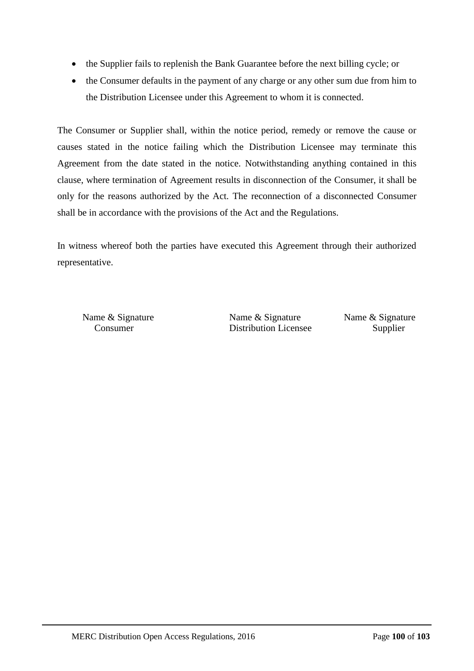- the Supplier fails to replenish the Bank Guarantee before the next billing cycle; or
- the Consumer defaults in the payment of any charge or any other sum due from him to the Distribution Licensee under this Agreement to whom it is connected.

The Consumer or Supplier shall, within the notice period, remedy or remove the cause or causes stated in the notice failing which the Distribution Licensee may terminate this Agreement from the date stated in the notice. Notwithstanding anything contained in this clause, where termination of Agreement results in disconnection of the Consumer, it shall be only for the reasons authorized by the Act. The reconnection of a disconnected Consumer shall be in accordance with the provisions of the Act and the Regulations.

In witness whereof both the parties have executed this Agreement through their authorized representative.

Name & Signature Name & Signature Name & Signature Consumer Distribution Licensee Supplier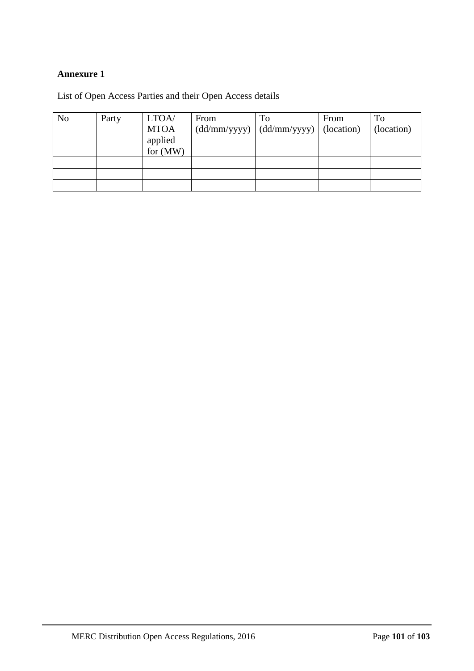## **Annexure 1**

List of Open Access Parties and their Open Access details

| N <sub>0</sub> | Party | LTOA/<br><b>MTOA</b><br>applied<br>for (MW) | From | To<br>$(dd/mm/yyyy)$ $(dd/mm/yyyy)$ | From<br>(location) | To<br>(location) |
|----------------|-------|---------------------------------------------|------|-------------------------------------|--------------------|------------------|
|                |       |                                             |      |                                     |                    |                  |
|                |       |                                             |      |                                     |                    |                  |
|                |       |                                             |      |                                     |                    |                  |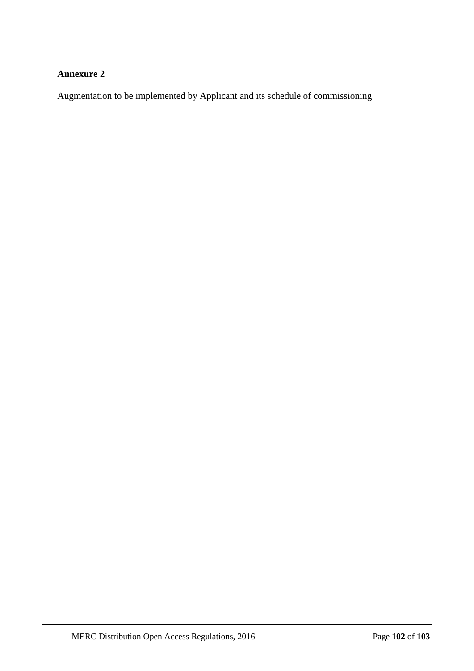## **Annexure 2**

Augmentation to be implemented by Applicant and its schedule of commissioning